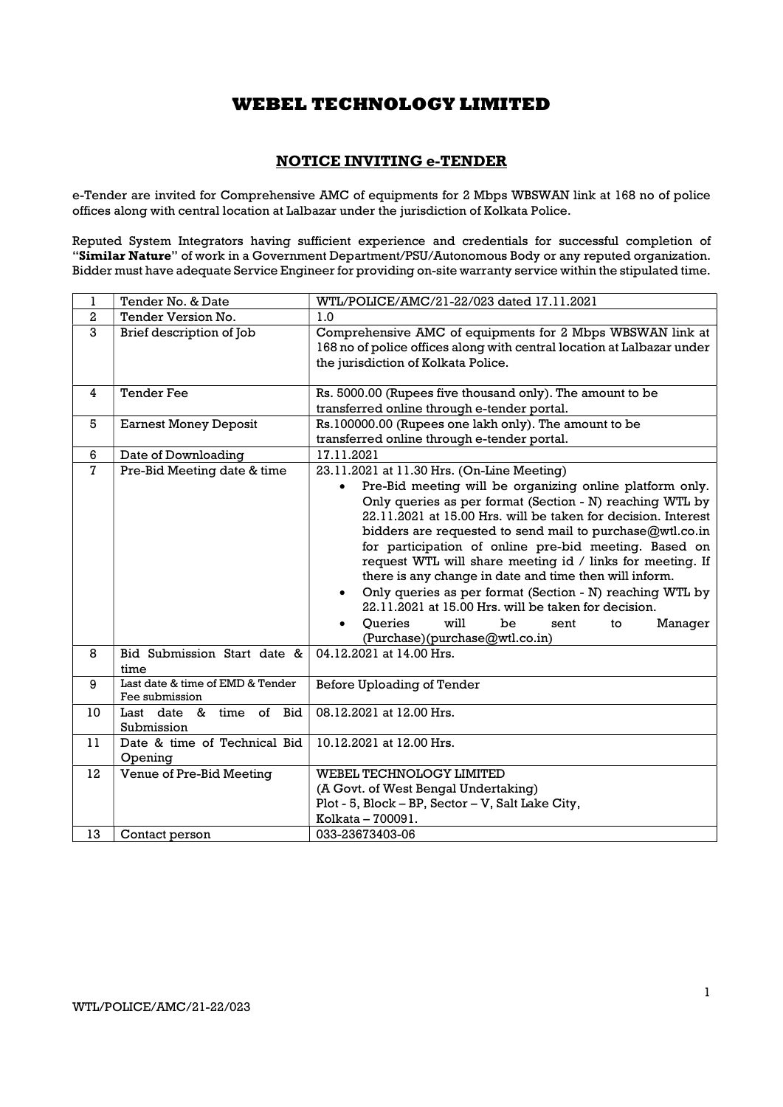### NOTICE INVITING e-TENDER

e-Tender are invited for Comprehensive AMC of equipments for 2 Mbps WBSWAN link at 168 no of police offices along with central location at Lalbazar under the jurisdiction of Kolkata Police.

Reputed System Integrators having sufficient experience and credentials for successful completion of "Similar Nature" of work in a Government Department/PSU/Autonomous Body or any reputed organization. Bidder must have adequate Service Engineer for providing on-site warranty service within the stipulated time.

| 1                | Tender No. & Date                                  | WTL/POLICE/AMC/21-22/023 dated 17.11.2021                                                                                                                                                                                                                                                                                                                                                                                                                                                                                                                                                                                                                                 |  |
|------------------|----------------------------------------------------|---------------------------------------------------------------------------------------------------------------------------------------------------------------------------------------------------------------------------------------------------------------------------------------------------------------------------------------------------------------------------------------------------------------------------------------------------------------------------------------------------------------------------------------------------------------------------------------------------------------------------------------------------------------------------|--|
| $\boldsymbol{2}$ | Tender Version No.                                 | 1.0                                                                                                                                                                                                                                                                                                                                                                                                                                                                                                                                                                                                                                                                       |  |
| 3                | Brief description of Job                           | Comprehensive AMC of equipments for 2 Mbps WBSWAN link at<br>168 no of police offices along with central location at Lalbazar under<br>the jurisdiction of Kolkata Police.                                                                                                                                                                                                                                                                                                                                                                                                                                                                                                |  |
| 4                | <b>Tender Fee</b>                                  | Rs. 5000.00 (Rupees five thousand only). The amount to be<br>transferred online through e-tender portal.                                                                                                                                                                                                                                                                                                                                                                                                                                                                                                                                                                  |  |
| 5                | <b>Earnest Money Deposit</b>                       | Rs.100000.00 (Rupees one lakh only). The amount to be<br>transferred online through e-tender portal.                                                                                                                                                                                                                                                                                                                                                                                                                                                                                                                                                                      |  |
| 6                | Date of Downloading                                | 17.11.2021                                                                                                                                                                                                                                                                                                                                                                                                                                                                                                                                                                                                                                                                |  |
| $\mathbf{7}$     | Pre-Bid Meeting date & time                        | 23.11.2021 at 11.30 Hrs. (On-Line Meeting)<br>Pre-Bid meeting will be organizing online platform only.<br>$\bullet$<br>Only queries as per format (Section - N) reaching WTL by<br>22.11.2021 at 15.00 Hrs. will be taken for decision. Interest<br>bidders are requested to send mail to purchase@wtl.co.in<br>for participation of online pre-bid meeting. Based on<br>request WTL will share meeting id / links for meeting. If<br>there is any change in date and time then will inform.<br>Only queries as per format (Section - N) reaching WTL by<br>22.11.2021 at 15.00 Hrs. will be taken for decision.<br><b>Oueries</b><br>will<br>be<br>Manager<br>sent<br>to |  |
| 8                | Bid Submission Start date &<br>time                | (Purchase)(purchase@wtl.co.in)<br>04.12.2021 at 14.00 Hrs.                                                                                                                                                                                                                                                                                                                                                                                                                                                                                                                                                                                                                |  |
| 9                | Last date & time of EMD & Tender<br>Fee submission | Before Uploading of Tender                                                                                                                                                                                                                                                                                                                                                                                                                                                                                                                                                                                                                                                |  |
| 10               | Last date & time<br>of Bid<br>Submission           | 08.12.2021 at 12.00 Hrs.                                                                                                                                                                                                                                                                                                                                                                                                                                                                                                                                                                                                                                                  |  |
| 11               | Date & time of Technical Bid<br>Opening            | 10.12.2021 at 12.00 Hrs.                                                                                                                                                                                                                                                                                                                                                                                                                                                                                                                                                                                                                                                  |  |
| 12               | Venue of Pre-Bid Meeting                           | WEBEL TECHNOLOGY LIMITED<br>(A Govt. of West Bengal Undertaking)<br>Plot - 5, Block - BP, Sector - V, Salt Lake City,<br>Kolkata - 700091.                                                                                                                                                                                                                                                                                                                                                                                                                                                                                                                                |  |
| 13               | Contact person                                     | 033-23673403-06                                                                                                                                                                                                                                                                                                                                                                                                                                                                                                                                                                                                                                                           |  |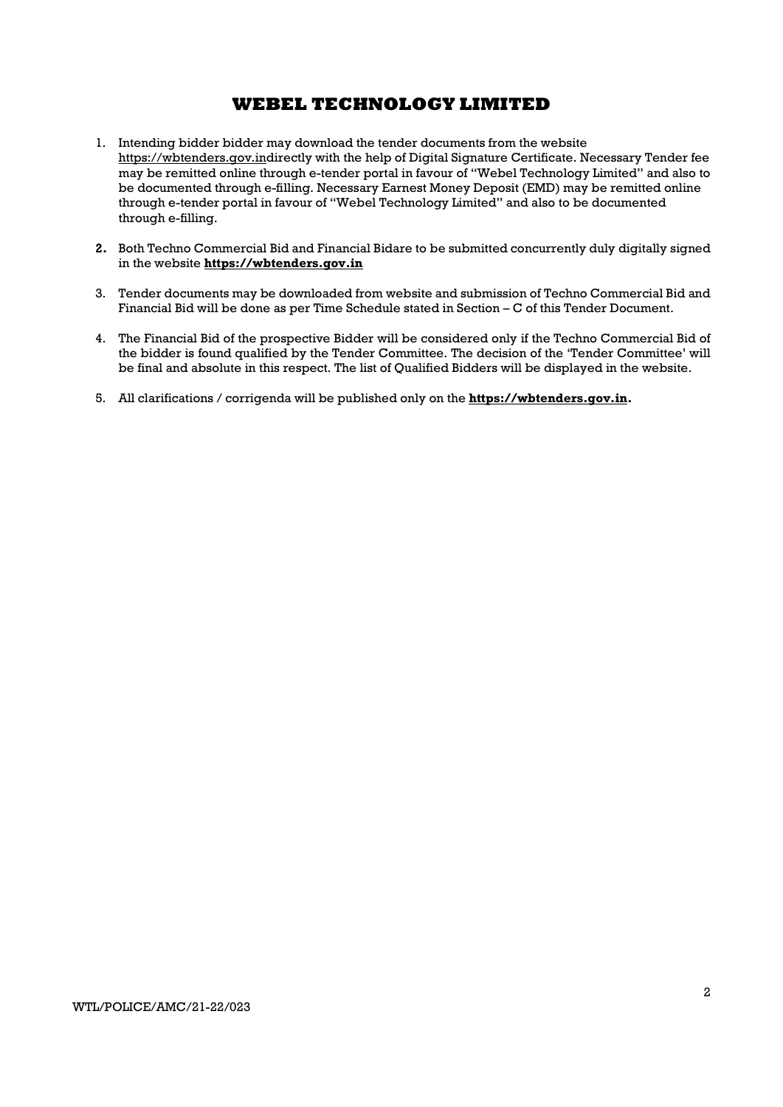- 1. Intending bidder bidder may download the tender documents from the website https://wbtenders.gov.indirectly with the help of Digital Signature Certificate. Necessary Tender fee may be remitted online through e-tender portal in favour of "Webel Technology Limited" and also to be documented through e-filling. Necessary Earnest Money Deposit (EMD) may be remitted online through e-tender portal in favour of "Webel Technology Limited" and also to be documented through e-filling.
- 2. Both Techno Commercial Bid and Financial Bidare to be submitted concurrently duly digitally signed in the website https://wbtenders.gov.in
- 3. Tender documents may be downloaded from website and submission of Techno Commercial Bid and Financial Bid will be done as per Time Schedule stated in Section – C of this Tender Document.
- 4. The Financial Bid of the prospective Bidder will be considered only if the Techno Commercial Bid of the bidder is found qualified by the Tender Committee. The decision of the 'Tender Committee' will be final and absolute in this respect. The list of Qualified Bidders will be displayed in the website.
- 5. All clarifications / corrigenda will be published only on the https://wbtenders.gov.in.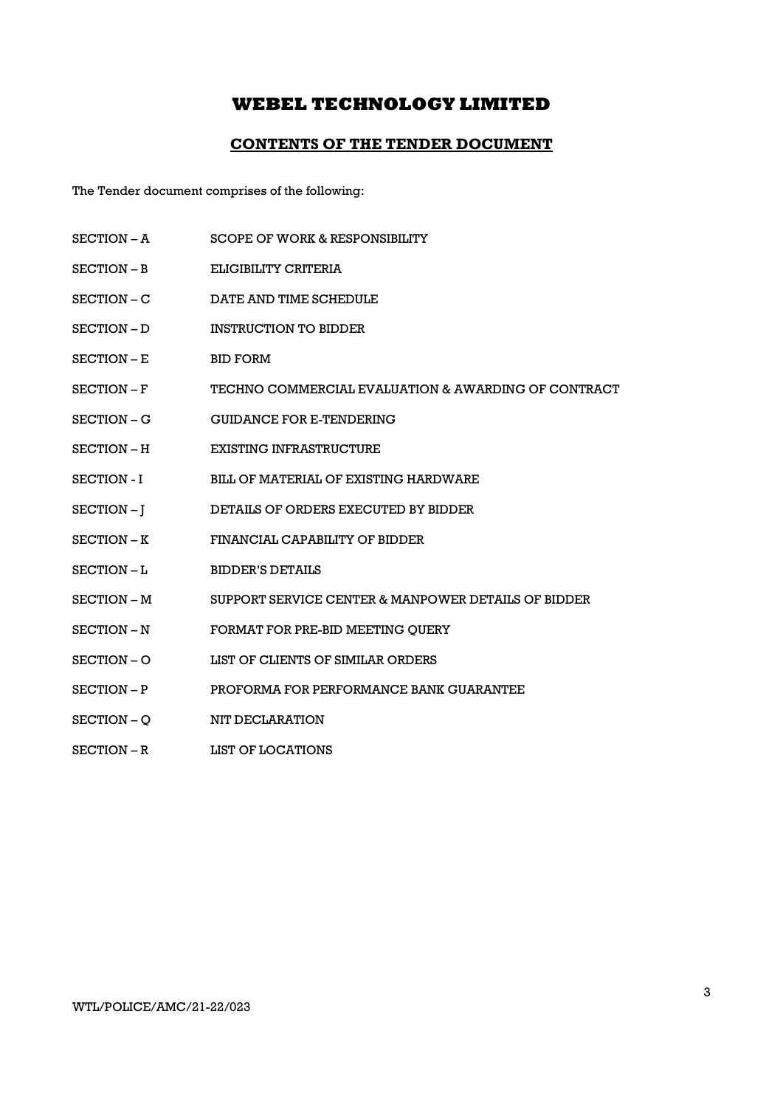### CONTENTS OF THE TENDER DOCUMENT

The Tender document comprises of the following:

- SECTION A SCOPE OF WORK & RESPONSIBILITY
- SECTION B ELIGIBILITY CRITERIA
- SECTION C DATE AND TIME SCHEDULE
- SECTION D INSTRUCTION TO BIDDER
- SECTION E BID FORM
- SECTION F TECHNO COMMERCIAL EVALUATION & AWARDING OF CONTRACT
- SECTION G GUIDANCE FOR E-TENDERING
- SECTION H EXISTING INFRASTRUCTURE
- SECTION I BILL OF MATERIAL OF EXISTING HARDWARE
- SECTION J DETAILS OF ORDERS EXECUTED BY BIDDER
- SECTION K FINANCIAL CAPABILITY OF BIDDER
- SECTION L<br>BIDDER'S DETAILS
- SECTION M SUPPORT SERVICE CENTER & MANPOWER DETAILS OF BIDDER
- SECTION N FORMAT FOR PRE-BID MEETING OUERY
- SECTION O LIST OF CLIENTS OF SIMILAR ORDERS
- SECTION P PROFORMA FOR PERFORMANCE BANK GUARANTEE
- SECTION O NIT DECLARATION
- SECTION R LIST OF LOCATIONS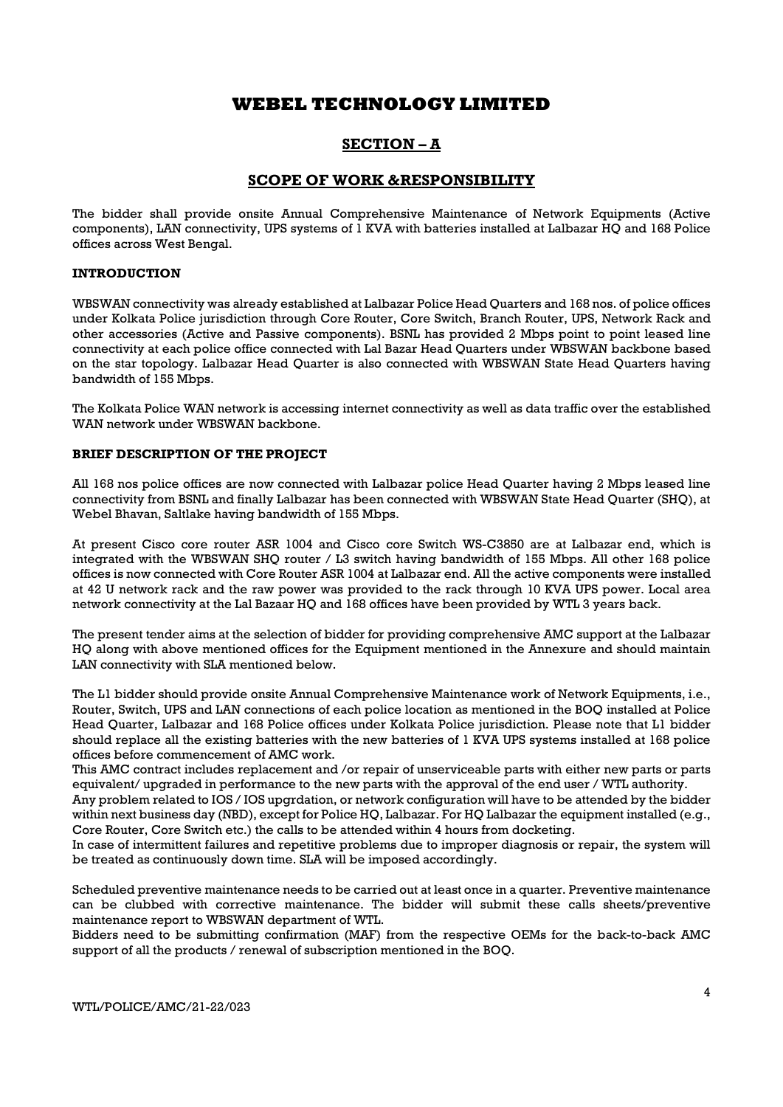### SECTION – A

### SCOPE OF WORK &RESPONSIBILITY

The bidder shall provide onsite Annual Comprehensive Maintenance of Network Equipments (Active components), LAN connectivity, UPS systems of 1 KVA with batteries installed at Lalbazar HQ and 168 Police offices across West Bengal.

### INTRODUCTION

WBSWAN connectivity was already established at Lalbazar Police Head Quarters and 168 nos. of police offices under Kolkata Police jurisdiction through Core Router, Core Switch, Branch Router, UPS, Network Rack and other accessories (Active and Passive components). BSNL has provided 2 Mbps point to point leased line connectivity at each police office connected with Lal Bazar Head Quarters under WBSWAN backbone based on the star topology. Lalbazar Head Quarter is also connected with WBSWAN State Head Quarters having bandwidth of 155 Mbps.

The Kolkata Police WAN network is accessing internet connectivity as well as data traffic over the established WAN network under WBSWAN backbone.

### BRIEF DESCRIPTION OF THE PROJECT

All 168 nos police offices are now connected with Lalbazar police Head Quarter having 2 Mbps leased line connectivity from BSNL and finally Lalbazar has been connected with WBSWAN State Head Quarter (SHQ), at Webel Bhavan, Saltlake having bandwidth of 155 Mbps.

At present Cisco core router ASR 1004 and Cisco core Switch WS-C3850 are at Lalbazar end, which is integrated with the WBSWAN SHQ router / L3 switch having bandwidth of 155 Mbps. All other 168 police offices is now connected with Core Router ASR 1004 at Lalbazar end. All the active components were installed at 42 U network rack and the raw power was provided to the rack through 10 KVA UPS power. Local area network connectivity at the Lal Bazaar HQ and 168 offices have been provided by WTL 3 years back.

The present tender aims at the selection of bidder for providing comprehensive AMC support at the Lalbazar HQ along with above mentioned offices for the Equipment mentioned in the Annexure and should maintain LAN connectivity with SLA mentioned below.

The L1 bidder should provide onsite Annual Comprehensive Maintenance work of Network Equipments, i.e., Router, Switch, UPS and LAN connections of each police location as mentioned in the BOQ installed at Police Head Quarter, Lalbazar and 168 Police offices under Kolkata Police jurisdiction. Please note that L1 bidder should replace all the existing batteries with the new batteries of 1 KVA UPS systems installed at 168 police offices before commencement of AMC work.

This AMC contract includes replacement and /or repair of unserviceable parts with either new parts or parts equivalent/ upgraded in performance to the new parts with the approval of the end user / WTL authority.

Any problem related to IOS / IOS upgrdation, or network configuration will have to be attended by the bidder within next business day (NBD), except for Police HQ, Lalbazar. For HQ Lalbazar the equipment installed (e.g., Core Router, Core Switch etc.) the calls to be attended within 4 hours from docketing.

In case of intermittent failures and repetitive problems due to improper diagnosis or repair, the system will be treated as continuously down time. SLA will be imposed accordingly.

Scheduled preventive maintenance needs to be carried out at least once in a quarter. Preventive maintenance can be clubbed with corrective maintenance. The bidder will submit these calls sheets/preventive maintenance report to WBSWAN department of WTL.

Bidders need to be submitting confirmation (MAF) from the respective OEMs for the back-to-back AMC support of all the products / renewal of subscription mentioned in the BOQ.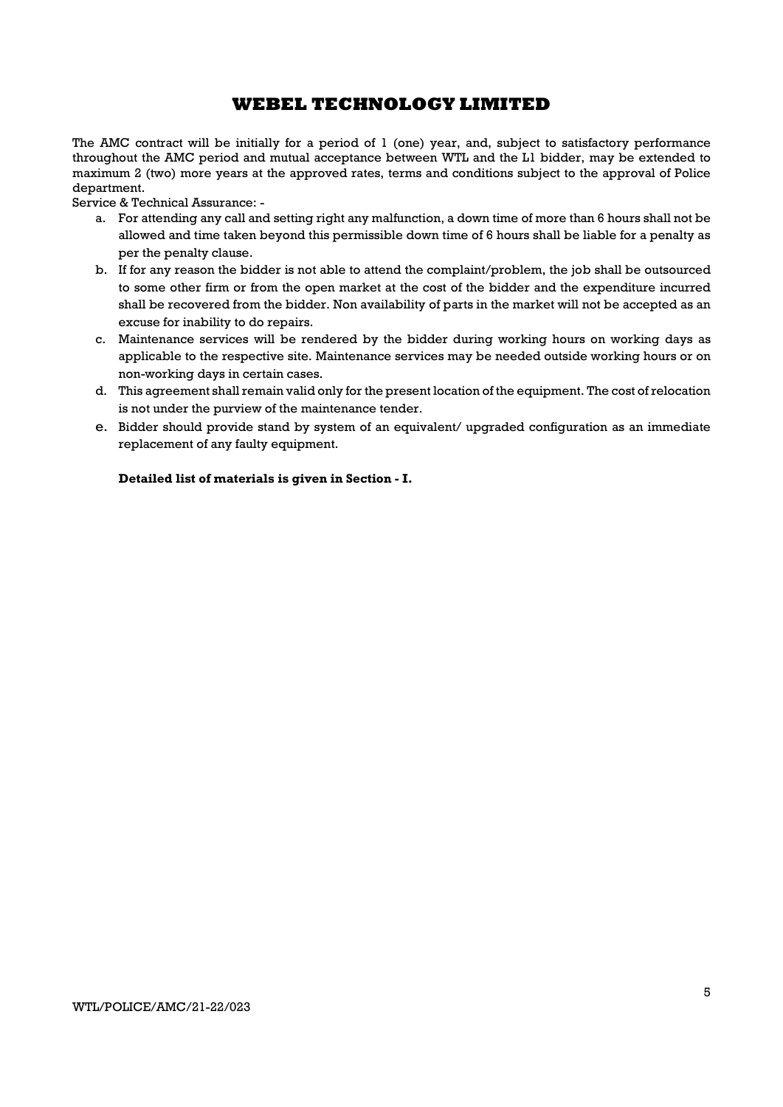The AMC contract will be initially for a period of 1 (one) year, and, subject to satisfactory performance throughout the AMC period and mutual acceptance between WTL and the L1 bidder, may be extended to maximum 2 (two) more years at the approved rates, terms and conditions subject to the approval of Police department.

Service & Technical Assurance: -

- a. For attending any call and setting right any malfunction, a down time of more than 6 hours shall not be allowed and time taken beyond this permissible down time of 6 hours shall be liable for a penalty as per the penalty clause.
- b. If for any reason the bidder is not able to attend the complaint/problem, the job shall be outsourced to some other firm or from the open market at the cost of the bidder and the expenditure incurred shall be recovered from the bidder. Non availability of parts in the market will not be accepted as an excuse for inability to do repairs.
- c. Maintenance services will be rendered by the bidder during working hours on working days as applicable to the respective site. Maintenance services may be needed outside working hours or on non-working days in certain cases.
- d. This agreement shall remain valid only for the present location of the equipment. The cost of relocation is not under the purview of the maintenance tender.
- e. Bidder should provide stand by system of an equivalent/ upgraded configuration as an immediate replacement of any faulty equipment.

### Detailed list of materials is given in Section - I.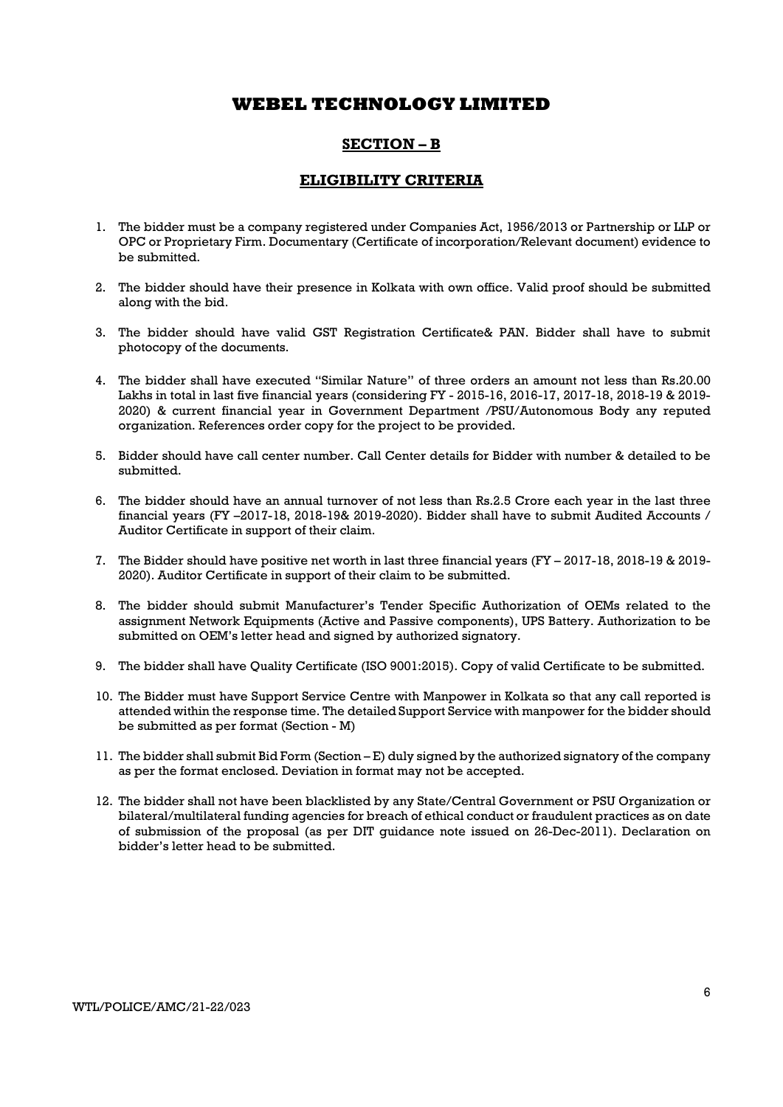### SECTION – B

### ELIGIBILITY CRITERIA

- 1. The bidder must be a company registered under Companies Act, 1956/2013 or Partnership or LLP or OPC or Proprietary Firm. Documentary (Certificate of incorporation/Relevant document) evidence to be submitted.
- 2. The bidder should have their presence in Kolkata with own office. Valid proof should be submitted along with the bid.
- 3. The bidder should have valid GST Registration Certificate& PAN. Bidder shall have to submit photocopy of the documents.
- 4. The bidder shall have executed "Similar Nature" of three orders an amount not less than Rs.20.00 Lakhs in total in last five financial years (considering FY - 2015-16, 2016-17, 2017-18, 2018-19 & 2019- 2020) & current financial year in Government Department /PSU/Autonomous Body any reputed organization. References order copy for the project to be provided.
- 5. Bidder should have call center number. Call Center details for Bidder with number & detailed to be submitted.
- 6. The bidder should have an annual turnover of not less than Rs.2.5 Crore each year in the last three financial years (FY –2017-18, 2018-19& 2019-2020). Bidder shall have to submit Audited Accounts / Auditor Certificate in support of their claim.
- 7. The Bidder should have positive net worth in last three financial years (FY 2017-18, 2018-19 & 2019- 2020). Auditor Certificate in support of their claim to be submitted.
- 8. The bidder should submit Manufacturer's Tender Specific Authorization of OEMs related to the assignment Network Equipments (Active and Passive components), UPS Battery. Authorization to be submitted on OEM's letter head and signed by authorized signatory.
- 9. The bidder shall have Quality Certificate (ISO 9001:2015). Copy of valid Certificate to be submitted.
- 10. The Bidder must have Support Service Centre with Manpower in Kolkata so that any call reported is attended within the response time. The detailed Support Service with manpower for the bidder should be submitted as per format (Section - M)
- 11. The bidder shall submit Bid Form (Section E) duly signed by the authorized signatory of the company as per the format enclosed. Deviation in format may not be accepted.
- 12. The bidder shall not have been blacklisted by any State/Central Government or PSU Organization or bilateral/multilateral funding agencies for breach of ethical conduct or fraudulent practices as on date of submission of the proposal (as per DIT guidance note issued on 26-Dec-2011). Declaration on bidder's letter head to be submitted.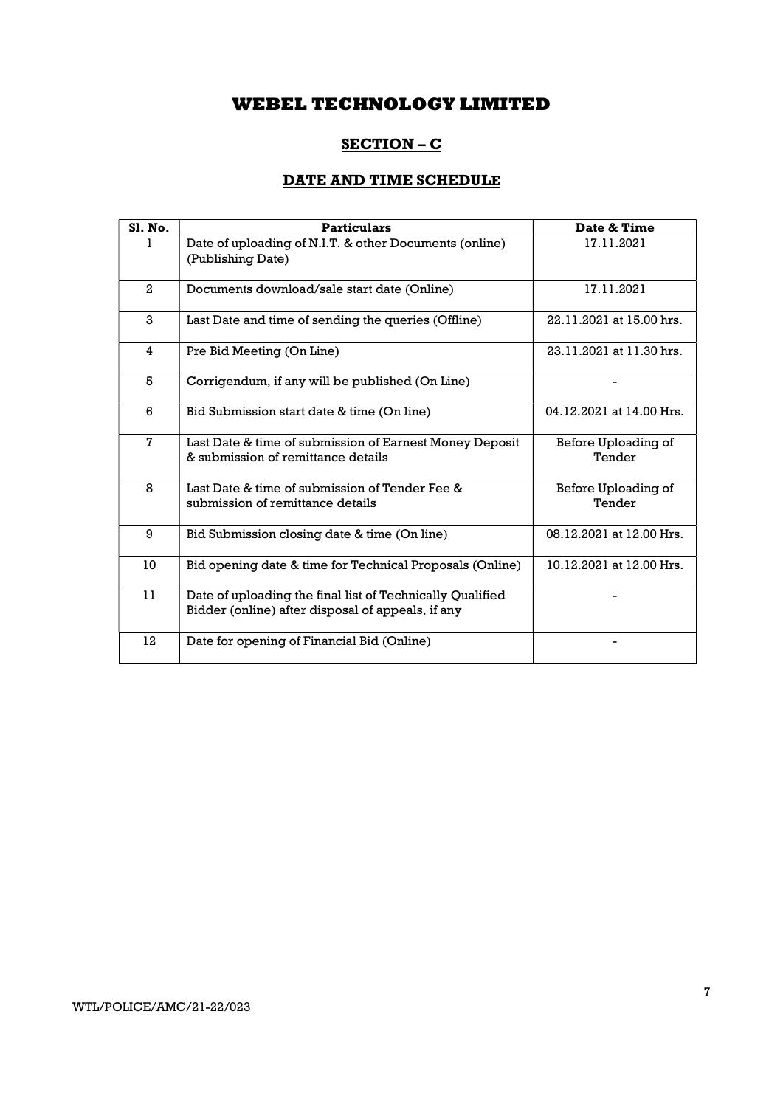## SECTION – C

## DATE AND TIME SCHEDULE

| Sl. No.        | <b>Particulars</b>                                                                                             | Date & Time                   |
|----------------|----------------------------------------------------------------------------------------------------------------|-------------------------------|
|                | Date of uploading of N.I.T. & other Documents (online)<br>(Publishing Date)                                    | 17.11.2021                    |
| $\mathbf{2}$   | Documents download/sale start date (Online)                                                                    | 17.11.2021                    |
| 3              | Last Date and time of sending the queries (Offline)                                                            | 22.11.2021 at 15.00 hrs.      |
| 4              | Pre Bid Meeting (On Line)                                                                                      | 23.11.2021 at 11.30 hrs.      |
| 5              | Corrigendum, if any will be published (On Line)                                                                |                               |
| 6              | Bid Submission start date & time (On line)                                                                     | 04.12.2021 at 14.00 Hrs.      |
| $\overline{7}$ | Last Date & time of submission of Earnest Money Deposit<br>& submission of remittance details                  | Before Uploading of<br>Tender |
| 8              | Last Date & time of submission of Tender Fee &<br>submission of remittance details                             | Before Uploading of<br>Tender |
| 9              | Bid Submission closing date & time (On line)                                                                   | 08.12.2021 at 12.00 Hrs.      |
| 10             | Bid opening date & time for Technical Proposals (Online)                                                       | 10.12.2021 at 12.00 Hrs.      |
| 11             | Date of uploading the final list of Technically Qualified<br>Bidder (online) after disposal of appeals, if any |                               |
| 12             | Date for opening of Financial Bid (Online)                                                                     |                               |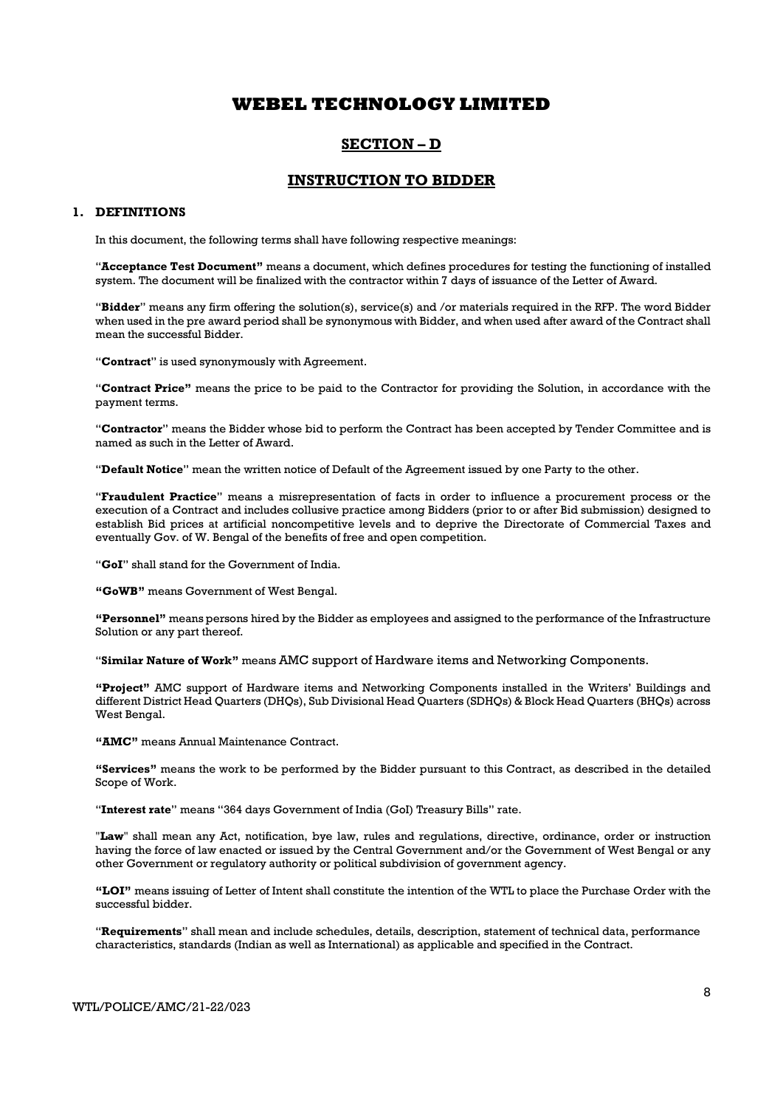### SECTION – D

### INSTRUCTION TO BIDDER

### 1. DEFINITIONS

In this document, the following terms shall have following respective meanings:

"Acceptance Test Document" means a document, which defines procedures for testing the functioning of installed system. The document will be finalized with the contractor within 7 days of issuance of the Letter of Award.

"Bidder" means any firm offering the solution(s), service(s) and /or materials required in the RFP. The word Bidder when used in the pre award period shall be synonymous with Bidder, and when used after award of the Contract shall mean the successful Bidder.

"Contract" is used synonymously with Agreement.

"Contract Price" means the price to be paid to the Contractor for providing the Solution, in accordance with the payment terms.

"Contractor" means the Bidder whose bid to perform the Contract has been accepted by Tender Committee and is named as such in the Letter of Award.

"Default Notice" mean the written notice of Default of the Agreement issued by one Party to the other.

"Fraudulent Practice" means a misrepresentation of facts in order to influence a procurement process or the execution of a Contract and includes collusive practice among Bidders (prior to or after Bid submission) designed to establish Bid prices at artificial noncompetitive levels and to deprive the Directorate of Commercial Taxes and eventually Gov. of W. Bengal of the benefits of free and open competition.

"GoI" shall stand for the Government of India.

"GoWB" means Government of West Bengal.

"Personnel" means persons hired by the Bidder as employees and assigned to the performance of the Infrastructure Solution or any part thereof.

"Similar Nature of Work" means AMC support of Hardware items and Networking Components.

"Project" AMC support of Hardware items and Networking Components installed in the Writers' Buildings and different District Head Quarters (DHQs), Sub Divisional Head Quarters (SDHQs) & Block Head Quarters (BHQs) across West Bengal.

"AMC" means Annual Maintenance Contract.

"Services" means the work to be performed by the Bidder pursuant to this Contract, as described in the detailed Scope of Work.

"Interest rate" means "364 days Government of India (GoI) Treasury Bills" rate.

"Law" shall mean any Act, notification, bye law, rules and regulations, directive, ordinance, order or instruction having the force of law enacted or issued by the Central Government and/or the Government of West Bengal or any other Government or regulatory authority or political subdivision of government agency.

"LOI" means issuing of Letter of Intent shall constitute the intention of the WTL to place the Purchase Order with the successful bidder.

"Requirements" shall mean and include schedules, details, description, statement of technical data, performance characteristics, standards (Indian as well as International) as applicable and specified in the Contract.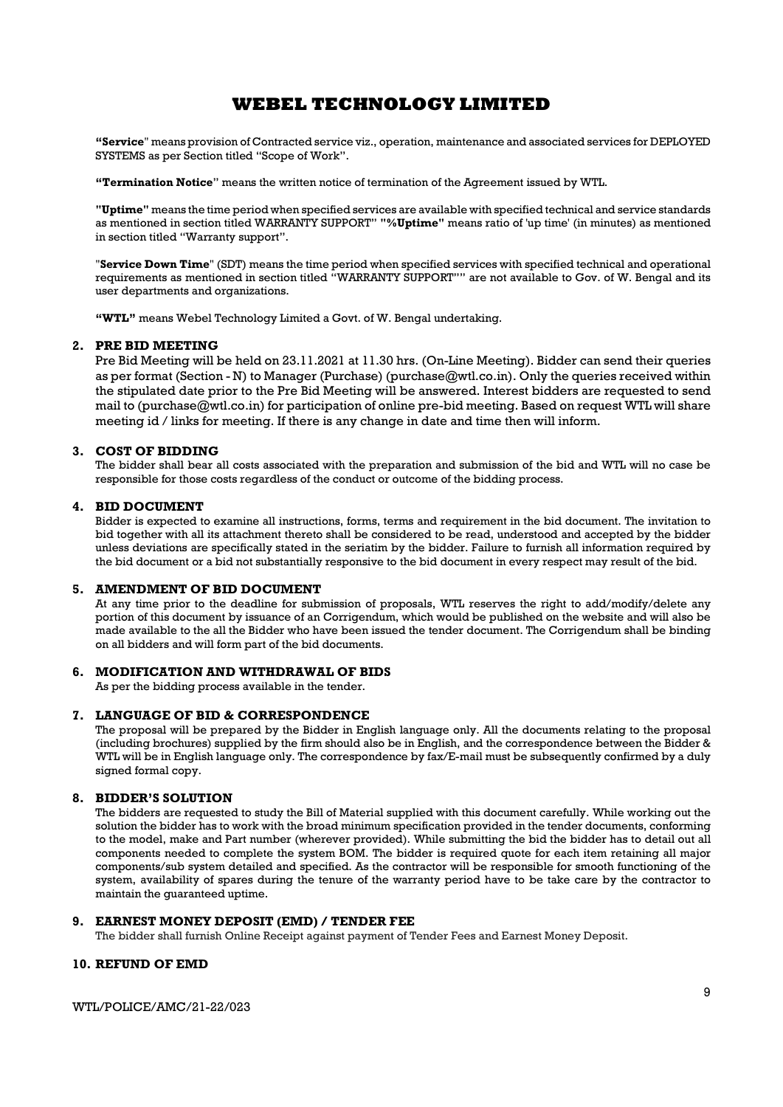"Service" means provision of Contracted service viz., operation, maintenance and associated services for DEPLOYED SYSTEMS as per Section titled "Scope of Work".

"Termination Notice" means the written notice of termination of the Agreement issued by WTL.

"Uptime" means the time period when specified services are available with specified technical and service standards as mentioned in section titled WARRANTY SUPPORT" "%Uptime" means ratio of 'up time' (in minutes) as mentioned in section titled "Warranty support".

"Service Down Time" (SDT) means the time period when specified services with specified technical and operational requirements as mentioned in section titled "WARRANTY SUPPORT"" are not available to Gov. of W. Bengal and its user departments and organizations.

"WTL" means Webel Technology Limited a Govt. of W. Bengal undertaking.

### 2. PRE BID MEETING

Pre Bid Meeting will be held on 23.11.2021 at 11.30 hrs. (On-Line Meeting). Bidder can send their queries as per format (Section - N) to Manager (Purchase) (purchase @wtl.co.in). Only the queries received within the stipulated date prior to the Pre Bid Meeting will be answered. Interest bidders are requested to send mail to (purchase@wtl.co.in) for participation of online pre-bid meeting. Based on request WTL will share meeting id / links for meeting. If there is any change in date and time then will inform.

#### 3. COST OF BIDDING

The bidder shall bear all costs associated with the preparation and submission of the bid and WTL will no case be responsible for those costs regardless of the conduct or outcome of the bidding process.

#### 4. BID DOCUMENT

Bidder is expected to examine all instructions, forms, terms and requirement in the bid document. The invitation to bid together with all its attachment thereto shall be considered to be read, understood and accepted by the bidder unless deviations are specifically stated in the seriatim by the bidder. Failure to furnish all information required by the bid document or a bid not substantially responsive to the bid document in every respect may result of the bid.

### 5. AMENDMENT OF BID DOCUMENT

At any time prior to the deadline for submission of proposals, WTL reserves the right to add/modify/delete any portion of this document by issuance of an Corrigendum, which would be published on the website and will also be made available to the all the Bidder who have been issued the tender document. The Corrigendum shall be binding on all bidders and will form part of the bid documents.

### 6. MODIFICATION AND WITHDRAWAL OF BIDS

As per the bidding process available in the tender.

#### 7. LANGUAGE OF BID & CORRESPONDENCE

The proposal will be prepared by the Bidder in English language only. All the documents relating to the proposal (including brochures) supplied by the firm should also be in English, and the correspondence between the Bidder & WTL will be in English language only. The correspondence by fax/E-mail must be subsequently confirmed by a duly signed formal copy.

### 8. BIDDER'S SOLUTION

The bidders are requested to study the Bill of Material supplied with this document carefully. While working out the solution the bidder has to work with the broad minimum specification provided in the tender documents, conforming to the model, make and Part number (wherever provided). While submitting the bid the bidder has to detail out all components needed to complete the system BOM. The bidder is required quote for each item retaining all major components/sub system detailed and specified. As the contractor will be responsible for smooth functioning of the system, availability of spares during the tenure of the warranty period have to be take care by the contractor to maintain the guaranteed uptime.

### 9. EARNEST MONEY DEPOSIT (EMD) / TENDER FEE

The bidder shall furnish Online Receipt against payment of Tender Fees and Earnest Money Deposit.

### 10. REFUND OF EMD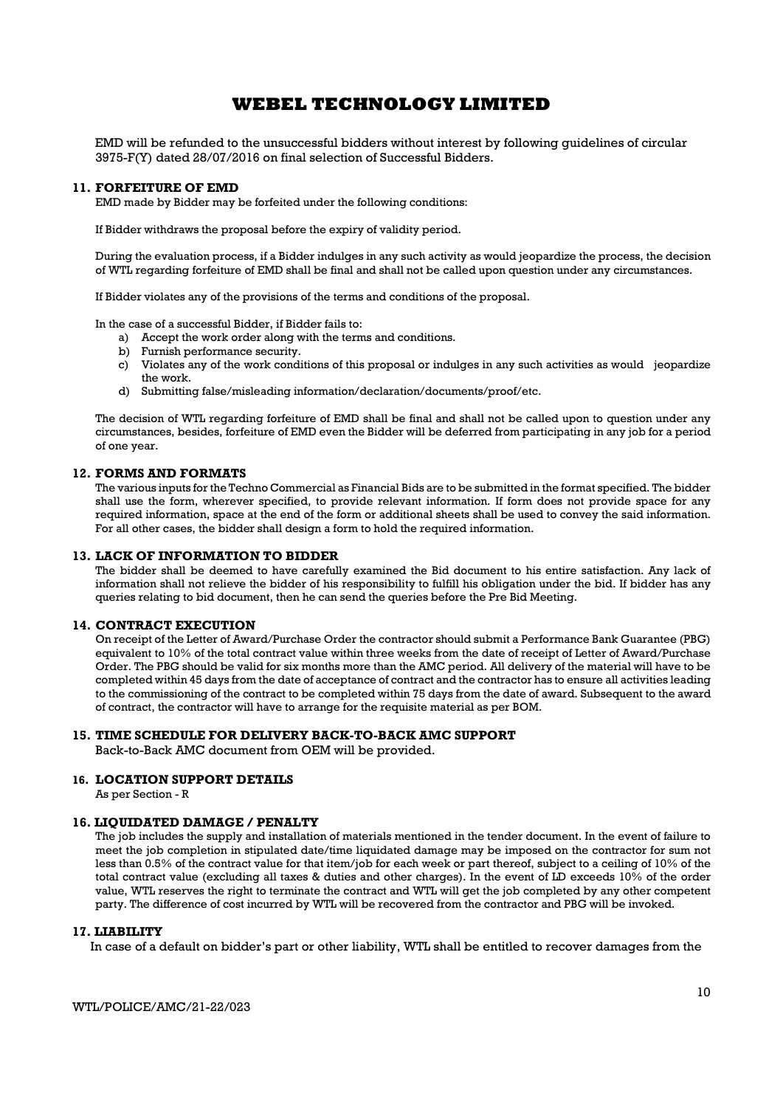EMD will be refunded to the unsuccessful bidders without interest by following guidelines of circular 3975-F(Y) dated 28/07/2016 on final selection of Successful Bidders.

### 11. FORFEITURE OF EMD

EMD made by Bidder may be forfeited under the following conditions:

If Bidder withdraws the proposal before the expiry of validity period.

During the evaluation process, if a Bidder indulges in any such activity as would jeopardize the process, the decision of WTL regarding forfeiture of EMD shall be final and shall not be called upon question under any circumstances.

If Bidder violates any of the provisions of the terms and conditions of the proposal.

In the case of a successful Bidder, if Bidder fails to:

a) Accept the work order along with the terms and conditions.

- b) Furnish performance security.
- c) Violates any of the work conditions of this proposal or indulges in any such activities as would jeopardize the work.
- d) Submitting false/misleading information/declaration/documents/proof/etc.

The decision of WTL regarding forfeiture of EMD shall be final and shall not be called upon to question under any circumstances, besides, forfeiture of EMD even the Bidder will be deferred from participating in any job for a period of one year.

### 12. FORMS AND FORMATS

The various inputs for the Techno Commercial as Financial Bids are to be submitted in the format specified. The bidder shall use the form, wherever specified, to provide relevant information. If form does not provide space for any required information, space at the end of the form or additional sheets shall be used to convey the said information. For all other cases, the bidder shall design a form to hold the required information.

#### 13. LACK OF INFORMATION TO BIDDER

The bidder shall be deemed to have carefully examined the Bid document to his entire satisfaction. Any lack of information shall not relieve the bidder of his responsibility to fulfill his obligation under the bid. If bidder has any queries relating to bid document, then he can send the queries before the Pre Bid Meeting.

### 14. CONTRACT EXECUTION

On receipt of the Letter of Award/Purchase Order the contractor should submit a Performance Bank Guarantee (PBG) equivalent to 10% of the total contract value within three weeks from the date of receipt of Letter of Award/Purchase Order. The PBG should be valid for six months more than the AMC period. All delivery of the material will have to be completed within 45 days from the date of acceptance of contract and the contractor has to ensure all activities leading to the commissioning of the contract to be completed within 75 days from the date of award. Subsequent to the award of contract, the contractor will have to arrange for the requisite material as per BOM.

#### 15. TIME SCHEDULE FOR DELIVERY BACK-TO-BACK AMC SUPPORT

Back-to-Back AMC document from OEM will be provided.

### 16. LOCATION SUPPORT DETAILS

As per Section - R

#### 16. LIQUIDATED DAMAGE / PENALTY

The job includes the supply and installation of materials mentioned in the tender document. In the event of failure to meet the job completion in stipulated date/time liquidated damage may be imposed on the contractor for sum not less than 0.5% of the contract value for that item/job for each week or part thereof, subject to a ceiling of 10% of the total contract value (excluding all taxes & duties and other charges). In the event of LD exceeds 10% of the order value, WTL reserves the right to terminate the contract and WTL will get the job completed by any other competent party. The difference of cost incurred by WTL will be recovered from the contractor and PBG will be invoked.

#### 17. LIABILITY

In case of a default on bidder's part or other liability, WTL shall be entitled to recover damages from the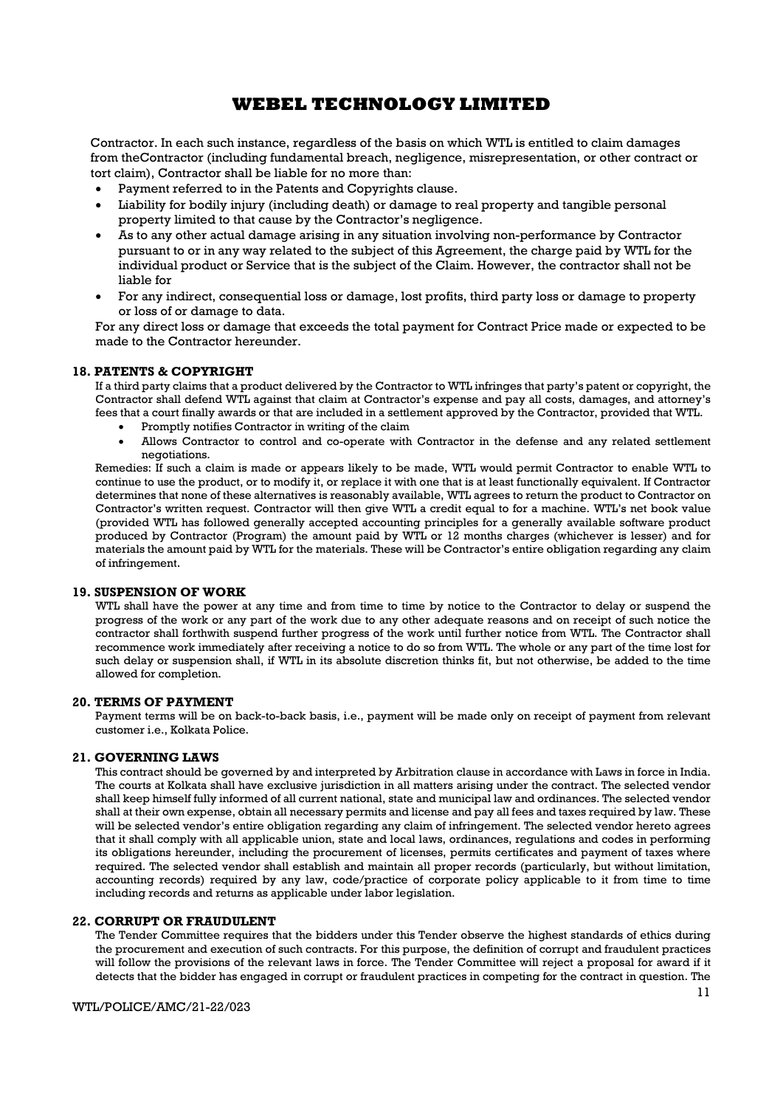Contractor. In each such instance, regardless of the basis on which WTL is entitled to claim damages from theContractor (including fundamental breach, negligence, misrepresentation, or other contract or tort claim), Contractor shall be liable for no more than:

- Payment referred to in the Patents and Copyrights clause.
- Liability for bodily injury (including death) or damage to real property and tangible personal property limited to that cause by the Contractor's negligence.
- As to any other actual damage arising in any situation involving non-performance by Contractor pursuant to or in any way related to the subject of this Agreement, the charge paid by WTL for the individual product or Service that is the subject of the Claim. However, the contractor shall not be liable for
- For any indirect, consequential loss or damage, lost profits, third party loss or damage to property or loss of or damage to data.

For any direct loss or damage that exceeds the total payment for Contract Price made or expected to be made to the Contractor hereunder.

### 18. PATENTS & COPYRIGHT

If a third party claims that a product delivered by the Contractor to WTL infringes that party's patent or copyright, the Contractor shall defend WTL against that claim at Contractor's expense and pay all costs, damages, and attorney's fees that a court finally awards or that are included in a settlement approved by the Contractor, provided that WTL.

- Promptly notifies Contractor in writing of the claim
- Allows Contractor to control and co-operate with Contractor in the defense and any related settlement negotiations.

Remedies: If such a claim is made or appears likely to be made, WTL would permit Contractor to enable WTL to continue to use the product, or to modify it, or replace it with one that is at least functionally equivalent. If Contractor determines that none of these alternatives is reasonably available, WTL agrees to return the product to Contractor on Contractor's written request. Contractor will then give WTL a credit equal to for a machine. WTL's net book value (provided WTL has followed generally accepted accounting principles for a generally available software product produced by Contractor (Program) the amount paid by WTL or 12 months charges (whichever is lesser) and for materials the amount paid by WTL for the materials. These will be Contractor's entire obligation regarding any claim of infringement.

### 19. SUSPENSION OF WORK

WTL shall have the power at any time and from time to time by notice to the Contractor to delay or suspend the progress of the work or any part of the work due to any other adequate reasons and on receipt of such notice the contractor shall forthwith suspend further progress of the work until further notice from WTL. The Contractor shall recommence work immediately after receiving a notice to do so from WTL. The whole or any part of the time lost for such delay or suspension shall, if WTL in its absolute discretion thinks fit, but not otherwise, be added to the time allowed for completion.

#### 20. TERMS OF PAYMENT

Payment terms will be on back-to-back basis, i.e., payment will be made only on receipt of payment from relevant customer i.e., Kolkata Police.

#### 21. GOVERNING LAWS

This contract should be governed by and interpreted by Arbitration clause in accordance with Laws in force in India. The courts at Kolkata shall have exclusive jurisdiction in all matters arising under the contract. The selected vendor shall keep himself fully informed of all current national, state and municipal law and ordinances. The selected vendor shall at their own expense, obtain all necessary permits and license and pay all fees and taxes required by law. These will be selected vendor's entire obligation regarding any claim of infringement. The selected vendor hereto agrees that it shall comply with all applicable union, state and local laws, ordinances, regulations and codes in performing its obligations hereunder, including the procurement of licenses, permits certificates and payment of taxes where required. The selected vendor shall establish and maintain all proper records (particularly, but without limitation, accounting records) required by any law, code/practice of corporate policy applicable to it from time to time including records and returns as applicable under labor legislation.

### 22. CORRUPT OR FRAUDULENT

The Tender Committee requires that the bidders under this Tender observe the highest standards of ethics during the procurement and execution of such contracts. For this purpose, the definition of corrupt and fraudulent practices will follow the provisions of the relevant laws in force. The Tender Committee will reject a proposal for award if it detects that the bidder has engaged in corrupt or fraudulent practices in competing for the contract in question. The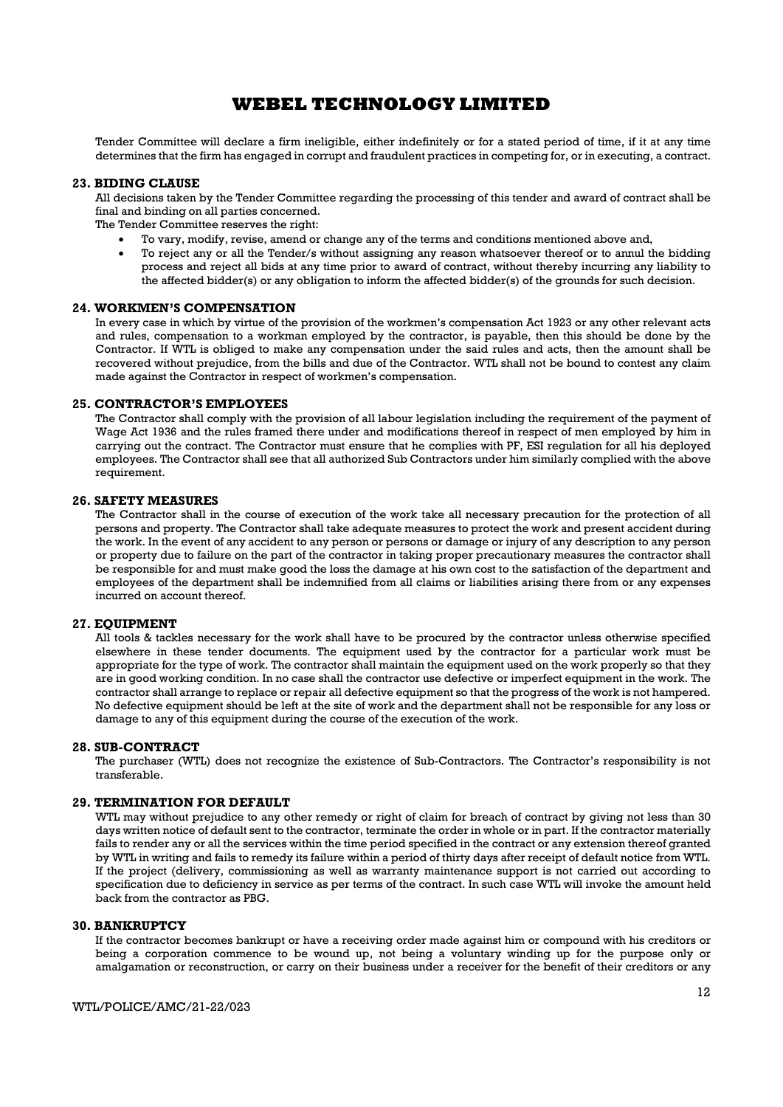Tender Committee will declare a firm ineligible, either indefinitely or for a stated period of time, if it at any time determines that the firm has engaged in corrupt and fraudulent practices in competing for, or in executing, a contract.

#### 23. BIDING CLAUSE

All decisions taken by the Tender Committee regarding the processing of this tender and award of contract shall be final and binding on all parties concerned.

The Tender Committee reserves the right:

- To vary, modify, revise, amend or change any of the terms and conditions mentioned above and,
- To reject any or all the Tender/s without assigning any reason whatsoever thereof or to annul the bidding process and reject all bids at any time prior to award of contract, without thereby incurring any liability to the affected bidder(s) or any obligation to inform the affected bidder(s) of the grounds for such decision.

#### 24. WORKMEN'S COMPENSATION

In every case in which by virtue of the provision of the workmen's compensation Act 1923 or any other relevant acts and rules, compensation to a workman employed by the contractor, is payable, then this should be done by the Contractor. If WTL is obliged to make any compensation under the said rules and acts, then the amount shall be recovered without prejudice, from the bills and due of the Contractor. WTL shall not be bound to contest any claim made against the Contractor in respect of workmen's compensation.

#### 25. CONTRACTOR'S EMPLOYEES

The Contractor shall comply with the provision of all labour legislation including the requirement of the payment of Wage Act 1936 and the rules framed there under and modifications thereof in respect of men employed by him in carrying out the contract. The Contractor must ensure that he complies with PF, ESI regulation for all his deployed employees. The Contractor shall see that all authorized Sub Contractors under him similarly complied with the above requirement.

#### 26. SAFETY MEASURES

The Contractor shall in the course of execution of the work take all necessary precaution for the protection of all persons and property. The Contractor shall take adequate measures to protect the work and present accident during the work. In the event of any accident to any person or persons or damage or injury of any description to any person or property due to failure on the part of the contractor in taking proper precautionary measures the contractor shall be responsible for and must make good the loss the damage at his own cost to the satisfaction of the department and employees of the department shall be indemnified from all claims or liabilities arising there from or any expenses incurred on account thereof.

#### 27. EQUIPMENT

All tools & tackles necessary for the work shall have to be procured by the contractor unless otherwise specified elsewhere in these tender documents. The equipment used by the contractor for a particular work must be appropriate for the type of work. The contractor shall maintain the equipment used on the work properly so that they are in good working condition. In no case shall the contractor use defective or imperfect equipment in the work. The contractor shall arrange to replace or repair all defective equipment so that the progress of the work is not hampered. No defective equipment should be left at the site of work and the department shall not be responsible for any loss or damage to any of this equipment during the course of the execution of the work.

#### 28. SUB-CONTRACT

The purchaser (WTL) does not recognize the existence of Sub-Contractors. The Contractor's responsibility is not transferable.

#### 29. TERMINATION FOR DEFAULT

WTL may without prejudice to any other remedy or right of claim for breach of contract by giving not less than 30 days written notice of default sent to the contractor, terminate the order in whole or in part. If the contractor materially fails to render any or all the services within the time period specified in the contract or any extension thereof granted by WTL in writing and fails to remedy its failure within a period of thirty days after receipt of default notice from WTL. If the project (delivery, commissioning as well as warranty maintenance support is not carried out according to specification due to deficiency in service as per terms of the contract. In such case WTL will invoke the amount held back from the contractor as PBG.

#### 30. BANKRUPTCY

If the contractor becomes bankrupt or have a receiving order made against him or compound with his creditors or being a corporation commence to be wound up, not being a voluntary winding up for the purpose only or amalgamation or reconstruction, or carry on their business under a receiver for the benefit of their creditors or any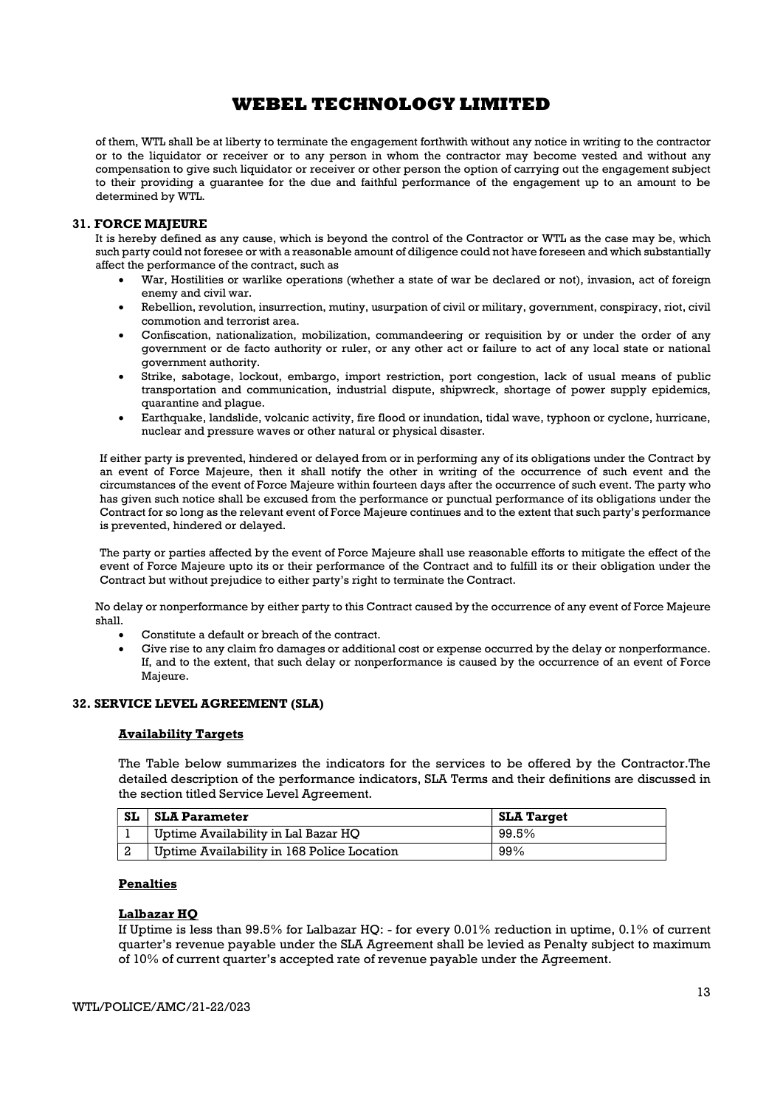of them, WTL shall be at liberty to terminate the engagement forthwith without any notice in writing to the contractor or to the liquidator or receiver or to any person in whom the contractor may become vested and without any compensation to give such liquidator or receiver or other person the option of carrying out the engagement subject to their providing a guarantee for the due and faithful performance of the engagement up to an amount to be determined by WTL.

### 31. FORCE MAJEURE

It is hereby defined as any cause, which is beyond the control of the Contractor or WTL as the case may be, which such party could not foresee or with a reasonable amount of diligence could not have foreseen and which substantially affect the performance of the contract, such as

- War, Hostilities or warlike operations (whether a state of war be declared or not), invasion, act of foreign enemy and civil war.
- Rebellion, revolution, insurrection, mutiny, usurpation of civil or military, government, conspiracy, riot, civil commotion and terrorist area.
- Confiscation, nationalization, mobilization, commandeering or requisition by or under the order of any government or de facto authority or ruler, or any other act or failure to act of any local state or national government authority.
- Strike, sabotage, lockout, embargo, import restriction, port congestion, lack of usual means of public transportation and communication, industrial dispute, shipwreck, shortage of power supply epidemics, quarantine and plague.
- Earthquake, landslide, volcanic activity, fire flood or inundation, tidal wave, typhoon or cyclone, hurricane, nuclear and pressure waves or other natural or physical disaster.

If either party is prevented, hindered or delayed from or in performing any of its obligations under the Contract by an event of Force Majeure, then it shall notify the other in writing of the occurrence of such event and the circumstances of the event of Force Majeure within fourteen days after the occurrence of such event. The party who has given such notice shall be excused from the performance or punctual performance of its obligations under the Contract for so long as the relevant event of Force Majeure continues and to the extent that such party's performance is prevented, hindered or delayed.

The party or parties affected by the event of Force Majeure shall use reasonable efforts to mitigate the effect of the event of Force Majeure upto its or their performance of the Contract and to fulfill its or their obligation under the Contract but without prejudice to either party's right to terminate the Contract.

No delay or nonperformance by either party to this Contract caused by the occurrence of any event of Force Majeure shall.

- Constitute a default or breach of the contract.
- Give rise to any claim fro damages or additional cost or expense occurred by the delay or nonperformance. If, and to the extent, that such delay or nonperformance is caused by the occurrence of an event of Force Majeure.

### 32. SERVICE LEVEL AGREEMENT (SLA)

#### Availability Targets

The Table below summarizes the indicators for the services to be offered by the Contractor.The detailed description of the performance indicators, SLA Terms and their definitions are discussed in the section titled Service Level Agreement.

| <b>SL</b> | <b>SLA Parameter</b>                       | <b>SLA Target</b> |
|-----------|--------------------------------------------|-------------------|
|           | Uptime Availability in Lal Bazar HO        | 99.5%             |
|           | Uptime Availability in 168 Police Location | 99%               |

### Penalties

#### Lalbazar HQ

If Uptime is less than 99.5% for Lalbazar HQ: - for every 0.01% reduction in uptime, 0.1% of current quarter's revenue payable under the SLA Agreement shall be levied as Penalty subject to maximum of 10% of current quarter's accepted rate of revenue payable under the Agreement.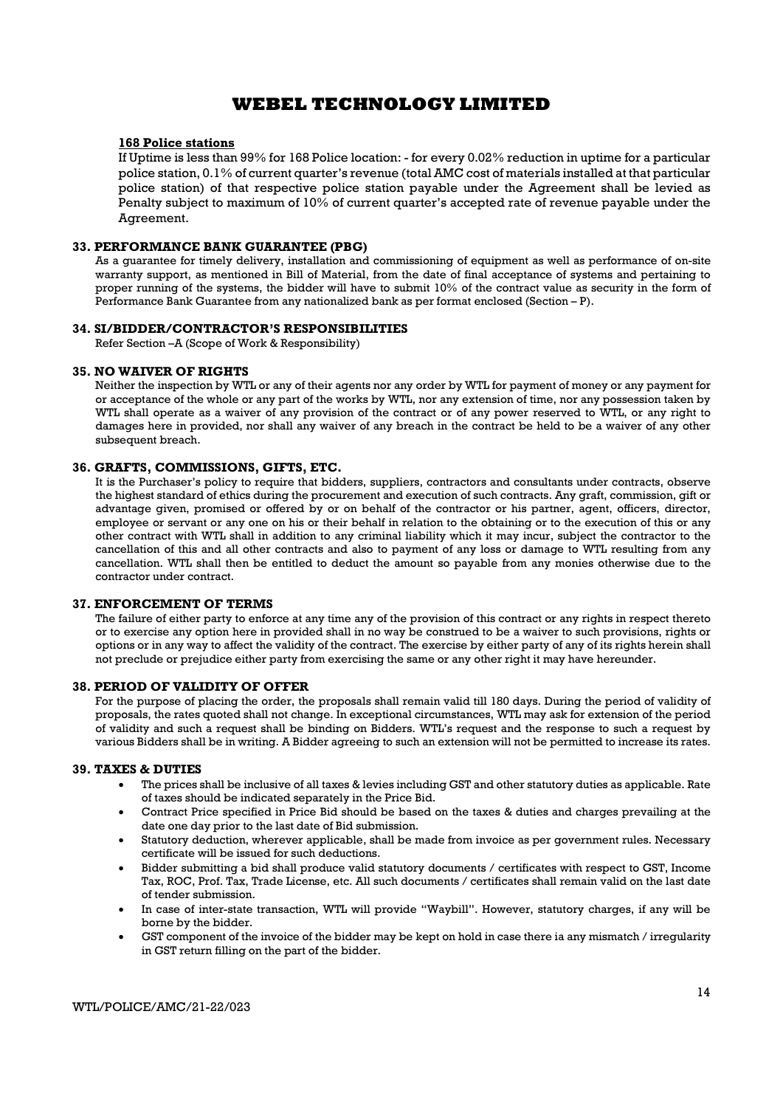### 168 Police stations

If Uptime is less than 99% for 168 Police location: - for every 0.02% reduction in uptime for a particular police station, 0.1% of current quarter's revenue (total AMC cost of materials installed at that particular police station) of that respective police station payable under the Agreement shall be levied as Penalty subject to maximum of 10% of current quarter's accepted rate of revenue payable under the Agreement.

### 33. PERFORMANCE BANK GUARANTEE (PBG)

As a guarantee for timely delivery, installation and commissioning of equipment as well as performance of on-site warranty support, as mentioned in Bill of Material, from the date of final acceptance of systems and pertaining to proper running of the systems, the bidder will have to submit 10% of the contract value as security in the form of Performance Bank Guarantee from any nationalized bank as per format enclosed (Section – P).

### 34. SI/BIDDER/CONTRACTOR'S RESPONSIBILITIES

Refer Section –A (Scope of Work & Responsibility)

#### 35. NO WAIVER OF RIGHTS

Neither the inspection by WTL or any of their agents nor any order by WTL for payment of money or any payment for or acceptance of the whole or any part of the works by WTL, nor any extension of time, nor any possession taken by WTL shall operate as a waiver of any provision of the contract or of any power reserved to WTL, or any right to damages here in provided, nor shall any waiver of any breach in the contract be held to be a waiver of any other subsequent breach.

### 36. GRAFTS, COMMISSIONS, GIFTS, ETC.

It is the Purchaser's policy to require that bidders, suppliers, contractors and consultants under contracts, observe the highest standard of ethics during the procurement and execution of such contracts. Any graft, commission, gift or advantage given, promised or offered by or on behalf of the contractor or his partner, agent, officers, director, employee or servant or any one on his or their behalf in relation to the obtaining or to the execution of this or any other contract with WTL shall in addition to any criminal liability which it may incur, subject the contractor to the cancellation of this and all other contracts and also to payment of any loss or damage to WTL resulting from any cancellation. WTL shall then be entitled to deduct the amount so payable from any monies otherwise due to the contractor under contract.

### 37. ENFORCEMENT OF TERMS

The failure of either party to enforce at any time any of the provision of this contract or any rights in respect thereto or to exercise any option here in provided shall in no way be construed to be a waiver to such provisions, rights or options or in any way to affect the validity of the contract. The exercise by either party of any of its rights herein shall not preclude or prejudice either party from exercising the same or any other right it may have hereunder.

### 38. PERIOD OF VALIDITY OF OFFER

For the purpose of placing the order, the proposals shall remain valid till 180 days. During the period of validity of proposals, the rates quoted shall not change. In exceptional circumstances, WTL may ask for extension of the period of validity and such a request shall be binding on Bidders. WTL's request and the response to such a request by various Bidders shall be in writing. A Bidder agreeing to such an extension will not be permitted to increase its rates.

### 39. TAXES & DUTIES

- The prices shall be inclusive of all taxes & levies including GST and other statutory duties as applicable. Rate of taxes should be indicated separately in the Price Bid.
- Contract Price specified in Price Bid should be based on the taxes & duties and charges prevailing at the date one day prior to the last date of Bid submission.
- Statutory deduction, wherever applicable, shall be made from invoice as per government rules. Necessary certificate will be issued for such deductions.
- Bidder submitting a bid shall produce valid statutory documents / certificates with respect to GST, Income Tax, ROC, Prof. Tax, Trade License, etc. All such documents / certificates shall remain valid on the last date of tender submission.
- In case of inter-state transaction, WTL will provide "Waybill". However, statutory charges, if any will be borne by the bidder.
- GST component of the invoice of the bidder may be kept on hold in case there ia any mismatch / irregularity in GST return filling on the part of the bidder.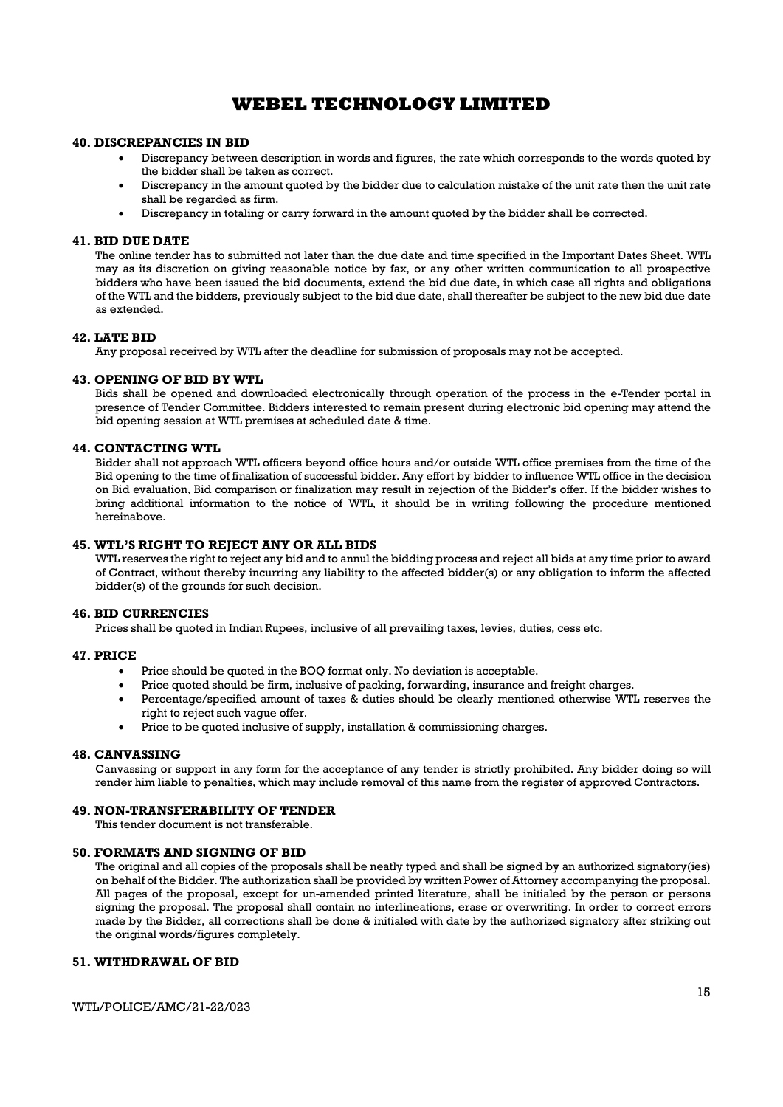### 40. DISCREPANCIES IN BID

- Discrepancy between description in words and figures, the rate which corresponds to the words quoted by the bidder shall be taken as correct.
- Discrepancy in the amount quoted by the bidder due to calculation mistake of the unit rate then the unit rate shall be regarded as firm.
- Discrepancy in totaling or carry forward in the amount quoted by the bidder shall be corrected.

#### 41. BID DUE DATE

The online tender has to submitted not later than the due date and time specified in the Important Dates Sheet. WTL may as its discretion on giving reasonable notice by fax, or any other written communication to all prospective bidders who have been issued the bid documents, extend the bid due date, in which case all rights and obligations of the WTL and the bidders, previously subject to the bid due date, shall thereafter be subject to the new bid due date as extended.

### 42. LATE BID

Any proposal received by WTL after the deadline for submission of proposals may not be accepted.

#### 43. OPENING OF BID BY WTL

Bids shall be opened and downloaded electronically through operation of the process in the e-Tender portal in presence of Tender Committee. Bidders interested to remain present during electronic bid opening may attend the bid opening session at WTL premises at scheduled date & time.

#### 44. CONTACTING WTL

Bidder shall not approach WTL officers beyond office hours and/or outside WTL office premises from the time of the Bid opening to the time of finalization of successful bidder. Any effort by bidder to influence WTL office in the decision on Bid evaluation, Bid comparison or finalization may result in rejection of the Bidder's offer. If the bidder wishes to bring additional information to the notice of WTL, it should be in writing following the procedure mentioned hereinabove.

### 45. WTL'S RIGHT TO REJECT ANY OR ALL BIDS

WTL reserves the right to reject any bid and to annul the bidding process and reject all bids at any time prior to award of Contract, without thereby incurring any liability to the affected bidder(s) or any obligation to inform the affected bidder(s) of the grounds for such decision.

#### 46. BID CURRENCIES

Prices shall be quoted in Indian Rupees, inclusive of all prevailing taxes, levies, duties, cess etc.

#### 47. PRICE

- Price should be quoted in the BOQ format only. No deviation is acceptable.
- Price quoted should be firm, inclusive of packing, forwarding, insurance and freight charges.
- Percentage/specified amount of taxes & duties should be clearly mentioned otherwise WTL reserves the right to reject such vague offer.
- Price to be quoted inclusive of supply, installation & commissioning charges.

### 48. CANVASSING

Canvassing or support in any form for the acceptance of any tender is strictly prohibited. Any bidder doing so will render him liable to penalties, which may include removal of this name from the register of approved Contractors.

#### 49. NON-TRANSFERABILITY OF TENDER

This tender document is not transferable.

#### 50. FORMATS AND SIGNING OF BID

The original and all copies of the proposals shall be neatly typed and shall be signed by an authorized signatory(ies) on behalf of the Bidder. The authorization shall be provided by written Power of Attorney accompanying the proposal. All pages of the proposal, except for un-amended printed literature, shall be initialed by the person or persons signing the proposal. The proposal shall contain no interlineations, erase or overwriting. In order to correct errors made by the Bidder, all corrections shall be done & initialed with date by the authorized signatory after striking out the original words/figures completely.

#### 51. WITHDRAWAL OF BID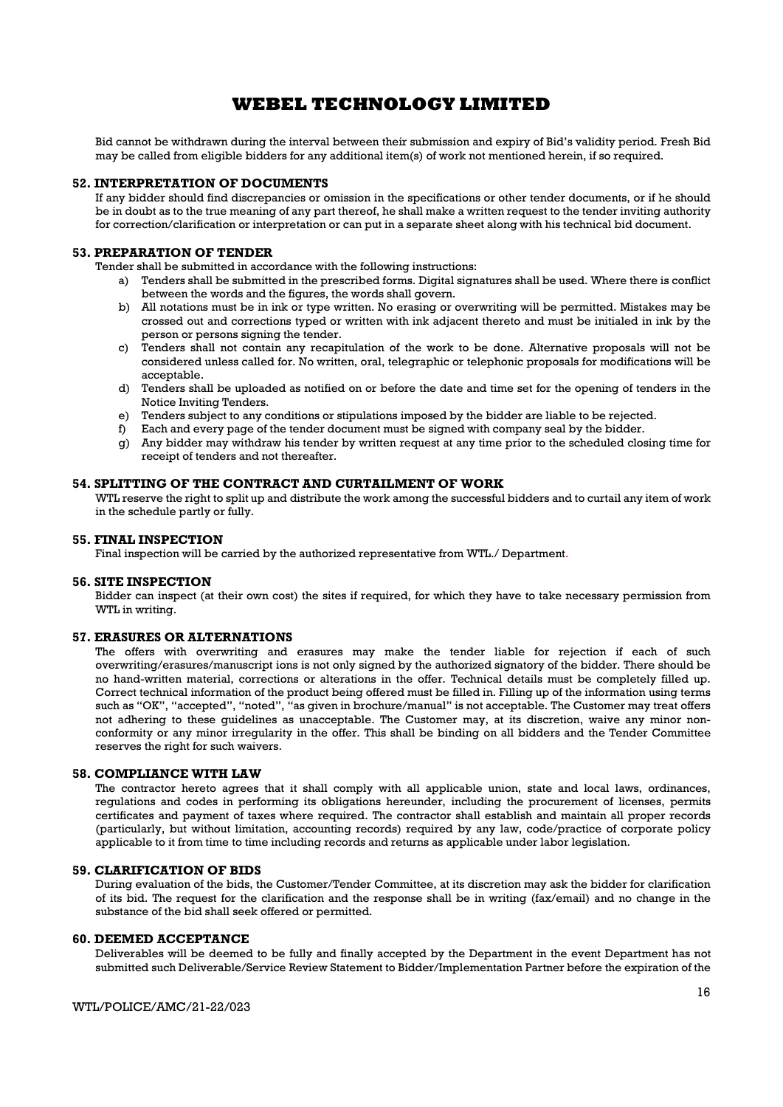Bid cannot be withdrawn during the interval between their submission and expiry of Bid's validity period. Fresh Bid may be called from eligible bidders for any additional item(s) of work not mentioned herein, if so required.

#### 52. INTERPRETATION OF DOCUMENTS

If any bidder should find discrepancies or omission in the specifications or other tender documents, or if he should be in doubt as to the true meaning of any part thereof, he shall make a written request to the tender inviting authority for correction/clarification or interpretation or can put in a separate sheet along with his technical bid document.

### 53. PREPARATION OF TENDER

Tender shall be submitted in accordance with the following instructions:

- a) Tenders shall be submitted in the prescribed forms. Digital signatures shall be used. Where there is conflict between the words and the figures, the words shall govern.
- b) All notations must be in ink or type written. No erasing or overwriting will be permitted. Mistakes may be crossed out and corrections typed or written with ink adjacent thereto and must be initialed in ink by the person or persons signing the tender.
- c) Tenders shall not contain any recapitulation of the work to be done. Alternative proposals will not be considered unless called for. No written, oral, telegraphic or telephonic proposals for modifications will be acceptable.
- d) Tenders shall be uploaded as notified on or before the date and time set for the opening of tenders in the Notice Inviting Tenders.
- e) Tenders subject to any conditions or stipulations imposed by the bidder are liable to be rejected.
- f) Each and every page of the tender document must be signed with company seal by the bidder.
- g) Any bidder may withdraw his tender by written request at any time prior to the scheduled closing time for receipt of tenders and not thereafter.

#### 54. SPLITTING OF THE CONTRACT AND CURTAILMENT OF WORK

WTL reserve the right to split up and distribute the work among the successful bidders and to curtail any item of work in the schedule partly or fully.

### 55. FINAL INSPECTION

Final inspection will be carried by the authorized representative from WTL./ Department.

### 56. SITE INSPECTION

Bidder can inspect (at their own cost) the sites if required, for which they have to take necessary permission from WTL in writing.

#### 57. ERASURES OR ALTERNATIONS

The offers with overwriting and erasures may make the tender liable for rejection if each of such overwriting/erasures/manuscript ions is not only signed by the authorized signatory of the bidder. There should be no hand-written material, corrections or alterations in the offer. Technical details must be completely filled up. Correct technical information of the product being offered must be filled in. Filling up of the information using terms such as "OK", "accepted", "noted", "as given in brochure/manual" is not acceptable. The Customer may treat offers not adhering to these guidelines as unacceptable. The Customer may, at its discretion, waive any minor nonconformity or any minor irregularity in the offer. This shall be binding on all bidders and the Tender Committee reserves the right for such waivers.

#### 58. COMPLIANCE WITH LAW

The contractor hereto agrees that it shall comply with all applicable union, state and local laws, ordinances, regulations and codes in performing its obligations hereunder, including the procurement of licenses, permits certificates and payment of taxes where required. The contractor shall establish and maintain all proper records (particularly, but without limitation, accounting records) required by any law, code/practice of corporate policy applicable to it from time to time including records and returns as applicable under labor legislation.

### 59. CLARIFICATION OF BIDS

During evaluation of the bids, the Customer/Tender Committee, at its discretion may ask the bidder for clarification of its bid. The request for the clarification and the response shall be in writing (fax/email) and no change in the substance of the bid shall seek offered or permitted.

### 60. DEEMED ACCEPTANCE

Deliverables will be deemed to be fully and finally accepted by the Department in the event Department has not submitted such Deliverable/Service Review Statement to Bidder/Implementation Partner before the expiration of the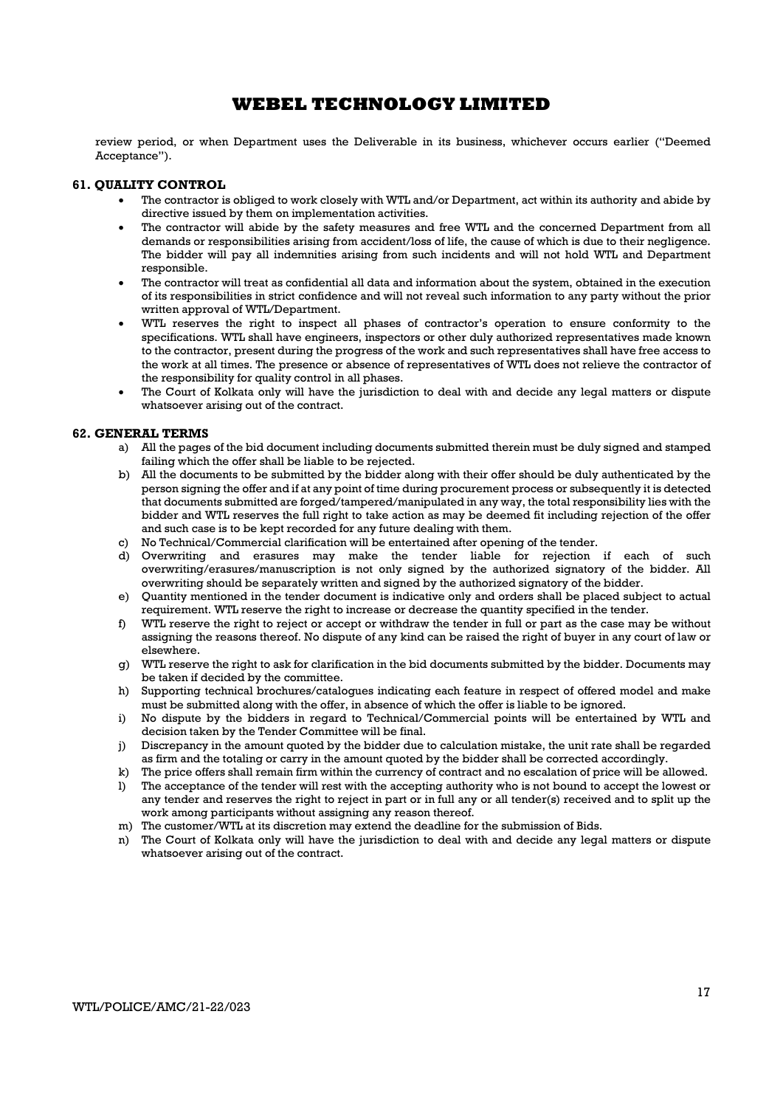review period, or when Department uses the Deliverable in its business, whichever occurs earlier ("Deemed Acceptance").

### 61. QUALITY CONTROL

- The contractor is obliged to work closely with WTL and/or Department, act within its authority and abide by directive issued by them on implementation activities.
- The contractor will abide by the safety measures and free WTL and the concerned Department from all demands or responsibilities arising from accident/loss of life, the cause of which is due to their negligence. The bidder will pay all indemnities arising from such incidents and will not hold WTL and Department responsible.
- The contractor will treat as confidential all data and information about the system, obtained in the execution of its responsibilities in strict confidence and will not reveal such information to any party without the prior written approval of WTL/Department.
- WTL reserves the right to inspect all phases of contractor's operation to ensure conformity to the specifications. WTL shall have engineers, inspectors or other duly authorized representatives made known to the contractor, present during the progress of the work and such representatives shall have free access to the work at all times. The presence or absence of representatives of WTL does not relieve the contractor of the responsibility for quality control in all phases.
- The Court of Kolkata only will have the jurisdiction to deal with and decide any legal matters or dispute whatsoever arising out of the contract.

### 62. GENERAL TERMS

- a) All the pages of the bid document including documents submitted therein must be duly signed and stamped failing which the offer shall be liable to be rejected.
- b) All the documents to be submitted by the bidder along with their offer should be duly authenticated by the person signing the offer and if at any point of time during procurement process or subsequently it is detected that documents submitted are forged/tampered/manipulated in any way, the total responsibility lies with the bidder and WTL reserves the full right to take action as may be deemed fit including rejection of the offer and such case is to be kept recorded for any future dealing with them.
- c) No Technical/Commercial clarification will be entertained after opening of the tender.
- d) Overwriting and erasures may make the tender liable for rejection if each of such overwriting/erasures/manuscription is not only signed by the authorized signatory of the bidder. All overwriting should be separately written and signed by the authorized signatory of the bidder.
- e) Quantity mentioned in the tender document is indicative only and orders shall be placed subject to actual requirement. WTL reserve the right to increase or decrease the quantity specified in the tender.
- f) WTL reserve the right to reject or accept or withdraw the tender in full or part as the case may be without assigning the reasons thereof. No dispute of any kind can be raised the right of buyer in any court of law or elsewhere.
- g) WTL reserve the right to ask for clarification in the bid documents submitted by the bidder. Documents may be taken if decided by the committee.
- h) Supporting technical brochures/catalogues indicating each feature in respect of offered model and make must be submitted along with the offer, in absence of which the offer is liable to be ignored.
- i) No dispute by the bidders in regard to Technical/Commercial points will be entertained by WTL and decision taken by the Tender Committee will be final.
- j) Discrepancy in the amount quoted by the bidder due to calculation mistake, the unit rate shall be regarded as firm and the totaling or carry in the amount quoted by the bidder shall be corrected accordingly.
- k) The price offers shall remain firm within the currency of contract and no escalation of price will be allowed.
- l) The acceptance of the tender will rest with the accepting authority who is not bound to accept the lowest or any tender and reserves the right to reject in part or in full any or all tender(s) received and to split up the work among participants without assigning any reason thereof.
- m) The customer/WTL at its discretion may extend the deadline for the submission of Bids.
- n) The Court of Kolkata only will have the jurisdiction to deal with and decide any legal matters or dispute whatsoever arising out of the contract.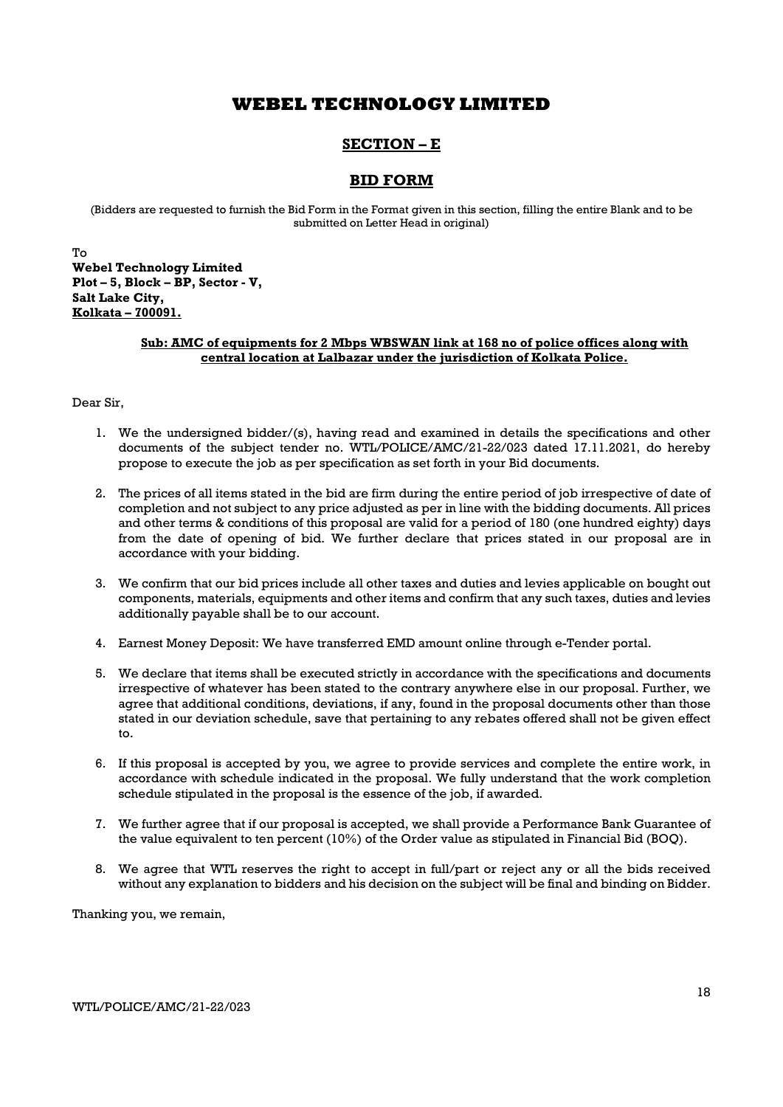### SECTION – E

### BID FORM

(Bidders are requested to furnish the Bid Form in the Format given in this section, filling the entire Blank and to be submitted on Letter Head in original)

To Webel Technology Limited Plot – 5, Block – BP, Sector - V, Salt Lake City, Kolkata – 700091.

### Sub: AMC of equipments for 2 Mbps WBSWAN link at 168 no of police offices along with central location at Lalbazar under the jurisdiction of Kolkata Police.

### Dear Sir,

- 1. We the undersigned bidder/(s), having read and examined in details the specifications and other documents of the subject tender no. WTL/POLICE/AMC/21-22/023 dated 17.11.2021, do hereby propose to execute the job as per specification as set forth in your Bid documents.
- 2. The prices of all items stated in the bid are firm during the entire period of job irrespective of date of completion and not subject to any price adjusted as per in line with the bidding documents. All prices and other terms & conditions of this proposal are valid for a period of 180 (one hundred eighty) days from the date of opening of bid. We further declare that prices stated in our proposal are in accordance with your bidding.
- 3. We confirm that our bid prices include all other taxes and duties and levies applicable on bought out components, materials, equipments and other items and confirm that any such taxes, duties and levies additionally payable shall be to our account.
- 4. Earnest Money Deposit: We have transferred EMD amount online through e-Tender portal.
- 5. We declare that items shall be executed strictly in accordance with the specifications and documents irrespective of whatever has been stated to the contrary anywhere else in our proposal. Further, we agree that additional conditions, deviations, if any, found in the proposal documents other than those stated in our deviation schedule, save that pertaining to any rebates offered shall not be given effect to.
- 6. If this proposal is accepted by you, we agree to provide services and complete the entire work, in accordance with schedule indicated in the proposal. We fully understand that the work completion schedule stipulated in the proposal is the essence of the job, if awarded.
- 7. We further agree that if our proposal is accepted, we shall provide a Performance Bank Guarantee of the value equivalent to ten percent (10%) of the Order value as stipulated in Financial Bid (BOQ).
- 8. We agree that WTL reserves the right to accept in full/part or reject any or all the bids received without any explanation to bidders and his decision on the subject will be final and binding on Bidder.

Thanking you, we remain,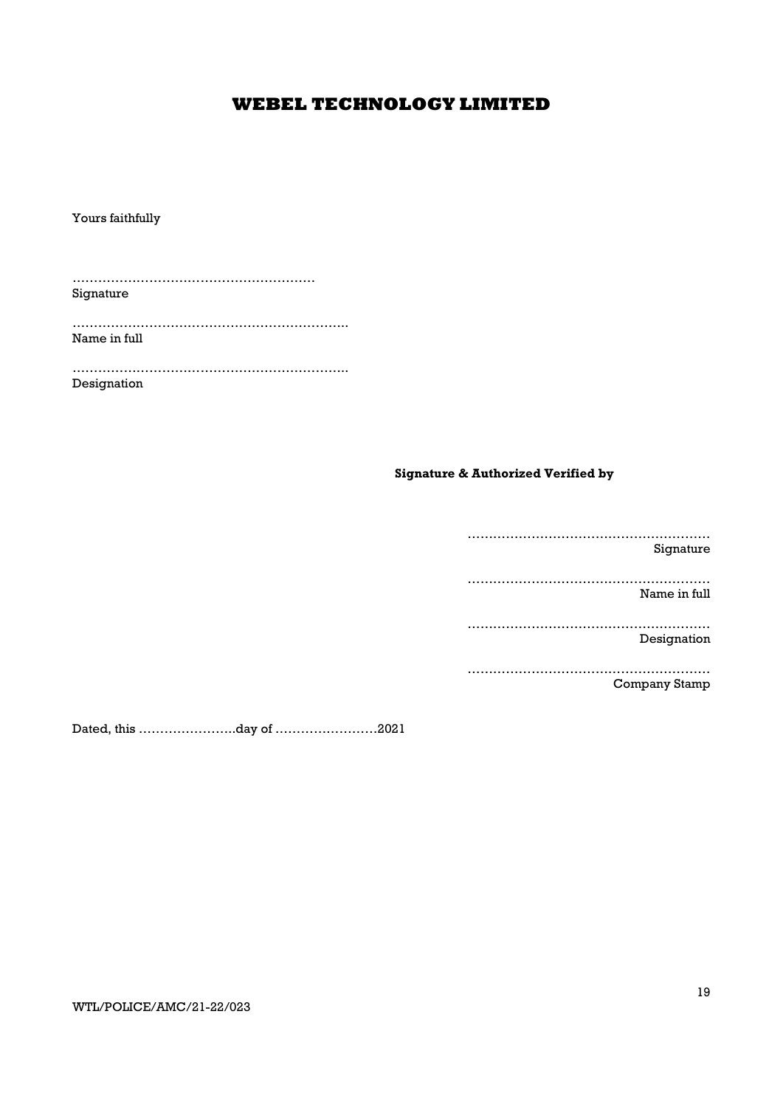Yours faithfully

………………………………………………… Signature

……………………………………………………….. Name in full

……………………………………………………….. Designation

### Signature & Authorized Verified by

………………………………………………… Signature

………………………………………………… Name in full

………………………………………………… Designation

………………………………………………… Company Stamp

Dated, this …………………..day of ……………………2021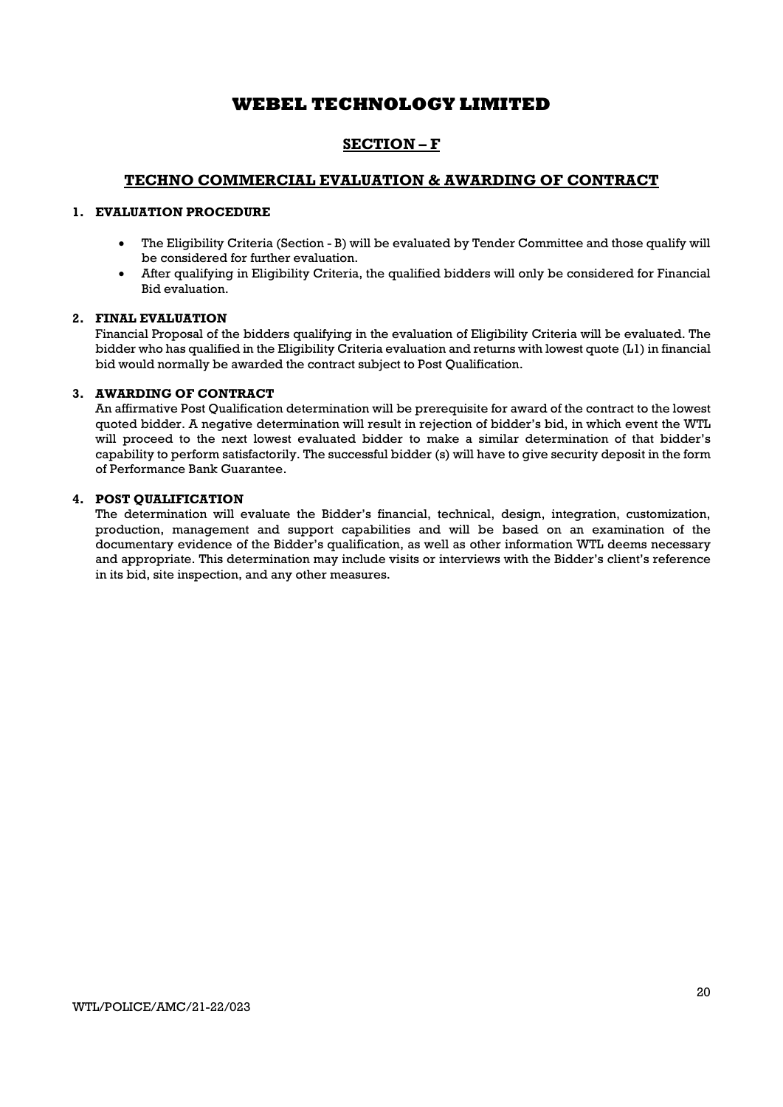### SECTION – F

### TECHNO COMMERCIAL EVALUATION & AWARDING OF CONTRACT

### 1. EVALUATION PROCEDURE

- The Eligibility Criteria (Section B) will be evaluated by Tender Committee and those qualify will be considered for further evaluation.
- After qualifying in Eligibility Criteria, the qualified bidders will only be considered for Financial Bid evaluation.

### 2. FINAL EVALUATION

Financial Proposal of the bidders qualifying in the evaluation of Eligibility Criteria will be evaluated. The bidder who has qualified in the Eligibility Criteria evaluation and returns with lowest quote (L1) in financial bid would normally be awarded the contract subject to Post Qualification.

### 3. AWARDING OF CONTRACT

An affirmative Post Qualification determination will be prerequisite for award of the contract to the lowest quoted bidder. A negative determination will result in rejection of bidder's bid, in which event the WTL will proceed to the next lowest evaluated bidder to make a similar determination of that bidder's capability to perform satisfactorily. The successful bidder (s) will have to give security deposit in the form of Performance Bank Guarantee.

### 4. POST QUALIFICATION

The determination will evaluate the Bidder's financial, technical, design, integration, customization, production, management and support capabilities and will be based on an examination of the documentary evidence of the Bidder's qualification, as well as other information WTL deems necessary and appropriate. This determination may include visits or interviews with the Bidder's client's reference in its bid, site inspection, and any other measures.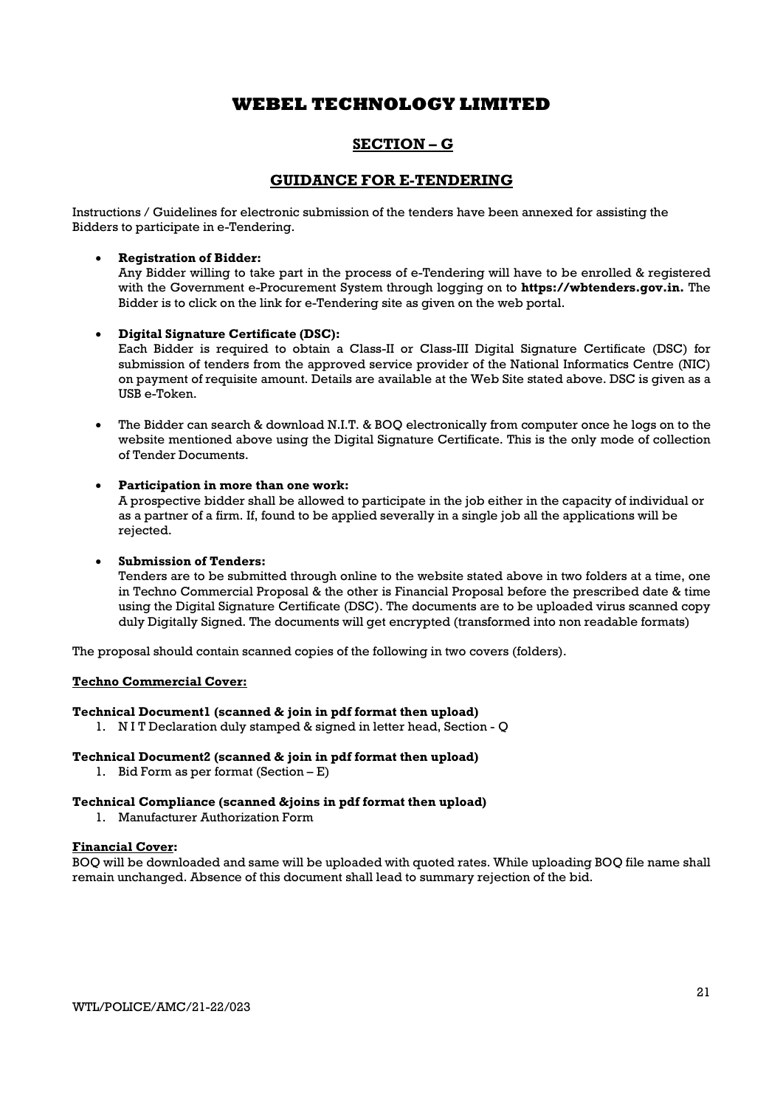### SECTION – G

### GUIDANCE FOR E-TENDERING

Instructions / Guidelines for electronic submission of the tenders have been annexed for assisting the Bidders to participate in e-Tendering.

### Registration of Bidder:

Any Bidder willing to take part in the process of e-Tendering will have to be enrolled & registered with the Government e-Procurement System through logging on to **https://wbtenders.gov.in.** The Bidder is to click on the link for e-Tendering site as given on the web portal.

### Digital Signature Certificate (DSC):

Each Bidder is required to obtain a Class-II or Class-III Digital Signature Certificate (DSC) for submission of tenders from the approved service provider of the National Informatics Centre (NIC) on payment of requisite amount. Details are available at the Web Site stated above. DSC is given as a USB e-Token.

 The Bidder can search & download N.I.T. & BOQ electronically from computer once he logs on to the website mentioned above using the Digital Signature Certificate. This is the only mode of collection of Tender Documents.

### Participation in more than one work:

A prospective bidder shall be allowed to participate in the job either in the capacity of individual or as a partner of a firm. If, found to be applied severally in a single job all the applications will be rejected.

### Submission of Tenders:

Tenders are to be submitted through online to the website stated above in two folders at a time, one in Techno Commercial Proposal & the other is Financial Proposal before the prescribed date & time using the Digital Signature Certificate (DSC). The documents are to be uploaded virus scanned copy duly Digitally Signed. The documents will get encrypted (transformed into non readable formats)

The proposal should contain scanned copies of the following in two covers (folders).

### Techno Commercial Cover:

### Technical Document1 (scanned & join in pdf format then upload)

1. N I T Declaration duly stamped & signed in letter head, Section - Q

### Technical Document2 (scanned & join in pdf format then upload)

1. Bid Form as per format (Section – E)

### Technical Compliance (scanned &joins in pdf format then upload)

1. Manufacturer Authorization Form

### Financial Cover:

BOQ will be downloaded and same will be uploaded with quoted rates. While uploading BOQ file name shall remain unchanged. Absence of this document shall lead to summary rejection of the bid.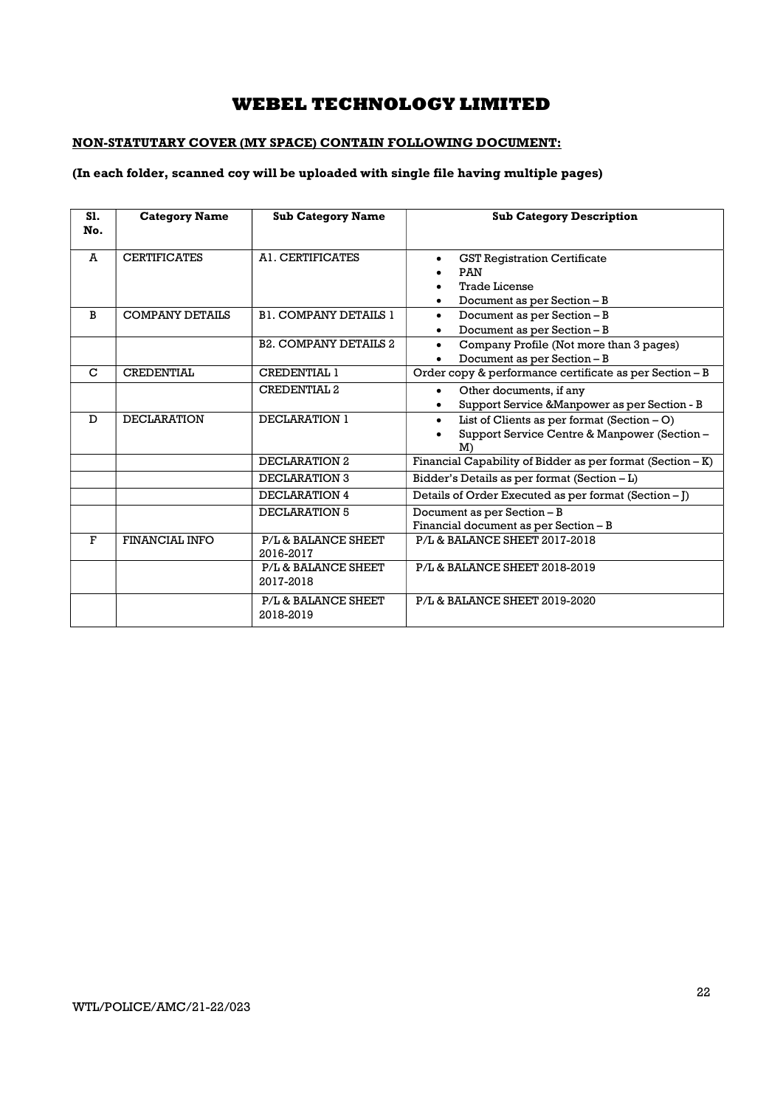### NON-STATUTARY COVER (MY SPACE) CONTAIN FOLLOWING DOCUMENT:

### (In each folder, scanned coy will be uploaded with single file having multiple pages)

| S1.<br>No. | <b>Category Name</b>   | <b>Sub Category Name</b>         | <b>Sub Category Description</b>                                                                                             |
|------------|------------------------|----------------------------------|-----------------------------------------------------------------------------------------------------------------------------|
| A          | <b>CERTIFICATES</b>    | A1. CERTIFICATES                 | <b>GST Registration Certificate</b><br>$\bullet$<br>PAN<br><b>Trade License</b><br>Document as per Section - B<br>$\bullet$ |
| B          | <b>COMPANY DETAILS</b> | <b>B1. COMPANY DETAILS 1</b>     | Document as per Section - B<br>$\bullet$<br>Document as per Section - B                                                     |
|            |                        | <b>B2. COMPANY DETAILS 2</b>     | Company Profile (Not more than 3 pages)<br>$\bullet$<br>Document as per Section - B                                         |
| C          | <b>CREDENTIAL</b>      | <b>CREDENTIAL 1</b>              | Order copy & performance certificate as per Section - B                                                                     |
|            |                        | <b>CREDENTIAL 2</b>              | Other documents, if any<br>$\bullet$<br>Support Service & Manpower as per Section - B                                       |
| D          | <b>DECLARATION</b>     | DECLARATION 1                    | List of Clients as per format $(Section - O)$<br>$\bullet$<br>Support Service Centre & Manpower (Section -<br>M             |
|            |                        | DECLARATION 2                    | Financial Capability of Bidder as per format (Section - K)                                                                  |
|            |                        | <b>DECLARATION 3</b>             | Bidder's Details as per format (Section - L)                                                                                |
|            |                        | <b>DECLARATION 4</b>             | Details of Order Executed as per format (Section - J)                                                                       |
|            |                        | DECLARATION 5                    | Document as per Section - B<br>Financial document as per Section - B                                                        |
| F          | <b>FINANCIAL INFO</b>  | P/L & BALANCE SHEET<br>2016-2017 | P/L & BALANCE SHEET 2017-2018                                                                                               |
|            |                        | P/L & BALANCE SHEET<br>2017-2018 | P/L & BALANCE SHEET 2018-2019                                                                                               |
|            |                        | P/L & BALANCE SHEET<br>2018-2019 | P/L & BALANCE SHEET 2019-2020                                                                                               |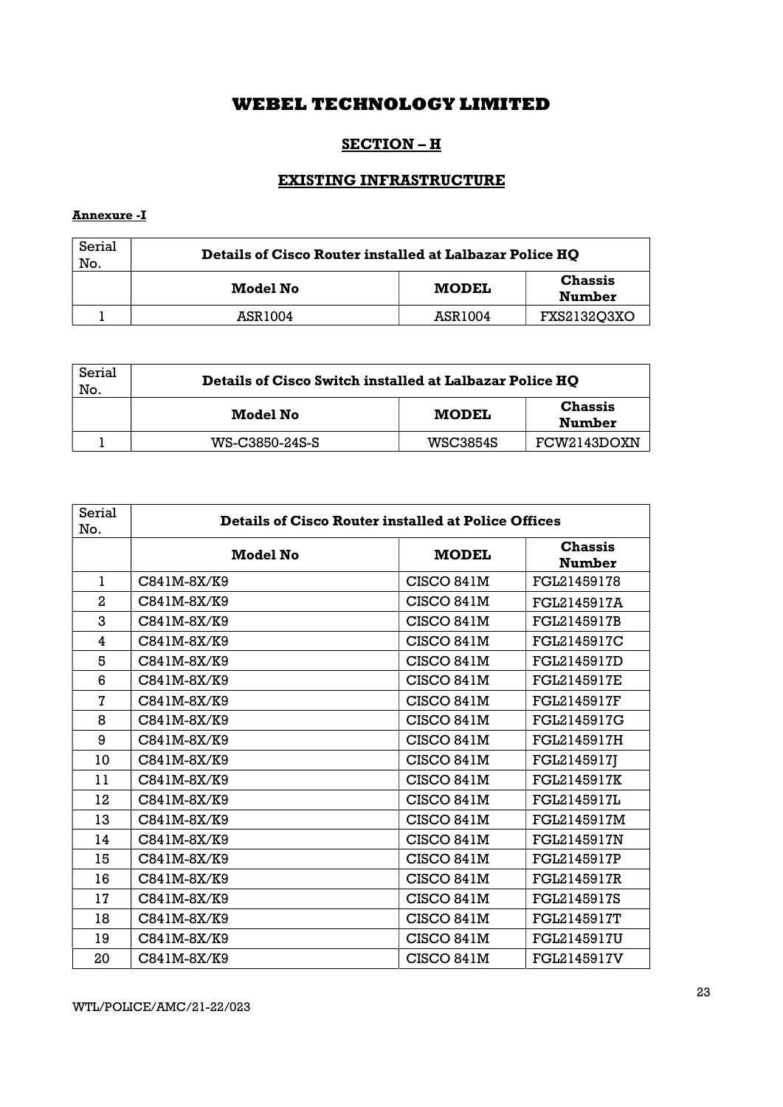### SECTION – H

## EXISTING INFRASTRUCTURE

### Annexure -I

| Serial<br>No. | Details of Cisco Router installed at Lalbazar Police HQ |              |                                 |
|---------------|---------------------------------------------------------|--------------|---------------------------------|
|               | Model No                                                | <b>MODEL</b> | <b>Chassis</b><br><b>Number</b> |
|               | ASR1004                                                 | ASR1004      | FXS2132O3XO                     |

| Serial<br>No. | Details of Cisco Switch installed at Lalbazar Police HQ |                 |                                 |
|---------------|---------------------------------------------------------|-----------------|---------------------------------|
|               | Model No                                                | <b>MODEL</b>    | <b>Chassis</b><br><b>Number</b> |
|               | WS-C3850-24S-S                                          | <b>WSC3854S</b> | FCW2143DOXN                     |

| Serial<br>No. | <b>Details of Cisco Router installed at Police Offices</b> |              |                                 |
|---------------|------------------------------------------------------------|--------------|---------------------------------|
|               | Model No                                                   | <b>MODEL</b> | <b>Chassis</b><br><b>Number</b> |
| 1             | C841M-8X/K9                                                | CISCO 841M   | FGL21459178                     |
| 2             | C841M-8X/K9                                                | CISCO 841M   | FGL2145917A                     |
| 3             | C841M-8X/K9                                                | CISCO 841M   | FGL2145917B                     |
| 4             | C841M-8X/K9                                                | CISCO 841M   | FGL2145917C                     |
| 5             | C841M-8X/K9                                                | CISCO 841M   | FGL2145917D                     |
| 6             | C841M-8X/K9                                                | CISCO 841M   | FGL2145917E                     |
| 7             | C841M-8X/K9                                                | CISCO 841M   | FGL2145917F                     |
| 8             | C841M-8X/K9                                                | CISCO 841M   | FGL2145917G                     |
| 9             | C841M-8X/K9                                                | CISCO 841M   | FGL2145917H                     |
| 10            | C841M-8X/K9                                                | CISCO 841M   | FGL2145917J                     |
| 11            | C841M-8X/K9                                                | CISCO 841M   | FGL2145917K                     |
| 12            | C841M-8X/K9                                                | CISCO 841M   | FGL2145917L                     |
| 13            | C841M-8X/K9                                                | CISCO 841M   | FGL2145917M                     |
| 14            | C841M-8X/K9                                                | CISCO 841M   | FGL2145917N                     |
| 15            | C841M-8X/K9                                                | CISCO 841M   | FGL2145917P                     |
| 16            | C841M-8X/K9                                                | CISCO 841M   | FGL2145917R                     |
| 17            | C841M-8X/K9                                                | CISCO 841M   | FGL2145917S                     |
| 18            | C841M-8X/K9                                                | CISCO 841M   | FGL2145917T                     |
| 19            | C841M-8X/K9                                                | CISCO 841M   | FGL2145917U                     |
| 20            | $C841M-8X/K9$                                              | CISCO 841M   | FGL2145917V                     |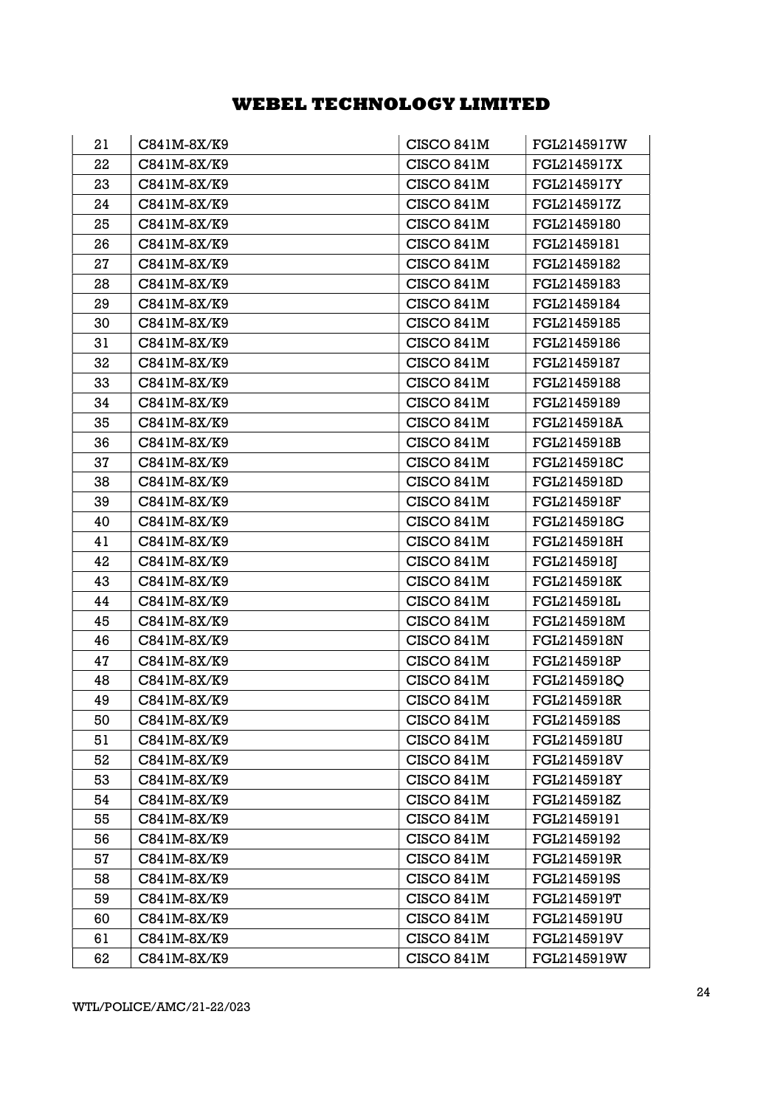| 21 | C841M-8X/K9   | CISCO 841M | FGL2145917W |
|----|---------------|------------|-------------|
| 22 | C841M-8X/K9   | CISCO 841M | FGL2145917X |
| 23 | C841M-8X/K9   | CISCO 841M | FGL2145917Y |
| 24 | C841M-8X/K9   | CISCO 841M | FGL2145917Z |
| 25 | C841M-8X/K9   | CISCO 841M | FGL21459180 |
| 26 | C841M-8X/K9   | CISCO 841M | FGL21459181 |
| 27 | C841M-8X/K9   | CISCO 841M | FGL21459182 |
| 28 | C841M-8X/K9   | CISCO 841M | FGL21459183 |
| 29 | C841M-8X/K9   | CISCO 841M | FGL21459184 |
| 30 | C841M-8X/K9   | CISCO 841M | FGL21459185 |
| 31 | C841M-8X/K9   | CISCO 841M | FGL21459186 |
| 32 | C841M-8X/K9   | CISCO 841M | FGL21459187 |
| 33 | C841M-8X/K9   | CISCO 841M | FGL21459188 |
| 34 | C841M-8X/K9   | CISCO 841M | FGL21459189 |
| 35 | C841M-8X/K9   | CISCO 841M | FGL2145918A |
| 36 | $C841M-8X/K9$ | CISCO 841M | FGL2145918B |
| 37 | C841M-8X/K9   | CISCO 841M | FGL2145918C |
| 38 | C841M-8X/K9   | CISCO 841M | FGL2145918D |
| 39 | C841M-8X/K9   | CISCO 841M | FGL2145918F |
| 40 | C841M-8X/K9   | CISCO 841M | FGL2145918G |
| 41 | C841M-8X/K9   | CISCO 841M | FGL2145918H |
| 42 | $C841M-8X/K9$ | CISCO 841M | FGL2145918J |
| 43 | C841M-8X/K9   | CISCO 841M | FGL2145918K |
| 44 | C841M-8X/K9   | CISCO 841M | FGL2145918L |
| 45 | C841M-8X/K9   | CISCO 841M | FGL2145918M |
| 46 | C841M-8X/K9   | CISCO 841M | FGL2145918N |
| 47 | C841M-8X/K9   | CISCO 841M | FGL2145918P |
| 48 | C841M-8X/K9   | CISCO 841M | FGL2145918Q |
| 49 | C841M-8X/K9   | CISCO 841M | FGL2145918R |
| 50 | C841M-8X/K9   | CISCO 841M | FGL2145918S |
| 51 | C841M-8X/K9   | CISCO 841M | FGL2145918U |
| 52 | C841M-8X/K9   | CISCO 841M | FGL2145918V |
| 53 | C841M-8X/K9   | CISCO 841M | FGL2145918Y |
| 54 | C841M-8X/K9   | CISCO 841M | FGL2145918Z |
| 55 | C841M-8X/K9   | CISCO 841M | FGL21459191 |
| 56 | C841M-8X/K9   | CISCO 841M | FGL21459192 |
| 57 | C841M-8X/K9   | CISCO 841M | FGL2145919R |
| 58 | C841M-8X/K9   | CISCO 841M | FGL2145919S |
| 59 | C841M-8X/K9   | CISCO 841M | FGL2145919T |
| 60 | C841M-8X/K9   | CISCO 841M | FGL2145919U |
| 61 | C841M-8X/K9   | CISCO 841M | FGL2145919V |
| 62 | C841M-8X/K9   | CISCO 841M | FGL2145919W |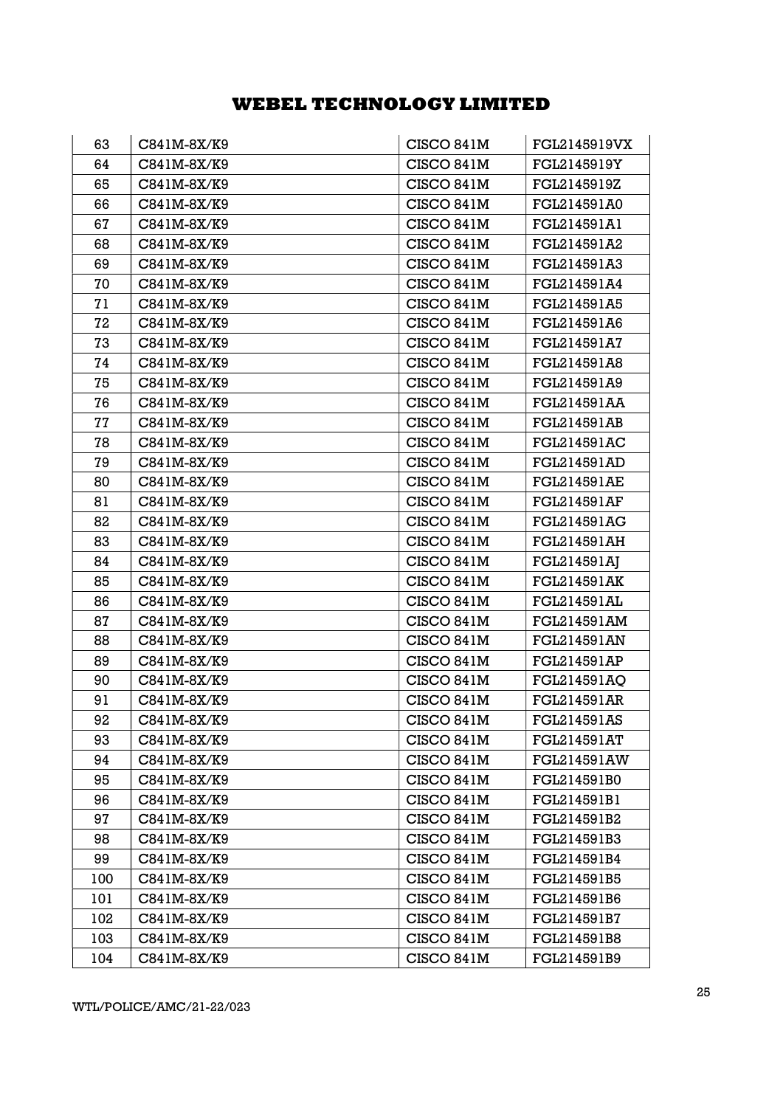| 63  | C841M-8X/K9 | CISCO 841M | FGL2145919VX       |
|-----|-------------|------------|--------------------|
| 64  | C841M-8X/K9 | CISCO 841M | FGL2145919Y        |
| 65  | C841M-8X/K9 | CISCO 841M | FGL2145919Z        |
| 66  | C841M-8X/K9 | CISCO 841M | FGL214591A0        |
| 67  | C841M-8X/K9 | CISCO 841M | FGL214591A1        |
| 68  | C841M-8X/K9 | CISCO 841M | FGL214591A2        |
| 69  | C841M-8X/K9 | CISCO 841M | FGL214591A3        |
| 70  | C841M-8X/K9 | CISCO 841M | FGL214591A4        |
| 71  | C841M-8X/K9 | CISCO 841M | FGL214591A5        |
| 72  | C841M-8X/K9 | CISCO 841M | FGL214591A6        |
| 73  | C841M-8X/K9 | CISCO 841M | FGL214591A7        |
| 74  | C841M-8X/K9 | CISCO 841M | FGL214591A8        |
| 75  | C841M-8X/K9 | CISCO 841M | FGL214591A9        |
| 76  | C841M-8X/K9 | CISCO 841M | FGL214591AA        |
| 77  | C841M-8X/K9 | CISCO 841M | <b>FGL214591AB</b> |
| 78  | C841M-8X/K9 | CISCO 841M | <b>FGL214591AC</b> |
| 79  | C841M-8X/K9 | CISCO 841M | FGL214591AD        |
| 80  | C841M-8X/K9 | CISCO 841M | <b>FGL214591AE</b> |
| 81  | C841M-8X/K9 | CISCO 841M | <b>FGL214591AF</b> |
| 82  | C841M-8X/K9 | CISCO 841M | <b>FGL214591AG</b> |
| 83  | C841M-8X/K9 | CISCO 841M | FGL214591AH        |
| 84  | C841M-8X/K9 | CISCO 841M | FGL214591AJ        |
| 85  | C841M-8X/K9 | CISCO 841M | <b>FGL214591AK</b> |
| 86  | C841M-8X/K9 | CISCO 841M | <b>FGL214591AL</b> |
| 87  | C841M-8X/K9 | CISCO 841M | FGL214591AM        |
| 88  | C841M-8X/K9 | CISCO 841M | FGL214591AN        |
| 89  | C841M-8X/K9 | CISCO 841M | <b>FGL214591AP</b> |
| 90  | C841M-8X/K9 | CISCO 841M | FGL214591AQ        |
| 91  | C841M-8X/K9 | CISCO 841M | <b>FGL214591AR</b> |
| 92  | C841M-8X/K9 | CISCO 841M | FGL214591AS        |
| 93  | C841M-8X/K9 | CISCO 841M | FGL214591AT        |
| 94  | C841M-8X/K9 | CISCO 841M | <b>FGL214591AW</b> |
| 95  | C841M-8X/K9 | CISCO 841M | FGL214591B0        |
| 96  | C841M-8X/K9 | CISCO 841M | FGL214591B1        |
| 97  | C841M-8X/K9 | CISCO 841M | FGL214591B2        |
| 98  | C841M-8X/K9 | CISCO 841M | FGL214591B3        |
| 99  | C841M-8X/K9 | CISCO 841M | FGL214591B4        |
| 100 | C841M-8X/K9 | CISCO 841M | FGL214591B5        |
| 101 | C841M-8X/K9 | CISCO 841M | FGL214591B6        |
| 102 | C841M-8X/K9 | CISCO 841M | FGL214591B7        |
| 103 | C841M-8X/K9 | CISCO 841M | FGL214591B8        |
| 104 | C841M-8X/K9 | CISCO 841M | FGL214591B9        |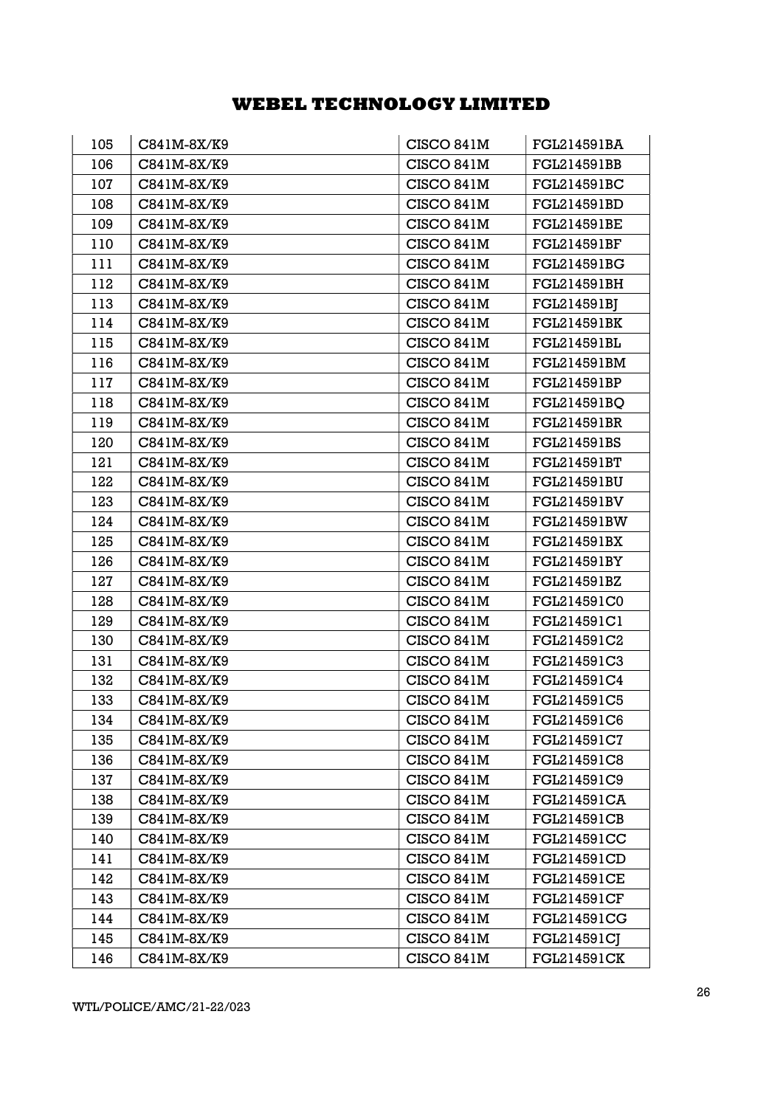| 105 | C841M-8X/K9 | CISCO 841M | FGL214591BA        |
|-----|-------------|------------|--------------------|
| 106 | C841M-8X/K9 | CISCO 841M | <b>FGL214591BB</b> |
| 107 | C841M-8X/K9 | CISCO 841M | FGL214591BC        |
| 108 | C841M-8X/K9 | CISCO 841M | FGL214591BD        |
| 109 | C841M-8X/K9 | CISCO 841M | FGL214591BE        |
| 110 | C841M-8X/K9 | CISCO 841M | <b>FGL214591BF</b> |
| 111 | C841M-8X/K9 | CISCO 841M | FGL214591BG        |
| 112 | C841M-8X/K9 | CISCO 841M | FGL214591BH        |
| 113 | C841M-8X/K9 | CISCO 841M | FGL214591BJ        |
| 114 | C841M-8X/K9 | CISCO 841M | <b>FGL214591BK</b> |
| 115 | C841M-8X/K9 | CISCO 841M | FGL214591BL        |
| 116 | C841M-8X/K9 | CISCO 841M | FGL214591BM        |
| 117 | C841M-8X/K9 | CISCO 841M | FGL214591BP        |
| 118 | C841M-8X/K9 | CISCO 841M | FGL214591BQ        |
| 119 | C841M-8X/K9 | CISCO 841M | <b>FGL214591BR</b> |
| 120 | C841M-8X/K9 | CISCO 841M | FGL214591BS        |
| 121 | C841M-8X/K9 | CISCO 841M | FGL214591BT        |
| 122 | C841M-8X/K9 | CISCO 841M | <b>FGL214591BU</b> |
| 123 | C841M-8X/K9 | CISCO 841M | FGL214591BV        |
| 124 | C841M-8X/K9 | CISCO 841M | <b>FGL214591BW</b> |
| 125 | C841M-8X/K9 | CISCO 841M | <b>FGL214591BX</b> |
| 126 | C841M-8X/K9 | CISCO 841M | <b>FGL214591BY</b> |
| 127 | C841M-8X/K9 | CISCO 841M | FGL214591BZ        |
| 128 | C841M-8X/K9 | CISCO 841M | FGL214591C0        |
| 129 | C841M-8X/K9 | CISCO 841M | FGL214591C1        |
| 130 | C841M-8X/K9 | CISCO 841M | FGL214591C2        |
| 131 | C841M-8X/K9 | CISCO 841M | FGL214591C3        |
| 132 | C841M-8X/K9 | CISCO 841M | FGL214591C4        |
| 133 | C841M-8X/K9 | CISCO 841M | FGL214591C5        |
| 134 | C841M-8X/K9 | CISCO 841M | FGL214591C6        |
| 135 | C841M-8X/K9 | CISCO 841M | FGL214591C7        |
| 136 | C841M-8X/K9 | CISCO 841M | FGL214591C8        |
| 137 | C841M-8X/K9 | CISCO 841M | FGL214591C9        |
| 138 | C841M-8X/K9 | CISCO 841M | <b>FGL214591CA</b> |
| 139 | C841M-8X/K9 | CISCO 841M | <b>FGL214591CB</b> |
| 140 | C841M-8X/K9 | CISCO 841M | <b>FGL214591CC</b> |
| 141 | C841M-8X/K9 | CISCO 841M | FGL214591CD        |
| 142 | C841M-8X/K9 | CISCO 841M | <b>FGL214591CE</b> |
| 143 | C841M-8X/K9 | CISCO 841M | <b>FGL214591CF</b> |
| 144 | C841M-8X/K9 | CISCO 841M | <b>FGL214591CG</b> |
| 145 | C841M-8X/K9 | CISCO 841M | <b>FGL214591CJ</b> |
| 146 | C841M-8X/K9 | CISCO 841M | <b>FGL214591CK</b> |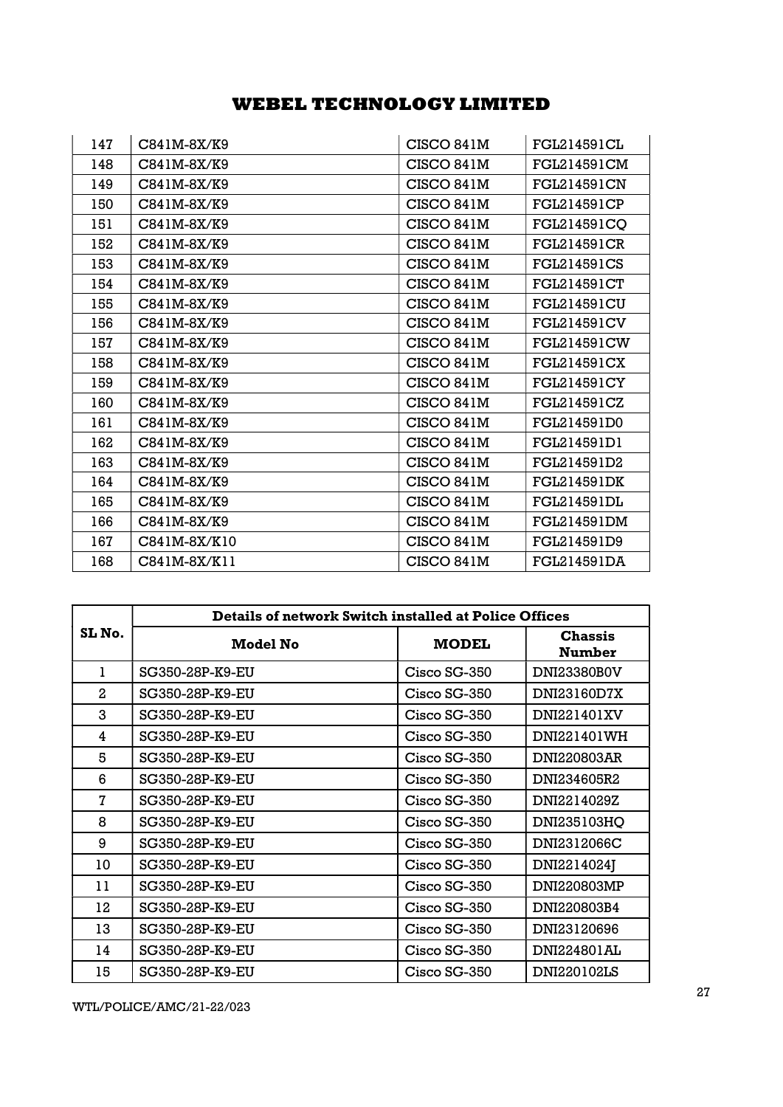| 147 | C841M-8X/K9   | CISCO 841M | <b>FGL214591CL</b> |
|-----|---------------|------------|--------------------|
| 148 | C841M-8X/K9   | CISCO 841M | FGL214591CM        |
| 149 | $C841M-8X/K9$ | CISCO 841M | FGL214591CN        |
| 150 | C841M-8X/K9   | CISCO 841M | FGL214591CP        |
| 151 | C841M-8X/K9   | CISCO 841M | FGL214591CQ        |
| 152 | C841M-8X/K9   | CISCO 841M | <b>FGL214591CR</b> |
| 153 | C841M-8X/K9   | CISCO 841M | <b>FGL214591CS</b> |
| 154 | $C841M-8X/K9$ | CISCO 841M | FGL214591CT        |
| 155 | $C841M-8X/K9$ | CISCO 841M | <b>FGL214591CU</b> |
| 156 | C841M-8X/K9   | CISCO 841M | FGL214591CV        |
| 157 | C841M-8X/K9   | CISCO 841M | FGL214591CW        |
| 158 | C841M-8X/K9   | CISCO 841M | FGL214591CX        |
| 159 | $C841M-8X/K9$ | CISCO 841M | FGL214591CY        |
| 160 | C841M-8X/K9   | CISCO 841M | FGL214591CZ        |
| 161 | C841M-8X/K9   | CISCO 841M | FGL214591D0        |
| 162 | C841M-8X/K9   | CISCO 841M | FGL214591D1        |
| 163 | C841M-8X/K9   | CISCO 841M | FGL214591D2        |
| 164 | C841M-8X/K9   | CISCO 841M | <b>FGL214591DK</b> |
| 165 | C841M-8X/K9   | CISCO 841M | FGL214591DL        |
| 166 | C841M-8X/K9   | CISCO 841M | FGL214591DM        |
| 167 | C841M-8X/K10  | CISCO 841M | FGL214591D9        |
| 168 | C841M-8X/K11  | CISCO 841M | FGL214591DA        |

|        | <b>Details of network Switch installed at Police Offices</b> |                |                          |
|--------|--------------------------------------------------------------|----------------|--------------------------|
| SL No. | <b>Model No</b>                                              | <b>MODEL</b>   | <b>Chassis</b><br>Number |
| 1      | SG350-28P-K9-EU                                              | Cisco SG-350   | <b>DNI23380B0V</b>       |
| 2      | SG350-28P-K9-EU                                              | Cisco SG-350   | DNI23160D7X              |
| 3      | SG350-28P-K9-EU                                              | Cisco SG-350   | DNI221401XV              |
| 4      | SG350-28P-K9-EU                                              | Cisco SG-350   | DNI221401WH              |
| 5      | SG350-28P-K9-EU                                              | Cisco SG-350   | DNI220803AR              |
| 6      | SG350-28P-K9-EU                                              | Cisco SG-350   | DNI234605R2              |
| 7      | SG350-28P-K9-EU                                              | Cisco SG-350   | DNI2214029Z              |
| 8      | SG350-28P-K9-EU                                              | Cisco SG-350   | DNI235103HQ              |
| 9      | SG350-28P-K9-EU                                              | Cisco SG-350   | DNI2312066C              |
| 10     | SG350-28P-K9-EU                                              | Cisco SG-350   | DNI2214024J              |
| 11     | SG350-28P-K9-EU                                              | Cisco SG-350   | DNI220803MP              |
| 12     | SG350-28P-K9-EU                                              | Cisco SG-350   | DNI220803B4              |
| 13     | SG350-28P-K9-EU                                              | Cisco SG-350   | DNI23120696              |
| 14     | SG350-28P-K9-EU                                              | Cisco SG-350   | DNI224801AL              |
| 15     | SG350-28P-K9-EU                                              | $Cisco SG-350$ | DNI220102LS              |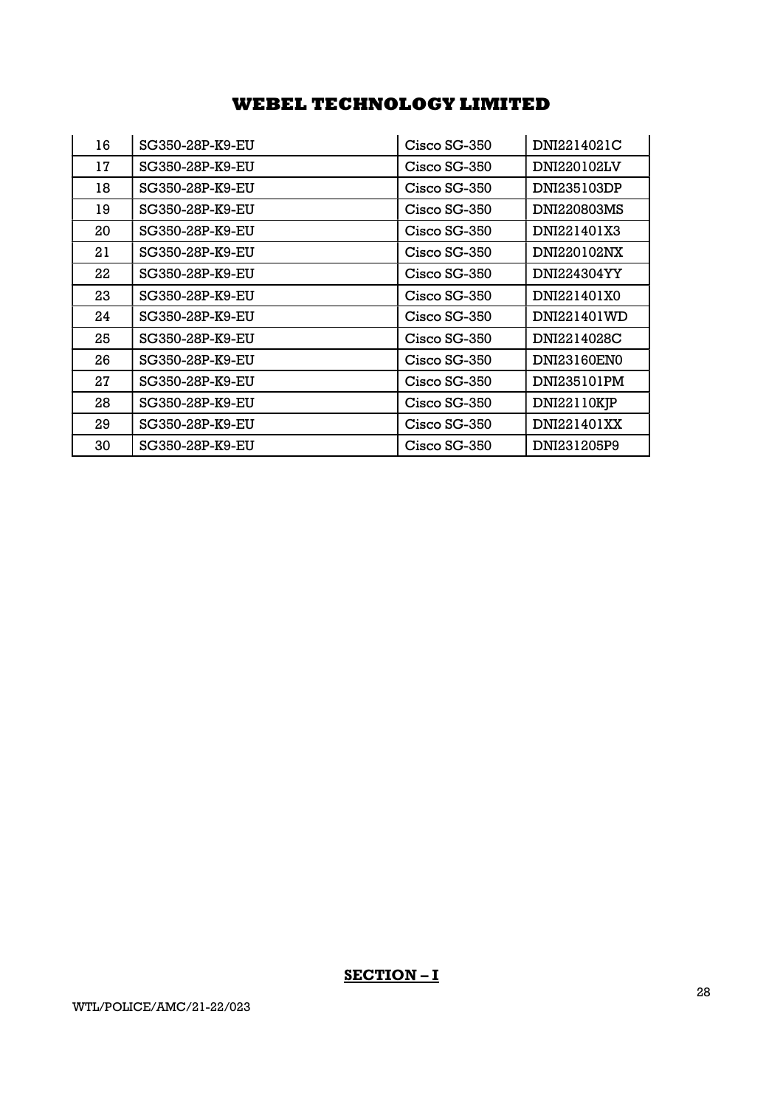| 16 | SG350-28P-K9-EU | Cisco SG-350 | DNI2214021C        |
|----|-----------------|--------------|--------------------|
| 17 | SG350-28P-K9-EU | Cisco SG-350 | DNI220102LV        |
| 18 | SG350-28P-K9-EU | Cisco SG-350 | DNI235103DP        |
| 19 | SG350-28P-K9-EU | Cisco SG-350 | <b>DNI220803MS</b> |
| 20 | SG350-28P-K9-EU | Cisco SG-350 | DNI221401X3        |
| 21 | SG350-28P-K9-EU | Cisco SG-350 | DNI220102NX        |
| 22 | SG350-28P-K9-EU | Cisco SG-350 | DNI224304YY        |
| 23 | SG350-28P-K9-EU | Cisco SG-350 | DNI221401X0        |
| 24 | SG350-28P-K9-EU | Cisco SG-350 | DNI221401WD        |
| 25 | SG350-28P-K9-EU | Cisco SG-350 | DNI2214028C        |
| 26 | SG350-28P-K9-EU | Cisco SG-350 | DNI23160EN0        |
| 27 | SG350-28P-K9-EU | Cisco SG-350 | DNI235101PM        |
| 28 | SG350-28P-K9-EU | Cisco SG-350 | DNI22110KJP        |
| 29 | SG350-28P-K9-EU | Cisco SG-350 | DNI221401XX        |
| 30 | SG350-28P-K9-EU | Cisco SG-350 | DNI231205P9        |

## SECTION-I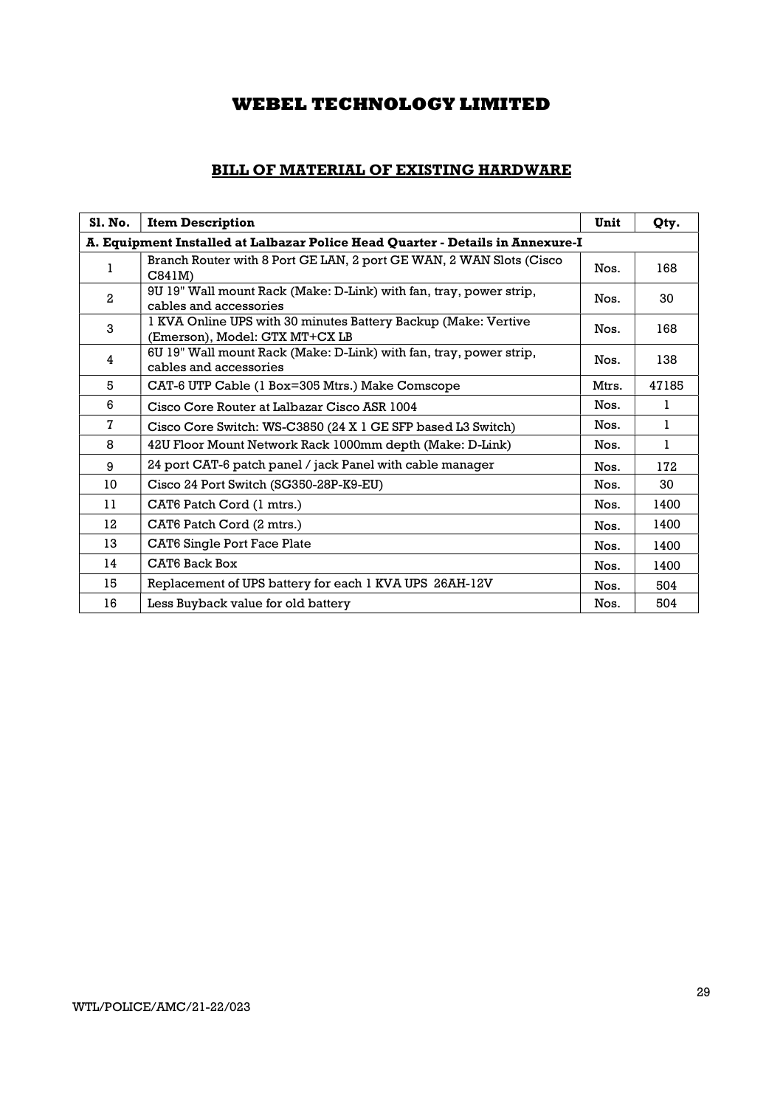## BILL OF MATERIAL OF EXISTING HARDWARE

| <b>S1. No.</b> | <b>Item Description</b>                                                                          | Unit  | Qty.  |
|----------------|--------------------------------------------------------------------------------------------------|-------|-------|
|                | A. Equipment Installed at Lalbazar Police Head Quarter - Details in Annexure-I                   |       |       |
| 1              | Branch Router with 8 Port GE LAN, 2 port GE WAN, 2 WAN Slots (Cisco<br>C841M                     | Nos.  | 168   |
| $\overline{2}$ | 9U 19" Wall mount Rack (Make: D-Link) with fan, tray, power strip,<br>cables and accessories     | Nos.  | 30    |
| 3              | 1 KVA Online UPS with 30 minutes Battery Backup (Make: Vertive<br>(Emerson), Model: GTX MT+CX LB | Nos.  | 168   |
| 4              | 6U 19" Wall mount Rack (Make: D-Link) with fan, tray, power strip,<br>cables and accessories     | Nos.  | 138   |
| 5              | CAT-6 UTP Cable (1 Box=305 Mtrs.) Make Comscope                                                  | Mtrs. | 47185 |
| 6              | Cisco Core Router at Lalbazar Cisco ASR 1004                                                     | Nos.  | L     |
| $\mathbf{7}$   | Cisco Core Switch: WS-C3850 (24 X 1 GE SFP based L3 Switch)                                      | Nos.  | 1     |
| 8              | 42U Floor Mount Network Rack 1000mm depth (Make: D-Link)                                         | Nos.  | 1     |
| 9              | 24 port CAT-6 patch panel / jack Panel with cable manager                                        | Nos.  | 172   |
| 10             | Cisco 24 Port Switch (SG350-28P-K9-EU)                                                           | Nos.  | 30    |
| 11             | CAT6 Patch Cord (1 mtrs.)                                                                        | Nos.  | 1400  |
| 12             | CAT6 Patch Cord (2 mtrs.)                                                                        | Nos.  | 1400  |
| 13             | <b>CAT6 Single Port Face Plate</b>                                                               | Nos.  | 1400  |
| 14             | CAT6 Back Box                                                                                    | Nos.  | 1400  |
| 15             | Replacement of UPS battery for each 1 KVA UPS 26AH-12V                                           | Nos.  | 504   |
| 16             | Less Buyback value for old battery                                                               | Nos.  | 504   |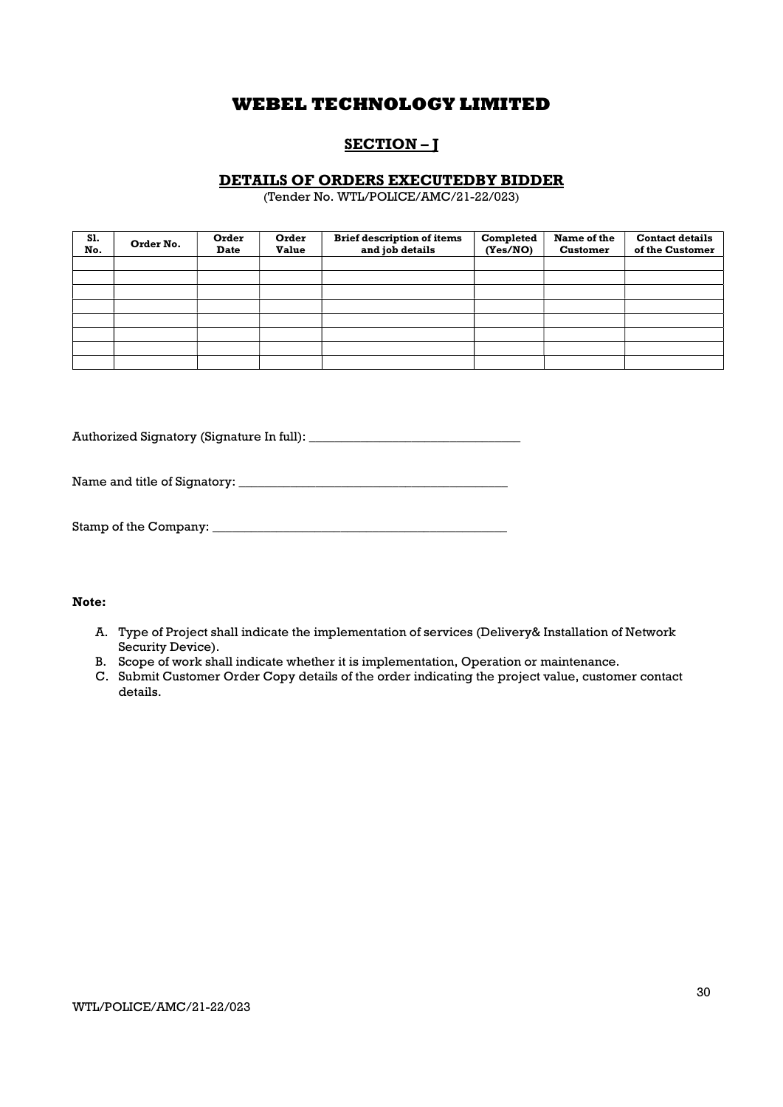## SECTION – J

### DETAILS OF ORDERS EXECUTEDBY BIDDER

(Tender No. WTL/POLICE/AMC/21-22/023)

| S1.<br>No. | Order No. | Order<br><b>Date</b> | Order<br><b>Value</b> | <b>Brief description of items</b><br>and job details | Completed<br>(Yes/NO) | Name of the<br><b>Customer</b> | <b>Contact details</b><br>of the Customer |
|------------|-----------|----------------------|-----------------------|------------------------------------------------------|-----------------------|--------------------------------|-------------------------------------------|
|            |           |                      |                       |                                                      |                       |                                |                                           |
|            |           |                      |                       |                                                      |                       |                                |                                           |
|            |           |                      |                       |                                                      |                       |                                |                                           |
|            |           |                      |                       |                                                      |                       |                                |                                           |
|            |           |                      |                       |                                                      |                       |                                |                                           |
|            |           |                      |                       |                                                      |                       |                                |                                           |
|            |           |                      |                       |                                                      |                       |                                |                                           |
|            |           |                      |                       |                                                      |                       |                                |                                           |

Authorized Signatory (Signature In full): \_\_\_\_\_\_\_\_\_\_\_\_\_\_\_\_\_\_\_\_\_\_\_\_\_\_\_\_\_\_\_\_\_

Name and title of Signatory: \_\_\_\_\_\_\_\_\_\_\_\_\_\_\_\_\_\_\_\_\_\_\_\_\_\_\_\_\_\_\_\_\_\_\_\_\_\_\_\_\_\_

| Stamp of the Company: |  |
|-----------------------|--|
|-----------------------|--|

### Note:

- A. Type of Project shall indicate the implementation of services (Delivery& Installation of Network Security Device).
- B. Scope of work shall indicate whether it is implementation, Operation or maintenance.
- C. Submit Customer Order Copy details of the order indicating the project value, customer contact details.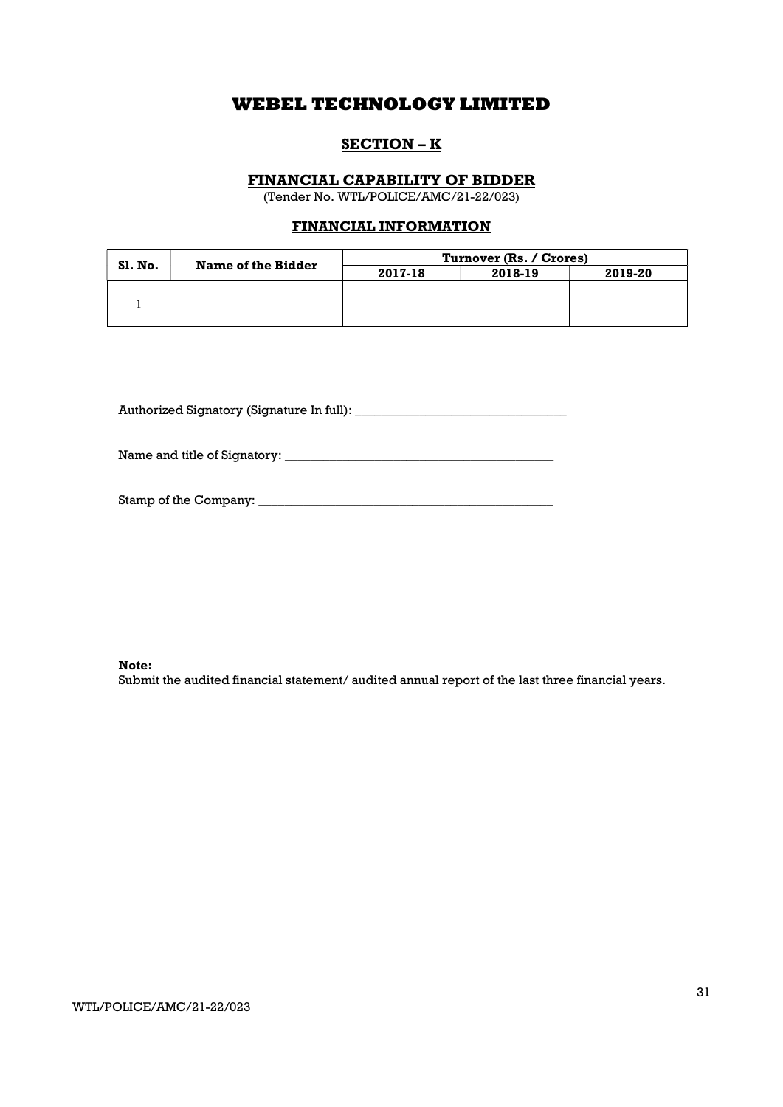### SECTION – K

### FINANCIAL CAPABILITY OF BIDDER

(Tender No. WTL/POLICE/AMC/21-22/023)

### FINANCIAL INFORMATION

| <b>SI. No.</b> | Name of the Bidder | Turnover (Rs. / Crores) |         |         |  |
|----------------|--------------------|-------------------------|---------|---------|--|
|                |                    | 2017-18                 | 2018-19 | 2019-20 |  |
|                |                    |                         |         |         |  |
|                |                    |                         |         |         |  |
|                |                    |                         |         |         |  |

Authorized Signatory (Signature In full): \_\_\_\_\_\_\_\_\_\_\_\_\_\_\_\_\_\_\_\_\_\_\_\_\_\_\_\_\_\_\_\_\_

Name and title of Signatory: \_\_\_\_\_\_\_\_\_\_\_\_\_\_\_\_\_\_\_\_\_\_\_\_\_\_\_\_\_\_\_\_\_\_\_\_\_\_\_\_\_\_

| Stamp of the Company: |  |
|-----------------------|--|
|                       |  |

Note:

Submit the audited financial statement/ audited annual report of the last three financial years.

WTL/POLICE/AMC/21-22/023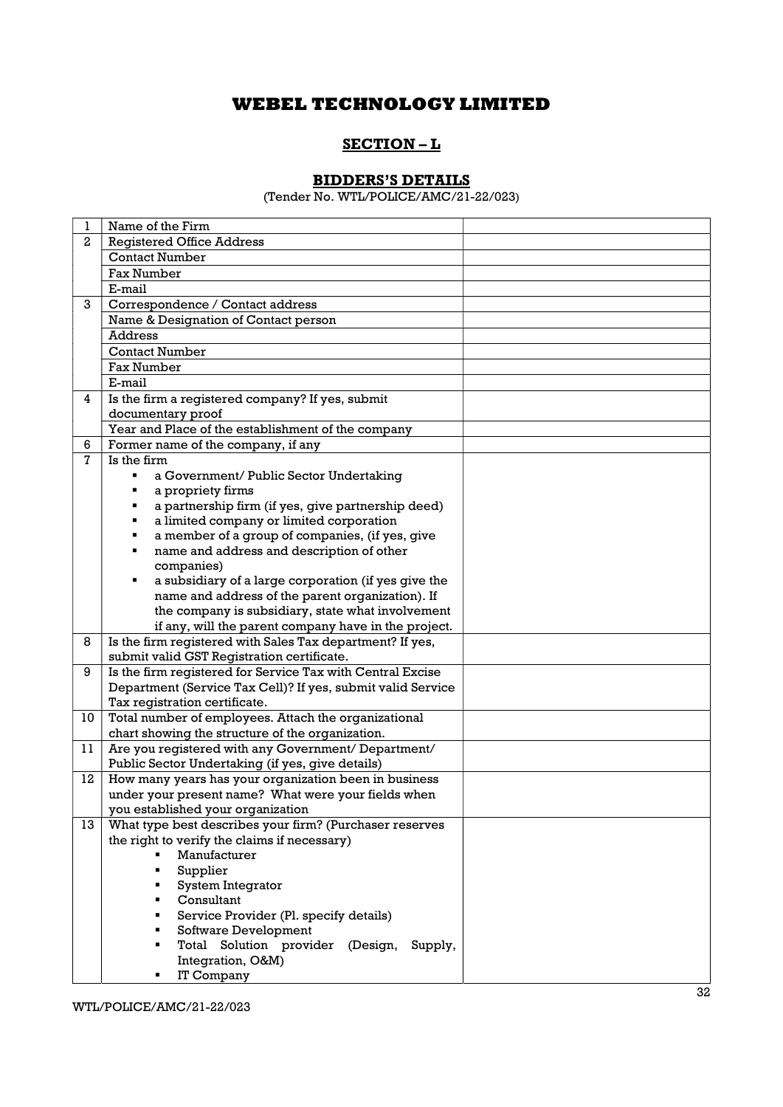### SECTION – L

### BIDDERS'S DETAILS

(Tender No. WTL/POLICE/AMC/21-22/023)

| 1              | Name of the Firm                                                  |  |
|----------------|-------------------------------------------------------------------|--|
| $\overline{2}$ | <b>Registered Office Address</b>                                  |  |
|                | <b>Contact Number</b>                                             |  |
|                | <b>Fax Number</b>                                                 |  |
|                | E-mail                                                            |  |
| 3              | Correspondence / Contact address                                  |  |
|                | Name & Designation of Contact person                              |  |
|                | <b>Address</b>                                                    |  |
|                | <b>Contact Number</b>                                             |  |
|                | <b>Fax Number</b>                                                 |  |
|                | E-mail                                                            |  |
| 4              | Is the firm a registered company? If yes, submit                  |  |
|                | documentary proof                                                 |  |
|                | Year and Place of the establishment of the company                |  |
| 6              | Former name of the company, if any                                |  |
| $\overline{7}$ | Is the firm                                                       |  |
|                | a Government/ Public Sector Undertaking                           |  |
|                | a propriety firms                                                 |  |
|                | a partnership firm (if yes, give partnership deed)                |  |
|                | a limited company or limited corporation                          |  |
|                | a member of a group of companies, (if yes, give                   |  |
|                | name and address and description of other                         |  |
|                | companies)                                                        |  |
|                | a subsidiary of a large corporation (if yes give the              |  |
|                | name and address of the parent organization). If                  |  |
|                | the company is subsidiary, state what involvement                 |  |
|                | if any, will the parent company have in the project.              |  |
| 8              | Is the firm registered with Sales Tax department? If yes,         |  |
|                | submit valid GST Registration certificate.                        |  |
| 9              | Is the firm registered for Service Tax with Central Excise        |  |
|                | Department (Service Tax Cell)? If yes, submit valid Service       |  |
|                | Tax registration certificate.                                     |  |
| 10             | Total number of employees. Attach the organizational              |  |
|                | chart showing the structure of the organization.                  |  |
| 11             | Are you registered with any Government/ Department/               |  |
|                | Public Sector Undertaking (if yes, give details)                  |  |
| 12             | How many years has your organization been in business             |  |
|                | under your present name? What were your fields when               |  |
|                | you established your organization                                 |  |
| 13             | What type best describes your firm? (Purchaser reserves           |  |
|                | the right to verify the claims if necessary)<br>Manufacturer<br>٠ |  |
|                |                                                                   |  |
|                | Supplier<br>System Integrator                                     |  |
|                | Consultant                                                        |  |
|                | Service Provider (Pl. specify details)                            |  |
|                | Software Development                                              |  |
|                | Total Solution provider (Design,<br>Supply,                       |  |
|                | Integration, O&M)                                                 |  |
|                | IT Company                                                        |  |
|                |                                                                   |  |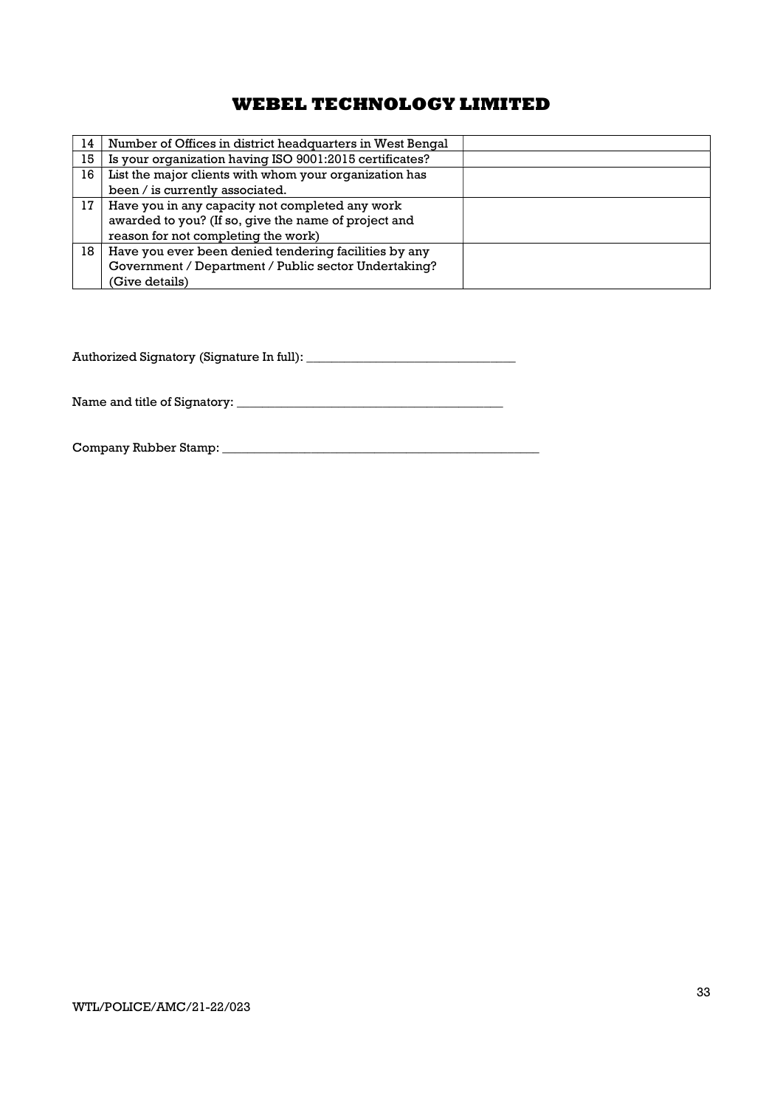| 14 | Number of Offices in district headquarters in West Bengal |  |
|----|-----------------------------------------------------------|--|
| 15 | Is your organization having ISO 9001:2015 certificates?   |  |
| 16 | List the major clients with whom your organization has    |  |
|    | been / is currently associated.                           |  |
| 17 | Have you in any capacity not completed any work           |  |
|    | awarded to you? (If so, give the name of project and      |  |
|    | reason for not completing the work)                       |  |
| 18 | Have you ever been denied tendering facilities by any     |  |
|    | Government / Department / Public sector Undertaking?      |  |
|    | (Give details)                                            |  |

Authorized Signatory (Signature In full): \_\_\_\_\_\_\_\_\_\_\_\_\_\_\_\_\_\_\_\_\_\_\_\_\_\_\_\_\_\_\_\_\_

Name and title of Signatory: \_\_\_\_\_\_\_\_\_\_\_\_\_\_\_\_\_\_\_\_\_\_\_\_\_\_\_\_\_\_\_\_\_\_\_\_\_\_\_\_\_\_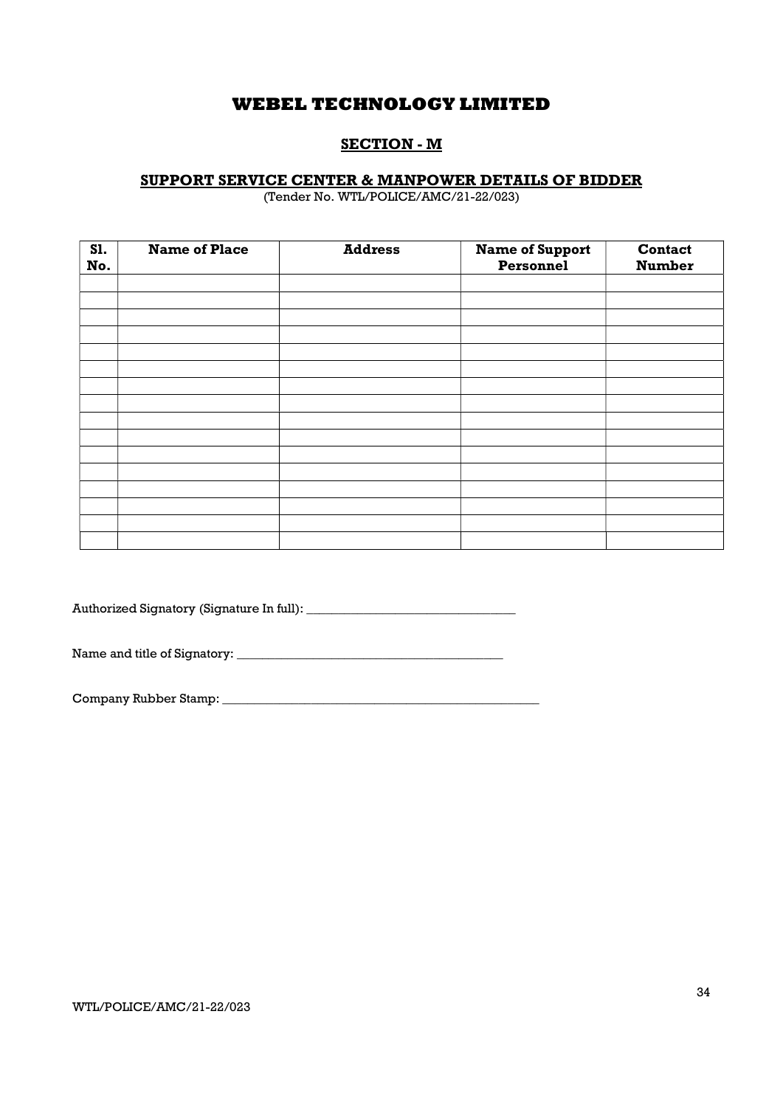### SECTION - M

### SUPPORT SERVICE CENTER & MANPOWER DETAILS OF BIDDER

(Tender No. WTL/POLICE/AMC/21-22/023)

| <b>S1.</b><br>No. | <b>Name of Place</b> | <b>Address</b> | <b>Name of Support</b><br>Personnel | Contact<br><b>Number</b> |
|-------------------|----------------------|----------------|-------------------------------------|--------------------------|
|                   |                      |                |                                     |                          |
|                   |                      |                |                                     |                          |
|                   |                      |                |                                     |                          |
|                   |                      |                |                                     |                          |
|                   |                      |                |                                     |                          |
|                   |                      |                |                                     |                          |
|                   |                      |                |                                     |                          |
|                   |                      |                |                                     |                          |
|                   |                      |                |                                     |                          |
|                   |                      |                |                                     |                          |
|                   |                      |                |                                     |                          |
|                   |                      |                |                                     |                          |
|                   |                      |                |                                     |                          |
|                   |                      |                |                                     |                          |
|                   |                      |                |                                     |                          |
|                   |                      |                |                                     |                          |

Authorized Signatory (Signature In full): \_\_\_\_\_\_\_\_\_\_\_\_\_\_\_\_\_\_\_\_\_\_\_\_\_\_\_\_\_\_\_\_\_

Name and title of Signatory: \_\_\_\_\_\_\_\_\_\_\_\_\_\_\_\_\_\_\_\_\_\_\_\_\_\_\_\_\_\_\_\_\_\_\_\_\_\_\_\_\_\_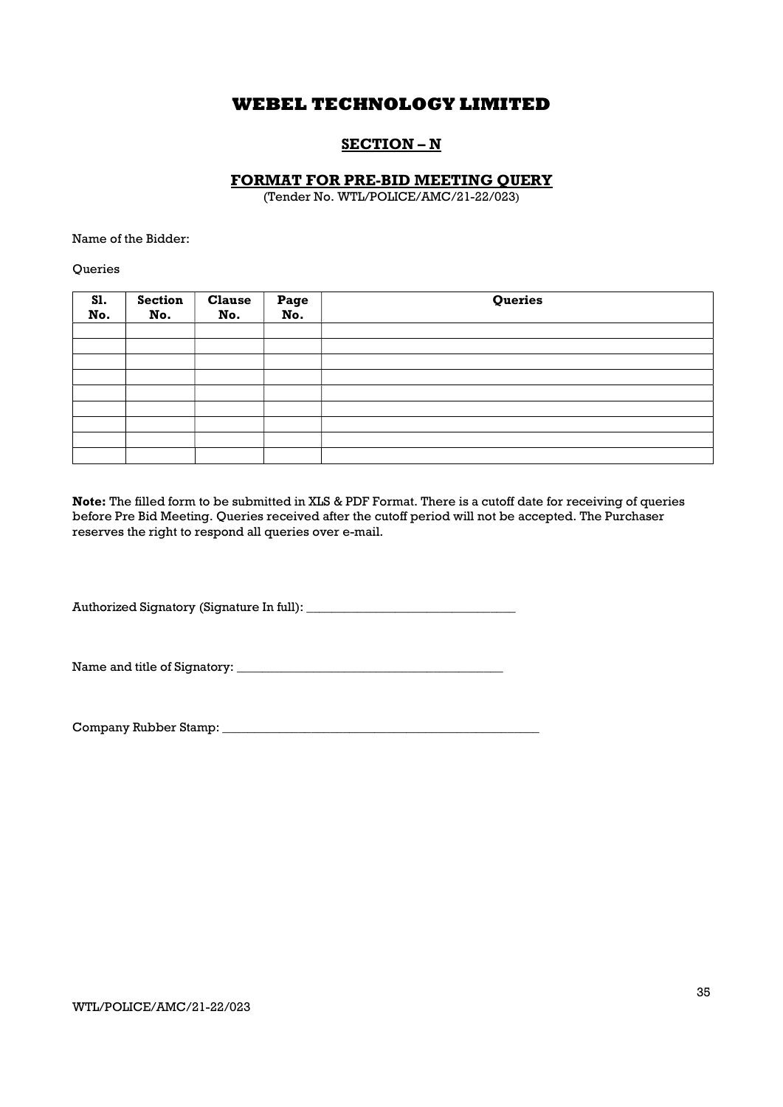### SECTION – N

### FORMAT FOR PRE-BID MEETING QUERY

(Tender No. WTL/POLICE/AMC/21-22/023)

Name of the Bidder:

**Oueries** 

| S1.<br>No. | <b>Section</b><br>No. | <b>Clause</b><br>No. | Page<br>No. | Queries |
|------------|-----------------------|----------------------|-------------|---------|
|            |                       |                      |             |         |
|            |                       |                      |             |         |
|            |                       |                      |             |         |
|            |                       |                      |             |         |
|            |                       |                      |             |         |
|            |                       |                      |             |         |
|            |                       |                      |             |         |
|            |                       |                      |             |         |
|            |                       |                      |             |         |

Note: The filled form to be submitted in XLS & PDF Format. There is a cutoff date for receiving of queries before Pre Bid Meeting. Queries received after the cutoff period will not be accepted. The Purchaser reserves the right to respond all queries over e-mail.

Authorized Signatory (Signature In full): \_\_\_\_\_\_\_\_\_\_\_\_\_\_\_\_\_\_\_\_\_\_\_\_\_\_\_\_\_\_\_\_\_

Name and title of Signatory: \_\_\_\_\_\_\_\_\_\_\_\_\_\_\_\_\_\_\_\_\_\_\_\_\_\_\_\_\_\_\_\_\_\_\_\_\_\_\_\_\_\_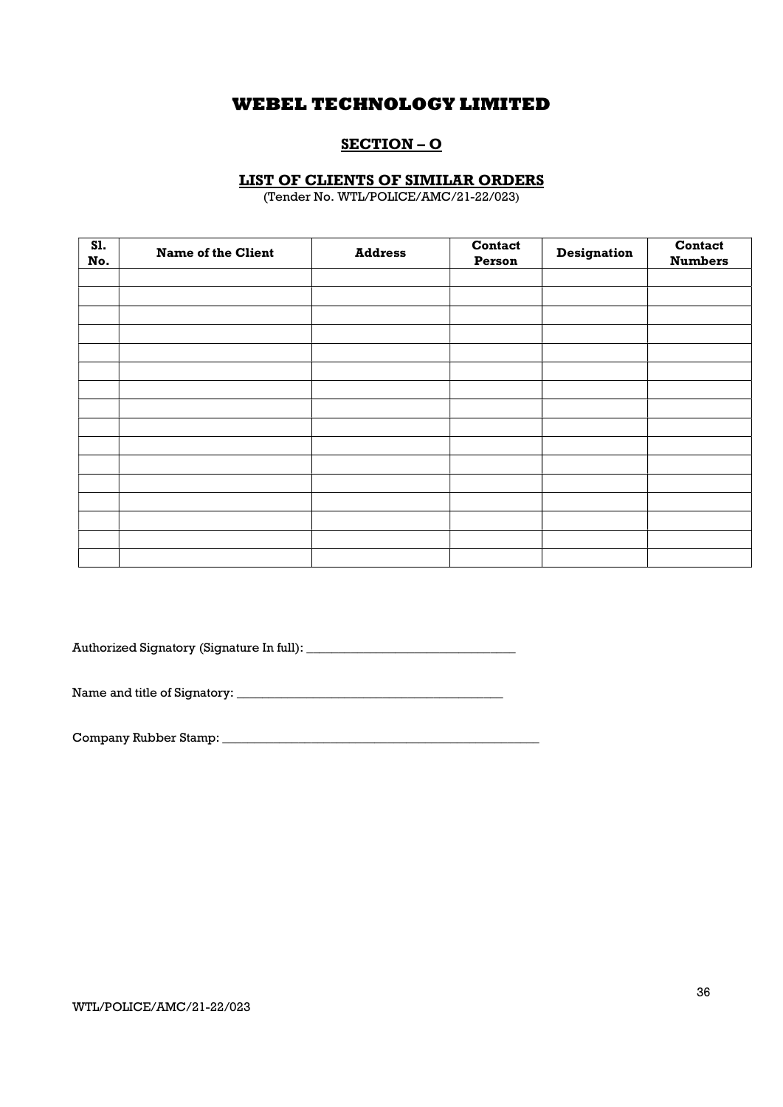## SECTION – O

### LIST OF CLIENTS OF SIMILAR ORDERS

(Tender No. WTL/POLICE/AMC/21-22/023)

| <b>S1.</b><br>No. | <b>Name of the Client</b> | <b>Address</b> | Contact<br>Person | <b>Designation</b> | Contact<br><b>Numbers</b> |
|-------------------|---------------------------|----------------|-------------------|--------------------|---------------------------|
|                   |                           |                |                   |                    |                           |
|                   |                           |                |                   |                    |                           |
|                   |                           |                |                   |                    |                           |
|                   |                           |                |                   |                    |                           |
|                   |                           |                |                   |                    |                           |
|                   |                           |                |                   |                    |                           |
|                   |                           |                |                   |                    |                           |
|                   |                           |                |                   |                    |                           |
|                   |                           |                |                   |                    |                           |
|                   |                           |                |                   |                    |                           |
|                   |                           |                |                   |                    |                           |
|                   |                           |                |                   |                    |                           |
|                   |                           |                |                   |                    |                           |
|                   |                           |                |                   |                    |                           |
|                   |                           |                |                   |                    |                           |
|                   |                           |                |                   |                    |                           |

Authorized Signatory (Signature In full): \_\_\_\_\_\_\_\_\_\_\_\_\_\_\_\_\_\_\_\_\_\_\_\_\_\_\_\_\_\_\_\_\_

Name and title of Signatory: \_\_\_\_\_\_\_\_\_\_\_\_\_\_\_\_\_\_\_\_\_\_\_\_\_\_\_\_\_\_\_\_\_\_\_\_\_\_\_\_\_\_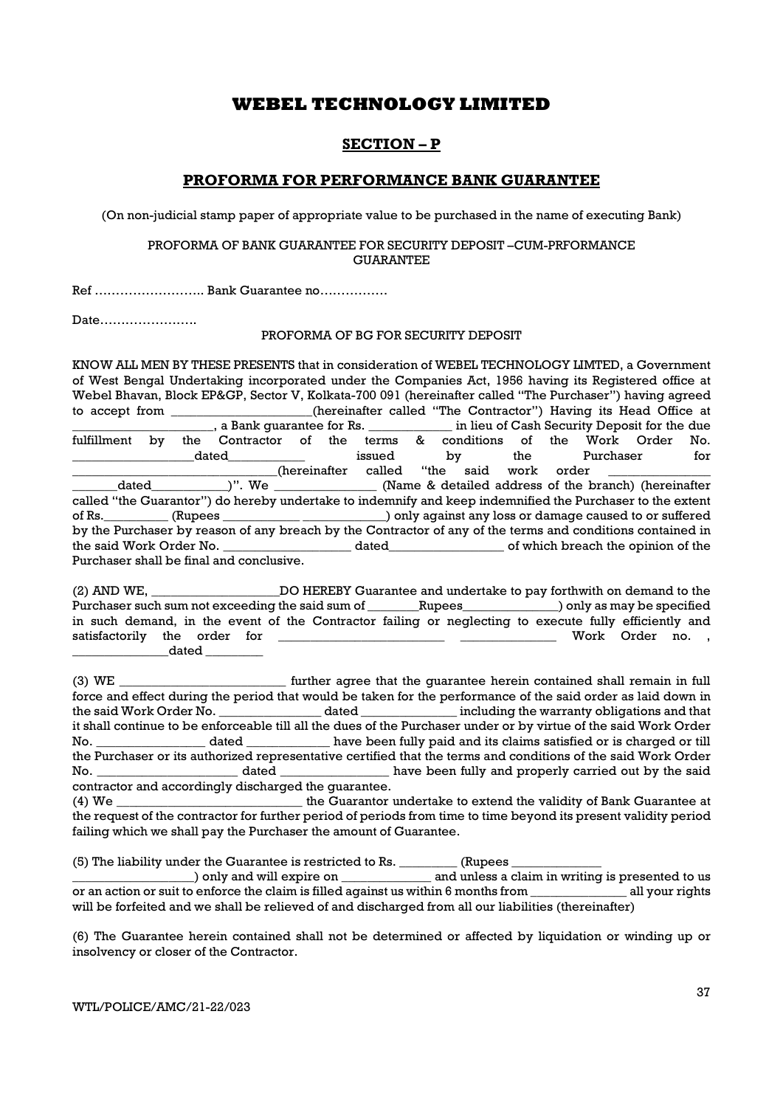### SECTION – P

### PROFORMA FOR PERFORMANCE BANK GUARANTEE

(On non-judicial stamp paper of appropriate value to be purchased in the name of executing Bank)

### PROFORMA OF BANK GUARANTEE FOR SECURITY DEPOSIT –CUM-PRFORMANCE GUARANTEE

Ref …………………….. Bank Guarantee no…………….

Date…………………..

### PROFORMA OF BG FOR SECURITY DEPOSIT

KNOW ALL MEN BY THESE PRESENTS that in consideration of WEBEL TECHNOLOGY LIMTED, a Government of West Bengal Undertaking incorporated under the Companies Act, 1956 having its Registered office at Webel Bhavan, Block EP&GP, Sector V, Kolkata-700 091 (hereinafter called "The Purchaser") having agreed to accept from \_\_\_\_\_\_\_\_\_\_\_\_\_\_\_(hereinafter called "The Contractor") Having its Head Office at \_\_\_\_\_\_\_\_\_\_\_\_\_, a Bank guarantee for Rs. \_\_\_\_\_\_\_\_\_\_\_\_\_ in lieu of Cash Security Deposit for the due \_\_\_\_\_\_\_\_\_\_\_\_\_\_\_\_\_\_\_\_\_\_, a Bank guarantee for Rs. \_\_\_\_\_\_\_\_\_\_\_\_\_ in lieu of Cash Security Deposit for the due fulfillment by the Contractor of the terms & conditions of the Work Order No. \_\_\_\_\_\_\_\_\_\_\_\_\_\_\_\_\_\_\_dated\_\_\_\_\_\_\_\_\_\_\_\_ issued by the Purchaser for \_\_\_\_\_\_\_\_\_\_\_\_\_\_\_\_\_\_\_\_\_\_\_\_\_\_\_\_\_\_\_\_(hereinafter called "the said work order \_\_\_\_\_\_\_\_\_\_\_\_\_\_\_\_ \_\_\_\_\_\_\_dated\_\_\_\_\_\_\_\_\_\_\_\_)". We \_\_\_\_\_\_\_\_\_\_\_\_\_\_\_\_ (Name & detailed address of the branch) (hereinafter called "the Guarantor") do hereby undertake to indemnify and keep indemnified the Purchaser to the extent of Rs.\_\_\_\_\_\_\_\_\_\_ (Rupees \_\_\_\_\_\_\_\_\_\_\_\_ \_\_\_\_\_\_\_\_\_\_\_\_\_) only against any loss or damage caused to or suffered by the Purchaser by reason of any breach by the Contractor of any of the terms and conditions contained in the said Work Order No. \_\_\_\_\_\_\_\_\_\_\_\_\_\_\_\_\_\_\_\_ dated\_\_\_\_\_\_\_\_\_\_\_\_\_\_\_\_\_\_ of which breach the opinion of the Purchaser shall be final and conclusive.

(2) AND WE, \_\_\_\_\_\_\_\_\_\_\_\_\_\_\_\_\_\_\_\_DO HEREBY Guarantee and undertake to pay forthwith on demand to the Purchaser such sum not exceeding the said sum of \_\_\_\_\_\_\_Rupees\_\_\_\_\_\_\_\_\_\_\_\_\_) only as may be specified in such demand, in the event of the Contractor failing or neglecting to execute fully efficiently and satisfactorily the order for \_\_\_\_\_\_\_\_\_\_\_\_\_\_\_\_\_\_\_\_\_\_\_\_\_\_ \_\_\_\_\_\_\_\_\_\_\_\_\_\_\_ Work Order no. , \_\_\_\_\_\_\_\_\_\_\_\_\_\_\_dated \_\_\_\_\_\_\_\_\_

(3) WE \_\_\_\_\_\_\_\_\_\_\_\_\_\_\_\_\_\_\_\_\_\_\_\_\_\_ further agree that the guarantee herein contained shall remain in full force and effect during the period that would be taken for the performance of the said order as laid down in the said Work Order No. \_\_\_\_\_\_\_\_\_\_\_\_\_\_\_\_ dated \_\_\_\_\_\_\_\_\_\_\_\_\_\_\_ including the warranty obligations and that it shall continue to be enforceable till all the dues of the Purchaser under or by virtue of the said Work Order No. \_\_\_\_\_\_\_\_\_\_\_\_\_\_\_\_\_ dated \_\_\_\_\_\_\_\_\_\_\_\_\_ have been fully paid and its claims satisfied or is charged or till the Purchaser or its authorized representative certified that the terms and conditions of the said Work Order No. \_\_\_\_\_\_\_\_\_\_\_\_\_\_\_\_\_\_\_\_\_\_ dated \_\_\_\_\_\_\_\_\_\_\_\_\_\_\_\_\_ have been fully and properly carried out by the said contractor and accordingly discharged the guarantee.

(4) We \_\_\_\_\_\_\_\_\_\_\_\_\_\_\_\_\_\_\_\_\_\_\_\_\_\_\_\_\_ the Guarantor undertake to extend the validity of Bank Guarantee at the request of the contractor for further period of periods from time to time beyond its present validity period failing which we shall pay the Purchaser the amount of Guarantee.

(5) The liability under the Guarantee is restricted to Rs.  $\Box$  (Rupees  $\Box$ 

\_\_\_\_\_\_\_\_\_\_\_\_\_\_\_\_\_\_\_) only and will expire on \_\_\_\_\_\_\_\_\_\_\_\_\_\_ and unless a claim in writing is presented to us or an action or suit to enforce the claim is filled against us within 6 months from \_\_\_\_\_\_\_\_\_\_\_\_\_\_\_ all your rights will be forfeited and we shall be relieved of and discharged from all our liabilities (thereinafter)

(6) The Guarantee herein contained shall not be determined or affected by liquidation or winding up or insolvency or closer of the Contractor.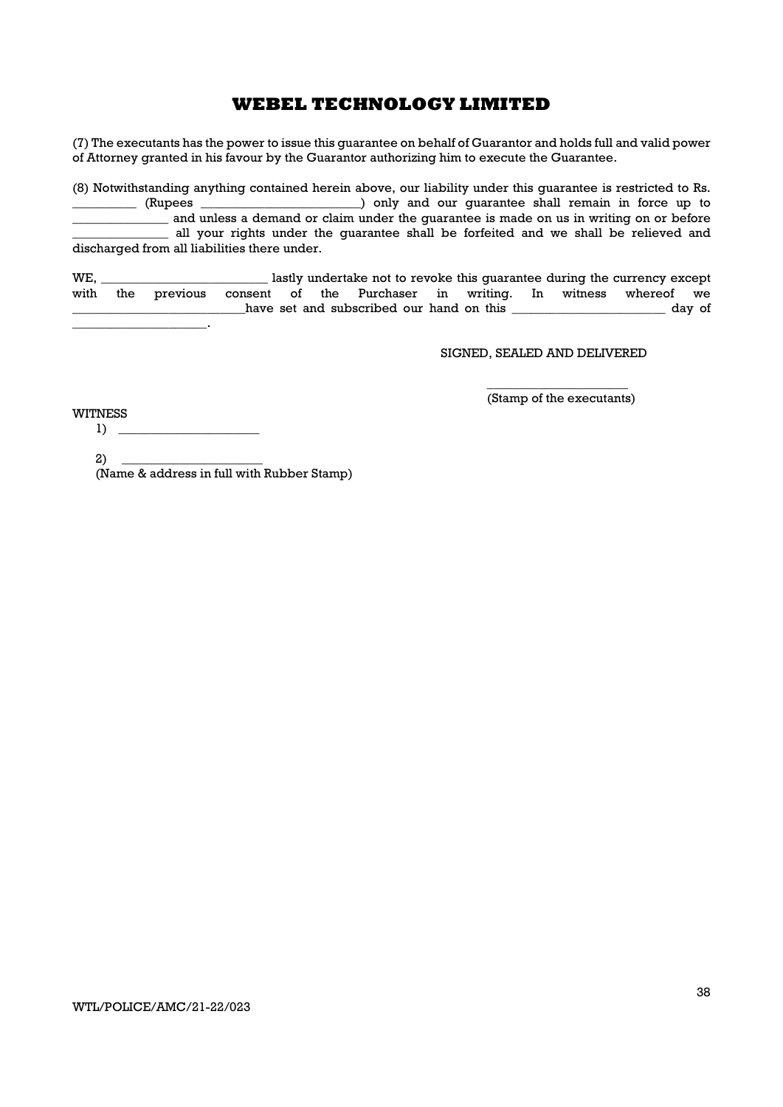(7) The executants has the power to issue this guarantee on behalf of Guarantor and holds full and valid power of Attorney granted in his favour by the Guarantor authorizing him to execute the Guarantee.

(8) Notwithstanding anything contained herein above, our liability under this guarantee is restricted to Rs. ) only and our quarantee shall remain in force up to \_\_\_\_\_\_\_\_\_\_\_\_\_\_\_ and unless a demand or claim under the guarantee is made on us in writing on or before all your rights under the guarantee shall be forfeited and we shall be relieved and discharged from all liabilities there under.

WE, \_\_\_\_\_\_\_\_\_\_\_\_\_\_\_\_\_\_\_\_\_\_\_\_\_\_ lastly undertake not to revoke this guarantee during the currency except with the previous consent of the Purchaser in writing. In witness whereof we have set and subscribed our hand on this \_\_\_\_\_\_\_\_\_\_\_\_\_\_\_\_\_\_\_\_\_\_\_\_\_ day of  $\mathbb{Z}^2$ 

SIGNED, SEALED AND DELIVERED

 $\overline{\phantom{a}}$  , we can consider the constant of  $\overline{\phantom{a}}$ (Stamp of the executants)

WITNESS  $1) \tightharpoonup$ 

> $2)$  \_ (Name & address in full with Rubber Stamp)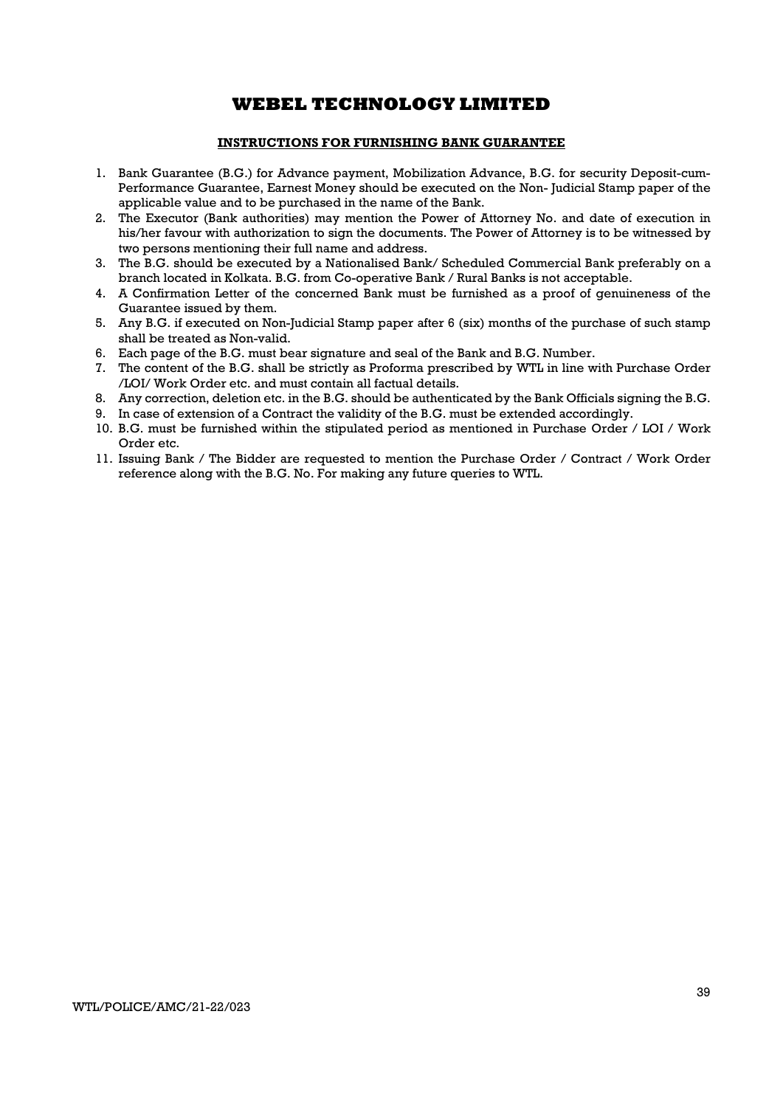### INSTRUCTIONS FOR FURNISHING BANK GUARANTEE

- 1. Bank Guarantee (B.G.) for Advance payment, Mobilization Advance, B.G. for security Deposit-cum-Performance Guarantee, Earnest Money should be executed on the Non- Judicial Stamp paper of the applicable value and to be purchased in the name of the Bank.
- 2. The Executor (Bank authorities) may mention the Power of Attorney No. and date of execution in his/her favour with authorization to sign the documents. The Power of Attorney is to be witnessed by two persons mentioning their full name and address.
- 3. The B.G. should be executed by a Nationalised Bank/ Scheduled Commercial Bank preferably on a branch located in Kolkata. B.G. from Co-operative Bank / Rural Banks is not acceptable.
- 4. A Confirmation Letter of the concerned Bank must be furnished as a proof of genuineness of the Guarantee issued by them.
- 5. Any B.G. if executed on Non-Judicial Stamp paper after 6 (six) months of the purchase of such stamp shall be treated as Non-valid.
- 6. Each page of the B.G. must bear signature and seal of the Bank and B.G. Number.
- 7. The content of the B.G. shall be strictly as Proforma prescribed by WTL in line with Purchase Order /LOI/ Work Order etc. and must contain all factual details.
- 8. Any correction, deletion etc. in the B.G. should be authenticated by the Bank Officials signing the B.G.
- 9. In case of extension of a Contract the validity of the B.G. must be extended accordingly.
- 10. B.G. must be furnished within the stipulated period as mentioned in Purchase Order / LOI / Work Order etc.
- 11. Issuing Bank / The Bidder are requested to mention the Purchase Order / Contract / Work Order reference along with the B.G. No. For making any future queries to WTL.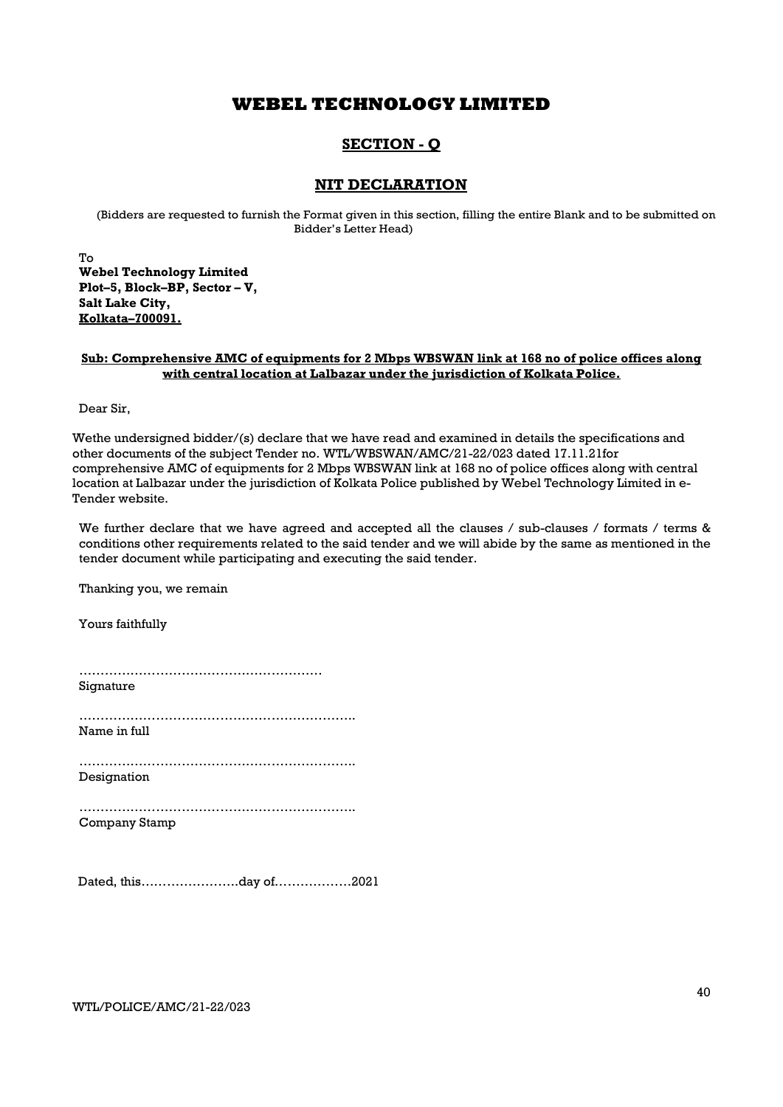### SECTION - Q

### NIT DECLARATION

(Bidders are requested to furnish the Format given in this section, filling the entire Blank and to be submitted on Bidder's Letter Head)

To Webel Technology Limited Plot–5, Block–BP, Sector – V, Salt Lake City, Kolkata–700091.

### Sub: Comprehensive AMC of equipments for 2 Mbps WBSWAN link at 168 no of police offices along with central location at Lalbazar under the jurisdiction of Kolkata Police.

Dear Sir,

Wethe undersigned bidder/(s) declare that we have read and examined in details the specifications and other documents of the subject Tender no. WTL/WBSWAN/AMC/21-22/023 dated 17.11.21for comprehensive AMC of equipments for 2 Mbps WBSWAN link at 168 no of police offices along with central location at Lalbazar under the jurisdiction of Kolkata Police published by Webel Technology Limited in e-Tender website.

We further declare that we have agreed and accepted all the clauses / sub-clauses / formats / terms & conditions other requirements related to the said tender and we will abide by the same as mentioned in the tender document while participating and executing the said tender.

Thanking you, we remain

Yours faithfully

………………………………………………… Signature

……………………………………………………….. Name in full

……………………………………………………….. Designation

……………………………………………………….. Company Stamp

Dated, this…………………..day of………………2021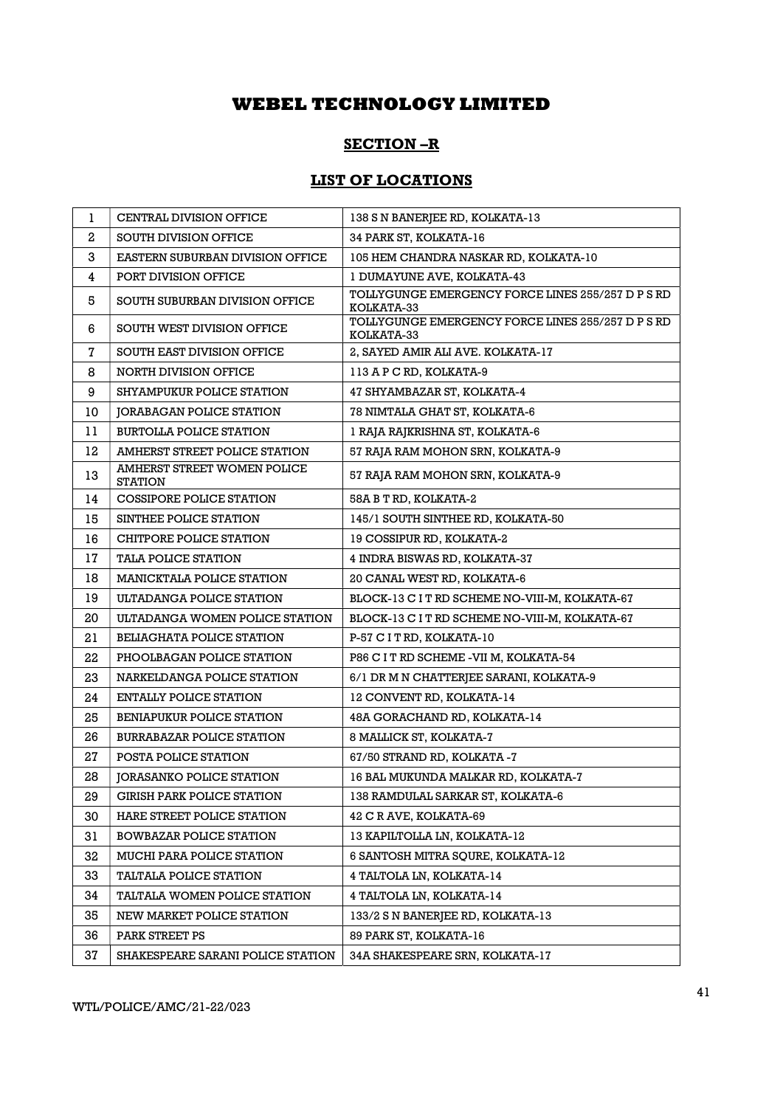### SECTION –R

## LIST OF LOCATIONS

| 1            | CENTRAL DIVISION OFFICE                       | 138 S N BANERJEE RD, KOLKATA-13                                 |
|--------------|-----------------------------------------------|-----------------------------------------------------------------|
| $\mathbf{2}$ | <b>SOUTH DIVISION OFFICE</b>                  | 34 PARK ST, KOLKATA-16                                          |
| 3            | EASTERN SUBURBAN DIVISION OFFICE              | 105 HEM CHANDRA NASKAR RD, KOLKATA-10                           |
| 4            | PORT DIVISION OFFICE                          | 1 DUMAYUNE AVE, KOLKATA-43                                      |
| 5            | SOUTH SUBURBAN DIVISION OFFICE                | TOLLYGUNGE EMERGENCY FORCE LINES 255/257 D P S RD<br>KOLKATA-33 |
| 6            | SOUTH WEST DIVISION OFFICE                    | TOLLYGUNGE EMERGENCY FORCE LINES 255/257 D P S RD<br>KOLKATA-33 |
| 7            | SOUTH EAST DIVISION OFFICE                    | 2, SAYED AMIR ALI AVE. KOLKATA-17                               |
| 8            | NORTH DIVISION OFFICE                         | 113 A P C RD, KOLKATA-9                                         |
| 9            | SHYAMPUKUR POLICE STATION                     | 47 SHYAMBAZAR ST, KOLKATA-4                                     |
| 10           | JORABAGAN POLICE STATION                      | 78 NIMTALA GHAT ST, KOLKATA-6                                   |
| 11           | <b>BURTOLLA POLICE STATION</b>                | 1 RAJA RAJKRISHNA ST, KOLKATA-6                                 |
| 12           | AMHERST STREET POLICE STATION                 | 57 RAJA RAM MOHON SRN, KOLKATA-9                                |
| 13           | AMHERST STREET WOMEN POLICE<br><b>STATION</b> | 57 RAJA RAM MOHON SRN, KOLKATA-9                                |
| 14           | COSSIPORE POLICE STATION                      | 58A B T RD, KOLKATA-2                                           |
| 15           | SINTHEE POLICE STATION                        | 145/1 SOUTH SINTHEE RD, KOLKATA-50                              |
| 16           | CHITPORE POLICE STATION                       | 19 COSSIPUR RD, KOLKATA-2                                       |
| 17           | <b>TALA POLICE STATION</b>                    | 4 INDRA BISWAS RD, KOLKATA-37                                   |
| 18           | <b>MANICKTALA POLICE STATION</b>              | 20 CANAL WEST RD, KOLKATA-6                                     |
| 19           | ULTADANGA POLICE STATION                      | BLOCK-13 C I T RD SCHEME NO-VIII-M, KOLKATA-67                  |
| 20           | ULTADANGA WOMEN POLICE STATION                | BLOCK-13 C I T RD SCHEME NO-VIII-M, KOLKATA-67                  |
| 21           | <b>BELIAGHATA POLICE STATION</b>              | P-57 C I T RD, KOLKATA-10                                       |
| 22           | PHOOLBAGAN POLICE STATION                     | P86 C I T RD SCHEME -VII M, KOLKATA-54                          |
| 23           | NARKELDANGA POLICE STATION                    | 6/1 DR M N CHATTERJEE SARANI, KOLKATA-9                         |
| 24           | ENTALLY POLICE STATION                        | 12 CONVENT RD, KOLKATA-14                                       |
| 25           | <b>BENIAPUKUR POLICE STATION</b>              | 48A GORACHAND RD, KOLKATA-14                                    |
| 26           | <b>BURRABAZAR POLICE STATION</b>              | 8 MALLICK ST, KOLKATA-7                                         |
| 27           | POSTA POLICE STATION                          | 67/50 STRAND RD, KOLKATA -7                                     |
| 28           | <b>JORASANKO POLICE STATION</b>               | 16 BAL MUKUNDA MALKAR RD, KOLKATA-7                             |
| 29           | <b>GIRISH PARK POLICE STATION</b>             | 138 RAMDULAL SARKAR ST, KOLKATA-6                               |
| 30           | HARE STREET POLICE STATION                    | 42 C R AVE, KOLKATA-69                                          |
| 31           | <b>BOWBAZAR POLICE STATION</b>                | 13 KAPILTOLLA LN. KOLKATA-12                                    |
| 32           | MUCHI PARA POLICE STATION                     | 6 SANTOSH MITRA SQURE, KOLKATA-12                               |
| 33           | <b>TALTALA POLICE STATION</b>                 | 4 TALTOLA LN, KOLKATA-14                                        |
| 34           | TALTALA WOMEN POLICE STATION                  | 4 TALTOLA LN, KOLKATA-14                                        |
| 35           | NEW MARKET POLICE STATION                     | 133/2 S N BANERJEE RD, KOLKATA-13                               |
| 36           | PARK STREET PS                                | 89 PARK ST, KOLKATA-16                                          |
| 37           | SHAKESPEARE SARANI POLICE STATION             | 34A SHAKESPEARE SRN, KOLKATA-17                                 |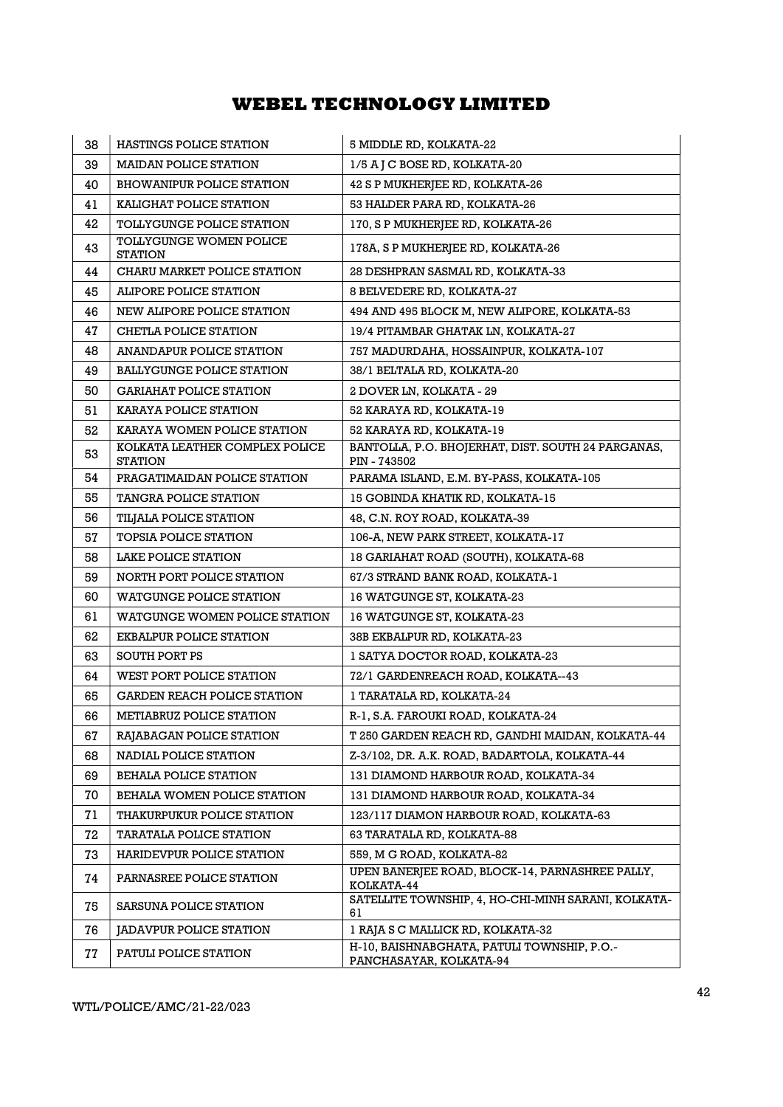| 38 | <b>HASTINGS POLICE STATION</b>                   | 5 MIDDLE RD, KOLKATA-22                                                |
|----|--------------------------------------------------|------------------------------------------------------------------------|
| 39 | <b>MAIDAN POLICE STATION</b>                     | 1/5 A J C BOSE RD, KOLKATA-20                                          |
| 40 | <b>BHOWANIPUR POLICE STATION</b>                 | 42 S P MUKHERJEE RD, KOLKATA-26                                        |
| 41 | KALIGHAT POLICE STATION                          | 53 HALDER PARA RD, KOLKATA-26                                          |
| 42 | <b>TOLLYGUNGE POLICE STATION</b>                 | 170, S P MUKHERJEE RD, KOLKATA-26                                      |
| 43 | TOLLYGUNGE WOMEN POLICE<br><b>STATION</b>        | 178A, S P MUKHERJEE RD, KOLKATA-26                                     |
| 44 | CHARU MARKET POLICE STATION                      | 28 DESHPRAN SASMAL RD, KOLKATA-33                                      |
| 45 | ALIPORE POLICE STATION                           | 8 BELVEDERE RD, KOLKATA-27                                             |
| 46 | NEW ALIPORE POLICE STATION                       | 494 AND 495 BLOCK M, NEW ALIPORE, KOLKATA-53                           |
| 47 | CHETLA POLICE STATION                            | 19/4 PITAMBAR GHATAK LN, KOLKATA-27                                    |
| 48 | <b>ANANDAPUR POLICE STATION</b>                  | 757 MADURDAHA, HOSSAINPUR, KOLKATA-107                                 |
| 49 | <b>BALLYGUNGE POLICE STATION</b>                 | 38/1 BELTALA RD, KOLKATA-20                                            |
| 50 | <b>GARIAHAT POLICE STATION</b>                   | 2 DOVER LN, KOLKATA - 29                                               |
| 51 | KARAYA POLICE STATION                            | 52 KARAYA RD, KOLKATA-19                                               |
| 52 | KARAYA WOMEN POLICE STATION                      | 52 KARAYA RD, KOLKATA-19                                               |
| 53 | KOLKATA LEATHER COMPLEX POLICE<br><b>STATION</b> | BANTOLLA, P.O. BHOJERHAT, DIST. SOUTH 24 PARGANAS,<br>PIN - 743502     |
| 54 | PRAGATIMAIDAN POLICE STATION                     | PARAMA ISLAND, E.M. BY-PASS, KOLKATA-105                               |
| 55 | TANGRA POLICE STATION                            | 15 GOBINDA KHATIK RD, KOLKATA-15                                       |
| 56 | TILJALA POLICE STATION                           | 48, C.N. ROY ROAD, KOLKATA-39                                          |
| 57 | TOPSIA POLICE STATION                            | 106-A, NEW PARK STREET, KOLKATA-17                                     |
| 58 | LAKE POLICE STATION                              | 18 GARIAHAT ROAD (SOUTH), KOLKATA-68                                   |
| 59 | NORTH PORT POLICE STATION                        | 67/3 STRAND BANK ROAD, KOLKATA-1                                       |
| 60 | <b>WATGUNGE POLICE STATION</b>                   | 16 WATGUNGE ST, KOLKATA-23                                             |
| 61 | WATGUNGE WOMEN POLICE STATION                    | 16 WATGUNGE ST, KOLKATA-23                                             |
| 62 | EKBALPUR POLICE STATION                          | 38B EKBALPUR RD, KOLKATA-23                                            |
| 63 | <b>SOUTH PORT PS</b>                             | 1 SATYA DOCTOR ROAD, KOLKATA-23                                        |
| 64 | WEST PORT POLICE STATION                         | 72/1 GARDENREACH ROAD, KOLKATA--43                                     |
| 65 | GARDEN REACH POLICE STATION                      | 1 TARATALA RD, KOLKATA-24                                              |
| 66 | METIABRUZ POLICE STATION                         | R-1, S.A. FAROUKI ROAD, KOLKATA-24                                     |
| 67 | RAJABAGAN POLICE STATION                         | T 250 GARDEN REACH RD, GANDHI MAIDAN, KOLKATA-44                       |
| 68 | NADIAL POLICE STATION                            | Z-3/102, DR. A.K. ROAD, BADARTOLA, KOLKATA-44                          |
| 69 | <b>BEHALA POLICE STATION</b>                     | 131 DIAMOND HARBOUR ROAD, KOLKATA-34                                   |
| 70 | BEHALA WOMEN POLICE STATION                      | 131 DIAMOND HARBOUR ROAD, KOLKATA-34                                   |
| 71 | THAKURPUKUR POLICE STATION                       | 123/117 DIAMON HARBOUR ROAD, KOLKATA-63                                |
| 72 | <b>TARATALA POLICE STATION</b>                   | 63 TARATALA RD, KOLKATA-88                                             |
| 73 | HARIDEVPUR POLICE STATION                        | 559, M G ROAD, KOLKATA-82                                              |
| 74 | PARNASREE POLICE STATION                         | UPEN BANERJEE ROAD, BLOCK-14, PARNASHREE PALLY,<br>KOLKATA-44          |
| 75 | SARSUNA POLICE STATION                           | SATELLITE TOWNSHIP, 4, HO-CHI-MINH SARANI, KOLKATA-<br>61              |
| 76 | JADAVPUR POLICE STATION                          | 1 RAJA S C MALLICK RD, KOLKATA-32                                      |
| 77 | PATULI POLICE STATION                            | H-10, BAISHNABGHATA, PATULI TOWNSHIP, P.O.-<br>PANCHASAYAR, KOLKATA-94 |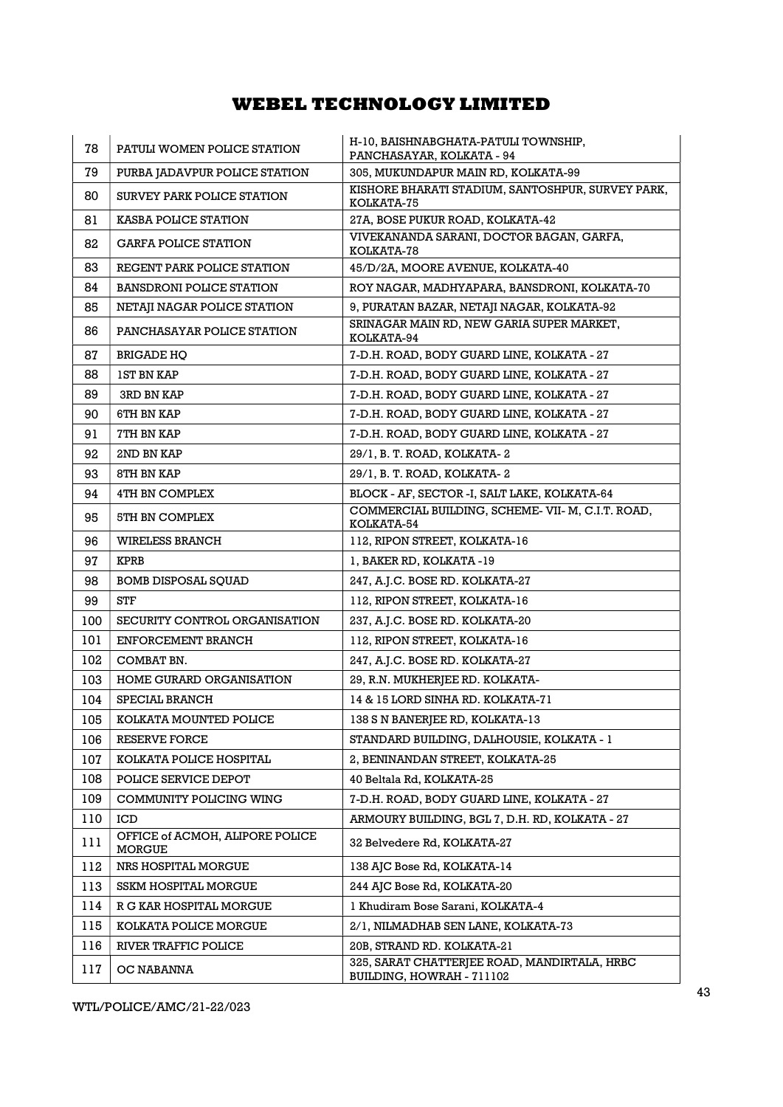| 78  | PATULI WOMEN POLICE STATION                      | H-10, BAISHNABGHATA-PATULI TOWNSHIP,<br>PANCHASAYAR, KOLKATA - 94         |
|-----|--------------------------------------------------|---------------------------------------------------------------------------|
| 79  | PURBA JADAVPUR POLICE STATION                    | 305, MUKUNDAPUR MAIN RD, KOLKATA-99                                       |
| 80  | SURVEY PARK POLICE STATION                       | KISHORE BHARATI STADIUM, SANTOSHPUR, SURVEY PARK,<br>KOLKATA-75           |
| 81  | <b>KASBA POLICE STATION</b>                      | 27A, BOSE PUKUR ROAD, KOLKATA-42                                          |
| 82  | <b>GARFA POLICE STATION</b>                      | VIVEKANANDA SARANI, DOCTOR BAGAN, GARFA,<br>KOLKATA-78                    |
| 83  | REGENT PARK POLICE STATION                       | 45/D/2A, MOORE AVENUE, KOLKATA-40                                         |
| 84  | <b>BANSDRONI POLICE STATION</b>                  | ROY NAGAR, MADHYAPARA, BANSDRONI, KOLKATA-70                              |
| 85  | NETAJI NAGAR POLICE STATION                      | 9, PURATAN BAZAR, NETAJI NAGAR, KOLKATA-92                                |
| 86  | PANCHASAYAR POLICE STATION                       | SRINAGAR MAIN RD, NEW GARIA SUPER MARKET,<br>KOLKATA-94                   |
| 87  | <b>BRIGADE HO</b>                                | 7-D.H. ROAD, BODY GUARD LINE, KOLKATA - 27                                |
| 88  | <b>IST BN KAP</b>                                | 7-D.H. ROAD, BODY GUARD LINE, KOLKATA - 27                                |
| 89  | <b>3RD BN KAP</b>                                | 7-D.H. ROAD, BODY GUARD LINE, KOLKATA - 27                                |
| 90  | 6TH BN KAP                                       | 7-D.H. ROAD, BODY GUARD LINE, KOLKATA - 27                                |
| 91  | 7TH BN KAP                                       | 7-D.H. ROAD, BODY GUARD LINE, KOLKATA - 27                                |
| 92  | 2ND BN KAP                                       | 29/1, B. T. ROAD, KOLKATA-2                                               |
| 93  | 8TH BN KAP                                       | 29/1, B. T. ROAD, KOLKATA-2                                               |
| 94  | 4TH BN COMPLEX                                   | BLOCK - AF, SECTOR -I, SALT LAKE, KOLKATA-64                              |
| 95  | 5TH BN COMPLEX                                   | COMMERCIAL BUILDING, SCHEME-VII-M, C.I.T. ROAD,<br>KOLKATA-54             |
| 96  | <b>WIRELESS BRANCH</b>                           | 112, RIPON STREET, KOLKATA-16                                             |
| 97  | <b>KPRB</b>                                      | 1, BAKER RD, KOLKATA -19                                                  |
| 98  | <b>BOMB DISPOSAL SQUAD</b>                       | 247, A.J.C. BOSE RD. KOLKATA-27                                           |
| 99  | STF                                              | 112, RIPON STREET, KOLKATA-16                                             |
| 100 | SECURITY CONTROL ORGANISATION                    | 237, A.J.C. BOSE RD. KOLKATA-20                                           |
| 101 | ENFORCEMENT BRANCH                               | 112, RIPON STREET, KOLKATA-16                                             |
| 102 | COMBAT BN.                                       | 247, A.J.C. BOSE RD. KOLKATA-27                                           |
| 103 | HOME GURARD ORGANISATION                         | 29, R.N. MUKHERJEE RD. KOLKATA-                                           |
| 104 | SPECIAL BRANCH                                   | 14 & 15 LORD SINHA RD. KOLKATA-71                                         |
| 105 | KOLKATA MOUNTED POLICE                           | 138 S N BANERJEE RD, KOLKATA-13                                           |
| 106 | RESERVE FORCE                                    | STANDARD BUILDING, DALHOUSIE, KOLKATA - 1                                 |
| 107 | KOLKATA POLICE HOSPITAL                          | 2, BENINANDAN STREET, KOLKATA-25                                          |
| 108 | POLICE SERVICE DEPOT                             | 40 Beltala Rd, KOLKATA-25                                                 |
| 109 | COMMUNITY POLICING WING                          | 7-D.H. ROAD, BODY GUARD LINE, KOLKATA - 27                                |
| 110 | ICD                                              | ARMOURY BUILDING, BGL 7, D.H. RD, KOLKATA - 27                            |
| 111 | OFFICE of ACMOH, ALIPORE POLICE<br><b>MORGUE</b> | 32 Belvedere Rd, KOLKATA-27                                               |
| 112 | NRS HOSPITAL MORGUE                              | 138 AJC Bose Rd, KOLKATA-14                                               |
| 113 | <b>SSKM HOSPITAL MORGUE</b>                      | 244 AJC Bose Rd, KOLKATA-20                                               |
| 114 | R G KAR HOSPITAL MORGUE                          | 1 Khudiram Bose Sarani, KOLKATA-4                                         |
| 115 | KOLKATA POLICE MORGUE                            | 2/1, NILMADHAB SEN LANE, KOLKATA-73                                       |
| 116 | RIVER TRAFFIC POLICE                             | 20B, STRAND RD. KOLKATA-21                                                |
| 117 | OC NABANNA                                       | 325, SARAT CHATTERJEE ROAD, MANDIRTALA, HRBC<br>BUILDING, HOWRAH - 711102 |

WTL/POLICE/AMC/21-22/023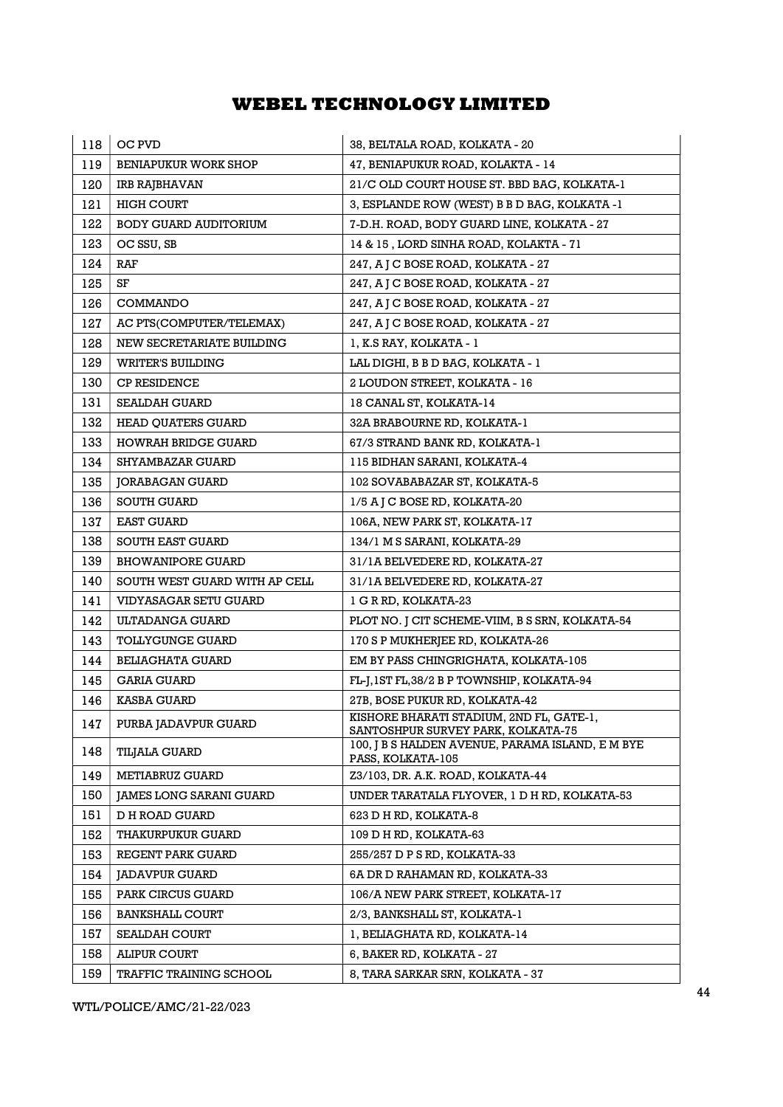| 118 | OC PVD                         | 38, BELTALA ROAD, KOLKATA - 20                                                 |
|-----|--------------------------------|--------------------------------------------------------------------------------|
| 119 | <b>BENIAPUKUR WORK SHOP</b>    | 47, BENIAPUKUR ROAD, KOLAKTA - 14                                              |
| 120 | IRB RAJBHAVAN                  | 21/C OLD COURT HOUSE ST. BBD BAG, KOLKATA-1                                    |
| 121 | <b>HIGH COURT</b>              | 3, ESPLANDE ROW (WEST) B B D BAG, KOLKATA -1                                   |
| 122 | <b>BODY GUARD AUDITORIUM</b>   | 7-D.H. ROAD, BODY GUARD LINE, KOLKATA - 27                                     |
| 123 | OC SSU, SB                     | 14 & 15, LORD SINHA ROAD, KOLAKTA - 71                                         |
| 124 | RAF                            | 247, A J C BOSE ROAD, KOLKATA - 27                                             |
| 125 | SF                             | 247, A J C BOSE ROAD, KOLKATA - 27                                             |
| 126 | COMMANDO                       | 247, A J C BOSE ROAD, KOLKATA - 27                                             |
| 127 | AC PTS(COMPUTER/TELEMAX)       | 247, A J C BOSE ROAD, KOLKATA - 27                                             |
| 128 | NEW SECRETARIATE BUILDING      | 1, K.S RAY, KOLKATA - 1                                                        |
| 129 | <b>WRITER'S BUILDING</b>       | LAL DIGHI, B B D BAG, KOLKATA - 1                                              |
| 130 | <b>CP RESIDENCE</b>            | 2 LOUDON STREET, KOLKATA - 16                                                  |
| 131 | <b>SEALDAH GUARD</b>           | 18 CANAL ST, KOLKATA-14                                                        |
| 132 | <b>HEAD QUATERS GUARD</b>      | 32A BRABOURNE RD, KOLKATA-1                                                    |
| 133 | <b>HOWRAH BRIDGE GUARD</b>     | 67/3 STRAND BANK RD, KOLKATA-1                                                 |
| 134 | <b>SHYAMBAZAR GUARD</b>        | 115 BIDHAN SARANI, KOLKATA-4                                                   |
| 135 | JORABAGAN GUARD                | 102 SOVABABAZAR ST, KOLKATA-5                                                  |
| 136 | <b>SOUTH GUARD</b>             | 1/5 A J C BOSE RD, KOLKATA-20                                                  |
| 137 | <b>EAST GUARD</b>              | 106A, NEW PARK ST, KOLKATA-17                                                  |
| 138 | <b>SOUTH EAST GUARD</b>        | 134/1 M S SARANI, KOLKATA-29                                                   |
| 139 | <b>BHOWANIPORE GUARD</b>       | 31/1A BELVEDERE RD, KOLKATA-27                                                 |
| 140 | SOUTH WEST GUARD WITH AP CELL  | 31/1A BELVEDERE RD, KOLKATA-27                                                 |
| 141 | VIDYASAGAR SETU GUARD          | 1 G R RD, KOLKATA-23                                                           |
| 142 | ULTADANGA GUARD                | PLOT NO. J CIT SCHEME-VIIM, B S SRN, KOLKATA-54                                |
| 143 | <b>TOLLYGUNGE GUARD</b>        | 170 S P MUKHERJEE RD, KOLKATA-26                                               |
| 144 | <b>BELIAGHATA GUARD</b>        | EM BY PASS CHINGRIGHATA, KOLKATA-105                                           |
| 145 | GARIA GUARD                    | FL-J, 1ST FL, 38/2 B P TOWNSHIP, KOLKATA-94                                    |
| 146 | <b>KASBA GUARD</b>             | 27B, BOSE PUKUR RD, KOLKATA-42                                                 |
| 147 | PURBA JADAVPUR GUARD           | KISHORE BHARATI STADIUM, 2ND FL, GATE-1,<br>SANTOSHPUR SURVEY PARK, KOLKATA-75 |
| 148 | <b>TILJALA GUARD</b>           | 100, J B S HALDEN AVENUE, PARAMA ISLAND, E M BYE<br>PASS, KOLKATA-105          |
| 149 | <b>METIABRUZ GUARD</b>         | Z3/103, DR. A.K. ROAD, KOLKATA-44                                              |
| 150 | <b>JAMES LONG SARANI GUARD</b> | UNDER TARATALA FLYOVER, 1 D H RD, KOLKATA-53                                   |
| 151 | <b>D H ROAD GUARD</b>          | 623 D H RD, KOLKATA-8                                                          |
| 152 | <b>THAKURPUKUR GUARD</b>       | 109 D H RD, KOLKATA-63                                                         |
| 153 | REGENT PARK GUARD              | 255/257 D P S RD, KOLKATA-33                                                   |
| 154 | <b>JADAVPUR GUARD</b>          | 6A DR D RAHAMAN RD, KOLKATA-33                                                 |
| 155 | PARK CIRCUS GUARD              | 106/A NEW PARK STREET, KOLKATA-17                                              |
| 156 | <b>BANKSHALL COURT</b>         | 2/3, BANKSHALL ST, KOLKATA-1                                                   |
| 157 | <b>SEALDAH COURT</b>           | 1, BELIAGHATA RD, KOLKATA-14                                                   |
| 158 | <b>ALIPUR COURT</b>            | 6, BAKER RD, KOLKATA - 27                                                      |
| 159 | TRAFFIC TRAINING SCHOOL        | 8, TARA SARKAR SRN, KOLKATA - 37                                               |

WTL/POLICE/AMC/21-22/023